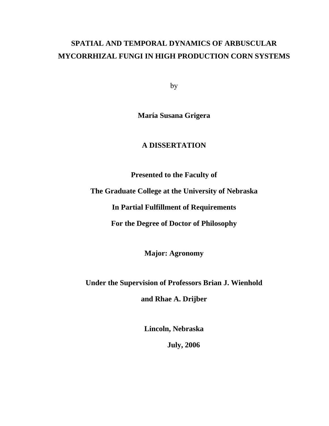## **SPATIAL AND TEMPORAL DYNAMICS OF ARBUSCULAR MYCORRHIZAL FUNGI IN HIGH PRODUCTION CORN SYSTEMS**

by

**María Susana Grigera** 

### **A DISSERTATION**

**Presented to the Faculty of** 

**The Graduate College at the University of Nebraska** 

**In Partial Fulfillment of Requirements** 

**For the Degree of Doctor of Philosophy** 

**Major: Agronomy** 

**Under the Supervision of Professors Brian J. Wienhold** 

**and Rhae A. Drijber** 

**Lincoln, Nebraska** 

**July, 2006**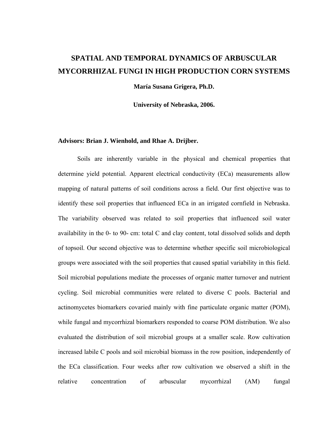### **SPATIAL AND TEMPORAL DYNAMICS OF ARBUSCULAR MYCORRHIZAL FUNGI IN HIGH PRODUCTION CORN SYSTEMS**

**María Susana Grigera, Ph.D.** 

**University of Nebraska, 2006.** 

#### **Advisors: Brian J. Wienhold, and Rhae A. Drijber.**

Soils are inherently variable in the physical and chemical properties that determine yield potential. Apparent electrical conductivity (ECa) measurements allow mapping of natural patterns of soil conditions across a field. Our first objective was to identify these soil properties that influenced ECa in an irrigated cornfield in Nebraska. The variability observed was related to soil properties that influenced soil water availability in the 0- to 90- cm: total C and clay content, total dissolved solids and depth of topsoil. Our second objective was to determine whether specific soil microbiological groups were associated with the soil properties that caused spatial variability in this field. Soil microbial populations mediate the processes of organic matter turnover and nutrient cycling. Soil microbial communities were related to diverse C pools. Bacterial and actinomycetes biomarkers covaried mainly with fine particulate organic matter (POM), while fungal and mycorrhizal biomarkers responded to coarse POM distribution. We also evaluated the distribution of soil microbial groups at a smaller scale. Row cultivation increased labile C pools and soil microbial biomass in the row position, independently of the ECa classification. Four weeks after row cultivation we observed a shift in the relative concentration of arbuscular mycorrhizal (AM) fungal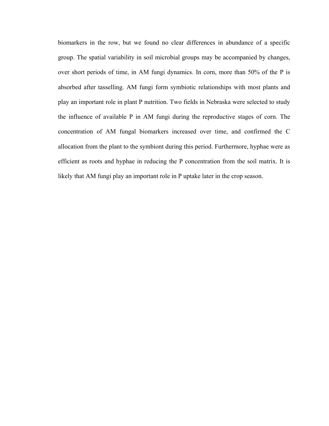biomarkers in the row, but we found no clear differences in abundance of a specific group. The spatial variability in soil microbial groups may be accompanied by changes, over short periods of time, in AM fungi dynamics. In corn, more than 50% of the P is absorbed after tasselling. AM fungi form symbiotic relationships with most plants and play an important role in plant P nutrition. Two fields in Nebraska were selected to study the influence of available P in AM fungi during the reproductive stages of corn. The concentration of AM fungal biomarkers increased over time, and confirmed the C allocation from the plant to the symbiont during this period. Furthermore, hyphae were as efficient as roots and hyphae in reducing the P concentration from the soil matrix. It is likely that AM fungi play an important role in P uptake later in the crop season.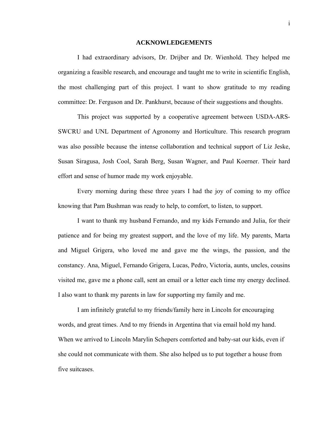#### **ACKNOWLEDGEMENTS**

I had extraordinary advisors, Dr. Drijber and Dr. Wienhold. They helped me organizing a feasible research, and encourage and taught me to write in scientific English, the most challenging part of this project. I want to show gratitude to my reading committee: Dr. Ferguson and Dr. Pankhurst, because of their suggestions and thoughts.

This project was supported by a cooperative agreement between USDA-ARS-SWCRU and UNL Department of Agronomy and Horticulture. This research program was also possible because the intense collaboration and technical support of Liz Jeske, Susan Siragusa, Josh Cool, Sarah Berg, Susan Wagner, and Paul Koerner. Their hard effort and sense of humor made my work enjoyable.

Every morning during these three years I had the joy of coming to my office knowing that Pam Bushman was ready to help, to comfort, to listen, to support.

I want to thank my husband Fernando, and my kids Fernando and Julia, for their patience and for being my greatest support, and the love of my life. My parents, Marta and Miguel Grigera, who loved me and gave me the wings, the passion, and the constancy. Ana, Miguel, Fernando Grigera, Lucas, Pedro, Victoria, aunts, uncles, cousins visited me, gave me a phone call, sent an email or a letter each time my energy declined. I also want to thank my parents in law for supporting my family and me.

I am infinitely grateful to my friends/family here in Lincoln for encouraging words, and great times. And to my friends in Argentina that via email hold my hand. When we arrived to Lincoln Marylin Schepers comforted and baby-sat our kids, even if she could not communicate with them. She also helped us to put together a house from five suitcases.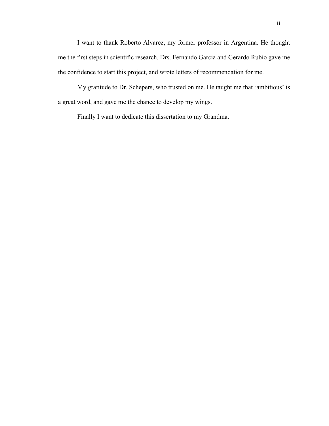I want to thank Roberto Alvarez, my former professor in Argentina. He thought me the first steps in scientific research. Drs. Fernando Garcia and Gerardo Rubio gave me the confidence to start this project, and wrote letters of recommendation for me.

My gratitude to Dr. Schepers, who trusted on me. He taught me that 'ambitious' is a great word, and gave me the chance to develop my wings.

Finally I want to dedicate this dissertation to my Grandma.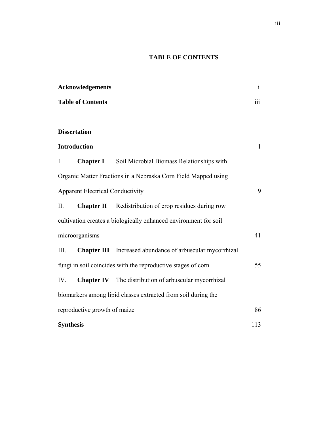### **TABLE OF CONTENTS**

| <b>Acknowledgements</b><br><b>Table of Contents</b>                |                     |                                                                  | $\mathbf{i}$ |
|--------------------------------------------------------------------|---------------------|------------------------------------------------------------------|--------------|
|                                                                    |                     |                                                                  | iii          |
|                                                                    |                     |                                                                  |              |
|                                                                    | <b>Dissertation</b> |                                                                  |              |
| <b>Introduction</b>                                                |                     |                                                                  | $\mathbf{1}$ |
| $\mathbf{I}$ .                                                     | <b>Chapter I</b>    | Soil Microbial Biomass Relationships with                        |              |
| Organic Matter Fractions in a Nebraska Corn Field Mapped using     |                     |                                                                  |              |
| <b>Apparent Electrical Conductivity</b>                            |                     |                                                                  |              |
| II.                                                                | <b>Chapter II</b>   | Redistribution of crop residues during row                       |              |
| cultivation creates a biologically enhanced environment for soil   |                     |                                                                  |              |
| microorganisms                                                     |                     |                                                                  | 41           |
| Ш.                                                                 |                     | <b>Chapter III</b> Increased abundance of arbuscular mycorrhizal |              |
| fungi in soil coincides with the reproductive stages of corn<br>55 |                     |                                                                  |              |
| IV.                                                                |                     | <b>Chapter IV</b> The distribution of arbuscular mycorrhizal     |              |
|                                                                    |                     | biomarkers among lipid classes extracted from soil during the    |              |
| reproductive growth of maize                                       |                     |                                                                  | 86           |
| <b>Synthesis</b>                                                   |                     |                                                                  | 113          |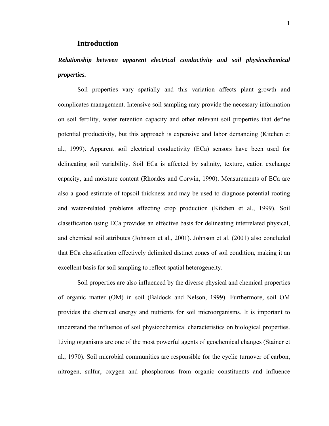#### **Introduction**

## *Relationship between apparent electrical conductivity and soil physicochemical properties.*

Soil properties vary spatially and this variation affects plant growth and complicates management. Intensive soil sampling may provide the necessary information on soil fertility, water retention capacity and other relevant soil properties that define potential productivity, but this approach is expensive and labor demanding (Kitchen et al., 1999). Apparent soil electrical conductivity (ECa) sensors have been used for delineating soil variability. Soil ECa is affected by salinity, texture, cation exchange capacity, and moisture content (Rhoades and Corwin, 1990). Measurements of ECa are also a good estimate of topsoil thickness and may be used to diagnose potential rooting and water-related problems affecting crop production (Kitchen et al., 1999). Soil classification using ECa provides an effective basis for delineating interrelated physical, and chemical soil attributes (Johnson et al., 2001). Johnson et al. (2001) also concluded that ECa classification effectively delimited distinct zones of soil condition, making it an excellent basis for soil sampling to reflect spatial heterogeneity.

Soil properties are also influenced by the diverse physical and chemical properties of organic matter (OM) in soil (Baldock and Nelson, 1999). Furthermore, soil OM provides the chemical energy and nutrients for soil microorganisms. It is important to understand the influence of soil physicochemical characteristics on biological properties. Living organisms are one of the most powerful agents of geochemical changes (Stainer et al., 1970). Soil microbial communities are responsible for the cyclic turnover of carbon, nitrogen, sulfur, oxygen and phosphorous from organic constituents and influence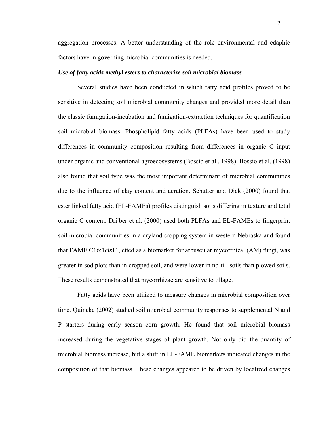aggregation processes. A better understanding of the role environmental and edaphic factors have in governing microbial communities is needed.

#### *Use of fatty acids methyl esters to characterize soil microbial biomass.*

Several studies have been conducted in which fatty acid profiles proved to be sensitive in detecting soil microbial community changes and provided more detail than the classic fumigation-incubation and fumigation-extraction techniques for quantification soil microbial biomass. Phospholipid fatty acids (PLFAs) have been used to study differences in community composition resulting from differences in organic C input under organic and conventional agroecosystems (Bossio et al., 1998). Bossio et al. (1998) also found that soil type was the most important determinant of microbial communities due to the influence of clay content and aeration. Schutter and Dick (2000) found that ester linked fatty acid (EL-FAMEs) profiles distinguish soils differing in texture and total organic C content. Drijber et al. (2000) used both PLFAs and EL-FAMEs to fingerprint soil microbial communities in a dryland cropping system in western Nebraska and found that FAME C16:1*cis*11, cited as a biomarker for arbuscular mycorrhizal (AM) fungi, was greater in sod plots than in cropped soil, and were lower in no-till soils than plowed soils. These results demonstrated that mycorrhizae are sensitive to tillage.

Fatty acids have been utilized to measure changes in microbial composition over time. Quincke (2002) studied soil microbial community responses to supplemental N and P starters during early season corn growth. He found that soil microbial biomass increased during the vegetative stages of plant growth. Not only did the quantity of microbial biomass increase, but a shift in EL-FAME biomarkers indicated changes in the composition of that biomass. These changes appeared to be driven by localized changes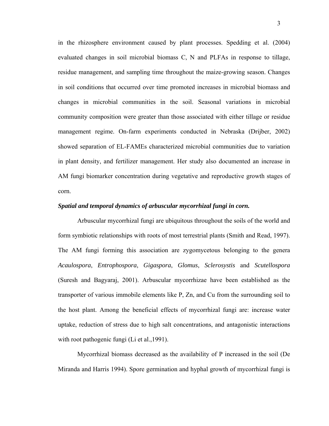in the rhizosphere environment caused by plant processes. Spedding et al. (2004) evaluated changes in soil microbial biomass C, N and PLFAs in response to tillage, residue management, and sampling time throughout the maize-growing season. Changes in soil conditions that occurred over time promoted increases in microbial biomass and changes in microbial communities in the soil. Seasonal variations in microbial community composition were greater than those associated with either tillage or residue management regime. On-farm experiments conducted in Nebraska (Drijber, 2002) showed separation of EL-FAMEs characterized microbial communities due to variation in plant density, and fertilizer management. Her study also documented an increase in AM fungi biomarker concentration during vegetative and reproductive growth stages of corn.

#### *Spatial and temporal dynamics of arbuscular mycorrhizal fungi in corn.*

Arbuscular mycorrhizal fungi are ubiquitous throughout the soils of the world and form symbiotic relationships with roots of most terrestrial plants (Smith and Read, 1997). The AM fungi forming this association are zygomycetous belonging to the genera *Acaulospora*, *Entrophospora*, *Gigaspora*, *Glomus*, *Sclerosystis* and *Scutellospora*  (Suresh and Bagyaraj, 2001). Arbuscular mycorrhizae have been established as the transporter of various immobile elements like P, Zn, and Cu from the surrounding soil to the host plant. Among the beneficial effects of mycorrhizal fungi are: increase water uptake, reduction of stress due to high salt concentrations, and antagonistic interactions with root pathogenic fungi (Li et al., 1991).

Mycorrhizal biomass decreased as the availability of P increased in the soil (De Miranda and Harris 1994). Spore germination and hyphal growth of mycorrhizal fungi is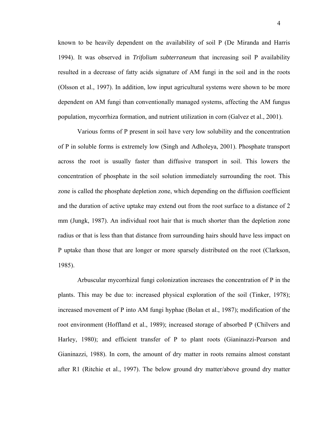known to be heavily dependent on the availability of soil P (De Miranda and Harris 1994). It was observed in *Trifolium subterraneum* that increasing soil P availability resulted in a decrease of fatty acids signature of AM fungi in the soil and in the roots (Olsson et al., 1997). In addition, low input agricultural systems were shown to be more dependent on AM fungi than conventionally managed systems, affecting the AM fungus population, mycorrhiza formation, and nutrient utilization in corn (Galvez et al., 2001).

Various forms of P present in soil have very low solubility and the concentration of P in soluble forms is extremely low (Singh and Adholeya, 2001). Phosphate transport across the root is usually faster than diffusive transport in soil. This lowers the concentration of phosphate in the soil solution immediately surrounding the root. This zone is called the phosphate depletion zone, which depending on the diffusion coefficient and the duration of active uptake may extend out from the root surface to a distance of 2 mm (Jungk, 1987). An individual root hair that is much shorter than the depletion zone radius or that is less than that distance from surrounding hairs should have less impact on P uptake than those that are longer or more sparsely distributed on the root (Clarkson, 1985).

Arbuscular mycorrhizal fungi colonization increases the concentration of P in the plants. This may be due to: increased physical exploration of the soil (Tinker, 1978); increased movement of P into AM fungi hyphae (Bolan et al., 1987); modification of the root environment (Hoffland et al., 1989); increased storage of absorbed P (Chilvers and Harley, 1980); and efficient transfer of P to plant roots (Gianinazzi-Pearson and Gianinazzi, 1988). In corn, the amount of dry matter in roots remains almost constant after R1 (Ritchie et al., 1997). The below ground dry matter/above ground dry matter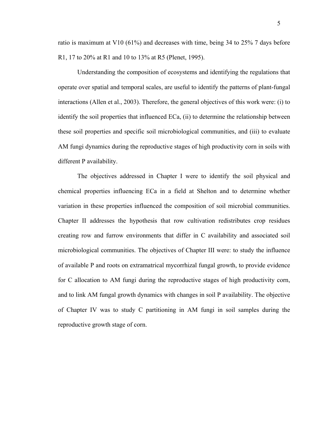ratio is maximum at V10 (61%) and decreases with time, being 34 to 25% 7 days before R1, 17 to 20% at R1 and 10 to 13% at R5 (Plenet, 1995).

Understanding the composition of ecosystems and identifying the regulations that operate over spatial and temporal scales, are useful to identify the patterns of plant-fungal interactions (Allen et al., 2003). Therefore, the general objectives of this work were: (i) to identify the soil properties that influenced ECa, (ii) to determine the relationship between these soil properties and specific soil microbiological communities, and (iii) to evaluate AM fungi dynamics during the reproductive stages of high productivity corn in soils with different P availability.

The objectives addressed in Chapter I were to identify the soil physical and chemical properties influencing ECa in a field at Shelton and to determine whether variation in these properties influenced the composition of soil microbial communities. Chapter II addresses the hypothesis that row cultivation redistributes crop residues creating row and furrow environments that differ in C availability and associated soil microbiological communities. The objectives of Chapter III were: to study the influence of available P and roots on extramatrical mycorrhizal fungal growth, to provide evidence for C allocation to AM fungi during the reproductive stages of high productivity corn, and to link AM fungal growth dynamics with changes in soil P availability. The objective of Chapter IV was to study C partitioning in AM fungi in soil samples during the reproductive growth stage of corn.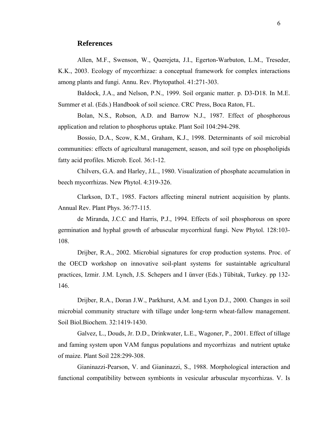#### **References**

Allen, M.F., Swenson, W., Querejeta, J.I., Egerton-Warbuton, L.M., Treseder, K.K., 2003. Ecology of mycorrhizae: a conceptual framework for complex interactions among plants and fungi. Annu. Rev. Phytopathol. 41:271-303.

Baldock, J.A., and Nelson, P.N., 1999. Soil organic matter. p. D3-D18. In M.E. Summer et al. (Eds.) Handbook of soil science. CRC Press, Boca Raton, FL.

Bolan, N.S., Robson, A.D. and Barrow N.J., 1987. Effect of phosphorous application and relation to phosphorus uptake. Plant Soil 104:294-298.

Bossio, D.A., Scow, K.M., Graham, K.J., 1998. Determinants of soil microbial communities: effects of agricultural management, season, and soil type on phospholipids fatty acid profiles. Microb. Ecol. 36:1-12.

Chilvers, G.A. and Harley, J.L., 1980. Visualization of phosphate accumulation in beech mycorrhizas. New Phytol. 4:319-326.

Clarkson, D.T., 1985. Factors affecting mineral nutrient acquisition by plants. Annual Rev. Plant Phys. 36:77-115.

de Miranda, J.C.C and Harris, P.J., 1994. Effects of soil phosphorous on spore germination and hyphal growth of arbuscular mycorrhizal fungi. New Phytol. 128:103- 108.

Drijber, R.A., 2002. Microbial signatures for crop production systems. Proc. of the OECD workshop on innovative soil-plant systems for sustaintable agricultural practices, Izmir. J.M. Lynch, J.S. Schepers and I ünver (Eds.) Tübitak, Turkey. pp 132- 146.

Drijber, R.A., Doran J.W., Parkhurst, A.M. and Lyon D.J., 2000. Changes in soil microbial community structure with tillage under long-term wheat-fallow management. Soil Biol.Biochem. 32:1419-1430.

Galvez, L., Douds, Jr. D.D., Drinkwater, L.E., Wagoner, P., 2001. Effect of tillage and faming system upon VAM fungus populations and mycorrhizas and nutrient uptake of maize. Plant Soil 228:299-308.

Gianinazzi-Pearson, V. and Gianinazzi, S., 1988. Morphological interaction and functional compatibility between symbionts in vesicular arbuscular mycorrhizas. V. Is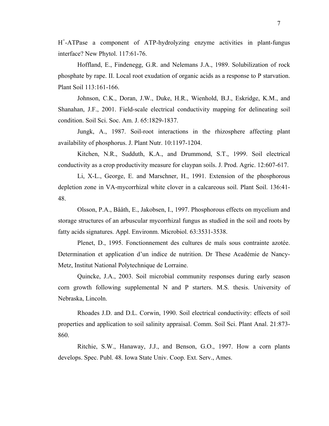H+ -ATPase a component of ATP-hydrolyzing enzyme activities in plant-fungus interface? New Phytol. 117:61-76.

Hoffland, E., Findenegg, G.R. and Nelemans J.A., 1989. Solubilization of rock phosphate by rape. II. Local root exudation of organic acids as a response to P starvation. Plant Soil 113:161-166.

Johnson, C.K., Doran, J.W., Duke, H.R., Wienhold, B.J., Eskridge, K.M., and Shanahan, J.F., 2001. Field-scale electrical conductivity mapping for delineating soil condition. Soil Sci. Soc. Am. J. 65:1829-1837.

Jungk, A., 1987. Soil-root interactions in the rhizosphere affecting plant availability of phosphorus. J. Plant Nutr. 10:1197-1204.

Kitchen, N.R., Sudduth, K.A., and Drummond, S.T., 1999. Soil electrical conductivity as a crop productivity measure for claypan soils. J. Prod. Agric. 12:607-617.

Li, X-L., George, E. and Marschner, H., 1991. Extension of the phosphorous depletion zone in VA-mycorrhizal white clover in a calcareous soil. Plant Soil. 136:41- 48.

Olsson, P.A., Bååth, E., Jakobsen, I., 1997. Phosphorous effects on mycelium and storage structures of an arbuscular mycorrhizal fungus as studied in the soil and roots by fatty acids signatures. Appl. Environm. Microbiol. 63:3531-3538.

Plenet, D., 1995. Fonctionnement des cultures de maïs sous contrainte azotée. Determination et application d'un indice de nutrition. Dr These Académie de Nancy-Metz, Institut National Polytechnique de Lorraine.

Quincke, J.A., 2003. Soil microbial community responses during early season corn growth following supplemental N and P starters. M.S. thesis. University of Nebraska, Lincoln.

Rhoades J.D. and D.L. Corwin, 1990. Soil electrical conductivity: effects of soil properties and application to soil salinity appraisal. Comm. Soil Sci. Plant Anal. 21:873- 860.

Ritchie, S.W., Hanaway, J.J., and Benson, G.O., 1997. How a corn plants develops. Spec. Publ. 48. Iowa State Univ. Coop. Ext. Serv., Ames.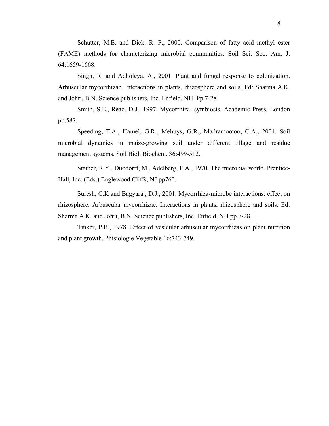Schutter, M.E. and Dick, R. P., 2000. Comparison of fatty acid methyl ester (FAME) methods for characterizing microbial communities. Soil Sci. Soc. Am. J. 64:1659-1668.

Singh, R. and Adholeya, A., 2001. Plant and fungal response to colonization. Arbuscular mycorrhizae. Interactions in plants, rhizosphere and soils. Ed: Sharma A.K. and Johri, B.N. Science publishers, Inc. Enfield, NH. Pp.7-28

Smith, S.E., Read, D.J., 1997. Mycorrhizal symbiosis. Academic Press, London pp.587.

Speeding, T.A., Hamel, G.R., Mehuys, G.R., Madramootoo, C.A., 2004. Soil microbial dynamics in maize-growing soil under different tillage and residue management systems. Soil Biol. Biochem. 36:499-512.

Stainer, R.Y., Duodorff, M., Adelberg, E.A., 1970. The microbial world. Prentice-Hall, Inc. (Eds.) Englewood Cliffs, NJ pp760.

Suresh, C.K and Bagyaraj, D.J., 2001. Mycorrhiza-microbe interactions: effect on rhizosphere. Arbuscular mycorrhizae. Interactions in plants, rhizosphere and soils. Ed: Sharma A.K. and Johri, B.N. Science publishers, Inc. Enfield, NH pp.7-28

Tinker, P.B., 1978. Effect of vesicular arbuscular mycorrhizas on plant nutrition and plant growth. Phisiologie Vegetable 16:743-749.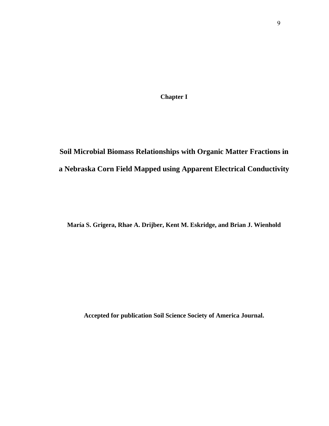**Chapter I** 

# **Soil Microbial Biomass Relationships with Organic Matter Fractions in a Nebraska Corn Field Mapped using Apparent Electrical Conductivity**

**María S. Grigera, Rhae A. Drijber, Kent M. Eskridge, and Brian J. Wienhold**

**Accepted for publication Soil Science Society of America Journal.**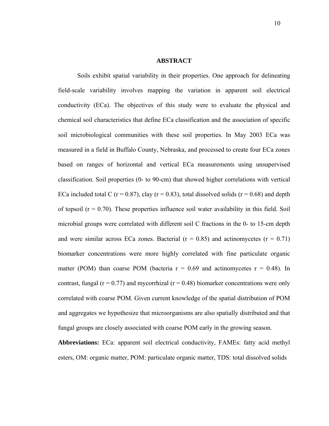#### **ABSTRACT**

Soils exhibit spatial variability in their properties. One approach for delineating field-scale variability involves mapping the variation in apparent soil electrical conductivity (ECa). The objectives of this study were to evaluate the physical and chemical soil characteristics that define ECa classification and the association of specific soil microbiological communities with these soil properties. In May 2003 ECa was measured in a field in Buffalo County, Nebraska, and processed to create four ECa zones based on ranges of horizontal and vertical ECa measurements using unsupervised classification. Soil properties (0- to 90-cm) that showed higher correlations with vertical ECa included total C ( $r = 0.87$ ), clay ( $r = 0.83$ ), total dissolved solids ( $r = 0.68$ ) and depth of topsoil  $(r = 0.70)$ . These properties influence soil water availability in this field. Soil microbial groups were correlated with different soil C fractions in the 0- to 15-cm depth and were similar across ECa zones. Bacterial ( $r = 0.85$ ) and actinomycetes ( $r = 0.71$ ) biomarker concentrations were more highly correlated with fine particulate organic matter (POM) than coarse POM (bacteria  $r = 0.69$  and actinomycetes  $r = 0.48$ ). In contrast, fungal ( $r = 0.77$ ) and mycorrhizal ( $r = 0.48$ ) biomarker concentrations were only correlated with coarse POM. Given current knowledge of the spatial distribution of POM and aggregates we hypothesize that microorganisms are also spatially distributed and that fungal groups are closely associated with coarse POM early in the growing season.

**Abbreviations:** ECa: apparent soil electrical conductivity, FAMEs: fatty acid methyl esters, OM: organic matter, POM: particulate organic matter, TDS: total dissolved solids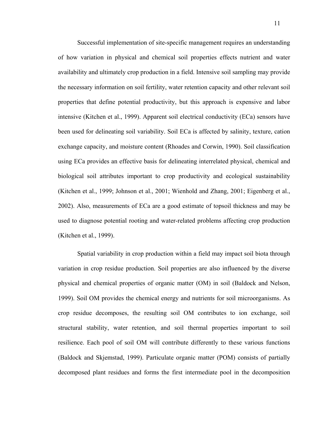Successful implementation of site-specific management requires an understanding of how variation in physical and chemical soil properties effects nutrient and water availability and ultimately crop production in a field. Intensive soil sampling may provide the necessary information on soil fertility, water retention capacity and other relevant soil properties that define potential productivity, but this approach is expensive and labor intensive (Kitchen et al., 1999). Apparent soil electrical conductivity (ECa) sensors have been used for delineating soil variability. Soil ECa is affected by salinity, texture, cation exchange capacity, and moisture content (Rhoades and Corwin, 1990). Soil classification using ECa provides an effective basis for delineating interrelated physical, chemical and biological soil attributes important to crop productivity and ecological sustainability (Kitchen et al., 1999; Johnson et al., 2001; Wienhold and Zhang, 2001; Eigenberg et al., 2002). Also, measurements of ECa are a good estimate of topsoil thickness and may be used to diagnose potential rooting and water-related problems affecting crop production (Kitchen et al., 1999).

 Spatial variability in crop production within a field may impact soil biota through variation in crop residue production. Soil properties are also influenced by the diverse physical and chemical properties of organic matter (OM) in soil (Baldock and Nelson, 1999). Soil OM provides the chemical energy and nutrients for soil microorganisms. As crop residue decomposes, the resulting soil OM contributes to ion exchange, soil structural stability, water retention, and soil thermal properties important to soil resilience. Each pool of soil OM will contribute differently to these various functions (Baldock and Skjemstad, 1999). Particulate organic matter (POM) consists of partially decomposed plant residues and forms the first intermediate pool in the decomposition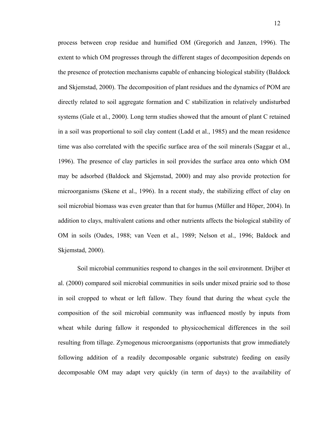process between crop residue and humified OM (Gregorich and Janzen, 1996). The extent to which OM progresses through the different stages of decomposition depends on the presence of protection mechanisms capable of enhancing biological stability (Baldock and Skjemstad, 2000). The decomposition of plant residues and the dynamics of POM are directly related to soil aggregate formation and C stabilization in relatively undisturbed systems (Gale et al., 2000). Long term studies showed that the amount of plant C retained in a soil was proportional to soil clay content (Ladd et al., 1985) and the mean residence time was also correlated with the specific surface area of the soil minerals (Saggar et al., 1996). The presence of clay particles in soil provides the surface area onto which OM may be adsorbed (Baldock and Skjemstad, 2000) and may also provide protection for microorganisms (Skene et al., 1996). In a recent study, the stabilizing effect of clay on soil microbial biomass was even greater than that for humus (Müller and Höper, 2004). In addition to clays, multivalent cations and other nutrients affects the biological stability of OM in soils (Oades, 1988; van Veen et al., 1989; Nelson et al., 1996; Baldock and Skjemstad, 2000).

Soil microbial communities respond to changes in the soil environment. Drijber et al. (2000) compared soil microbial communities in soils under mixed prairie sod to those in soil cropped to wheat or left fallow. They found that during the wheat cycle the composition of the soil microbial community was influenced mostly by inputs from wheat while during fallow it responded to physicochemical differences in the soil resulting from tillage. Zymogenous microorganisms (opportunists that grow immediately following addition of a readily decomposable organic substrate) feeding on easily decomposable OM may adapt very quickly (in term of days) to the availability of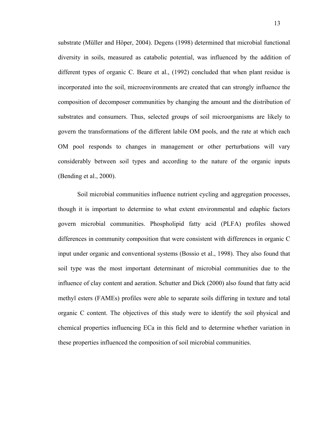substrate (Müller and Höper, 2004). Degens (1998) determined that microbial functional diversity in soils, measured as catabolic potential, was influenced by the addition of different types of organic C. Beare et al., (1992) concluded that when plant residue is incorporated into the soil, microenvironments are created that can strongly influence the composition of decomposer communities by changing the amount and the distribution of substrates and consumers. Thus, selected groups of soil microorganisms are likely to govern the transformations of the different labile OM pools, and the rate at which each OM pool responds to changes in management or other perturbations will vary considerably between soil types and according to the nature of the organic inputs (Bending et al., 2000).

 Soil microbial communities influence nutrient cycling and aggregation processes, though it is important to determine to what extent environmental and edaphic factors govern microbial communities. Phospholipid fatty acid (PLFA) profiles showed differences in community composition that were consistent with differences in organic C input under organic and conventional systems (Bossio et al., 1998). They also found that soil type was the most important determinant of microbial communities due to the influence of clay content and aeration. Schutter and Dick (2000) also found that fatty acid methyl esters (FAMEs) profiles were able to separate soils differing in texture and total organic C content. The objectives of this study were to identify the soil physical and chemical properties influencing ECa in this field and to determine whether variation in these properties influenced the composition of soil microbial communities.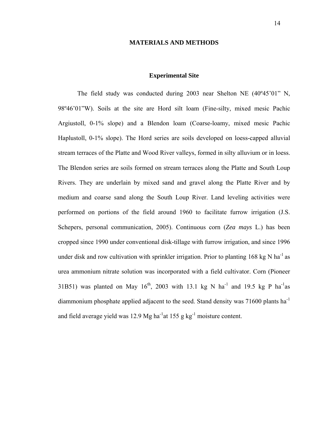#### **MATERIALS AND METHODS**

#### **Experimental Site**

 The field study was conducted during 2003 near Shelton NE (40º45'01" N, 98º46'01"W). Soils at the site are Hord silt loam (Fine-silty, mixed mesic Pachic Argiustoll, 0-1% slope) and a Blendon loam (Coarse-loamy, mixed mesic Pachic Haplustoll, 0-1% slope). The Hord series are soils developed on loess-capped alluvial stream terraces of the Platte and Wood River valleys, formed in silty alluvium or in loess. The Blendon series are soils formed on stream terraces along the Platte and South Loup Rivers. They are underlain by mixed sand and gravel along the Platte River and by medium and coarse sand along the South Loup River. Land leveling activities were performed on portions of the field around 1960 to facilitate furrow irrigation (J.S. Schepers, personal communication, 2005). Continuous corn (*Zea mays* L.) has been cropped since 1990 under conventional disk-tillage with furrow irrigation, and since 1996 under disk and row cultivation with sprinkler irrigation. Prior to planting 168 kg N ha<sup>-1</sup> as urea ammonium nitrate solution was incorporated with a field cultivator. Corn (Pioneer 31B51) was planted on May  $16<sup>th</sup>$ , 2003 with 13.1 kg N ha<sup>-1</sup> and 19.5 kg P ha<sup>-1</sup> as diammonium phosphate applied adjacent to the seed. Stand density was 71600 plants ha<sup>-1</sup> and field average yield was 12.9 Mg ha<sup>-1</sup>at 155 g kg<sup>-1</sup> moisture content.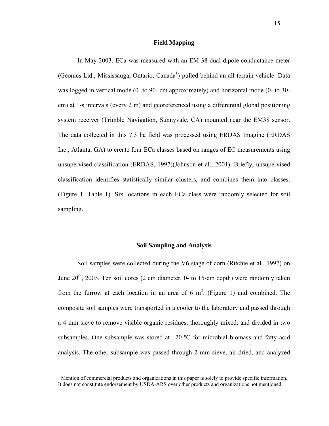#### **Field Mapping**

 In May 2003, ECa was measured with an EM 38 dual dipole conductance meter (Geonics Ltd., Mississauga, Ontario, Canada<sup>[1](#page-20-0)</sup>) pulled behind an all terrain vehicle. Data was logged in vertical mode (0- to 90- cm approximately) and horizontal mode (0- to 30 cm) at 1-s intervals (every 2 m) and georeferenced using a differential global positioning system receiver (Trimble Navigation, Sunnyvale, CA) mounted near the EM38 sensor. The data collected in this 7.3 ha field was processed using ERDAS Imagine (ERDAS Inc., Atlanta, GA) to create four ECa classes based on ranges of EC measurements using unsupervised classification (ERDAS, 1997)(Johnson et al., 2001). Briefly, unsupervised classification identifies statistically similar clusters, and combines them into classes. (Figure 1, Table 1). Six locations in each ECa class were randomly selected for soil sampling.

#### **Soil Sampling and Analysis**

 Soil samples were collected during the V6 stage of corn (Ritchie et al., 1997) on June  $20^{th}$ , 2003. Ten soil cores (2 cm diameter, 0- to 15-cm depth) were randomly taken from the furrow at each location in an area of 6  $m^2$ . (Figure 1) and combined. The composite soil samples were transported in a cooler to the laboratory and passed through a 4 mm sieve to remove visible organic residues, thoroughly mixed, and divided in two subsamples. One subsample was stored at  $-20$  °C for microbial biomass and fatty acid analysis. The other subsample was passed through 2 mm sieve, air-dried, and analyzed

 $\overline{a}$ 

<span id="page-20-0"></span><sup>&</sup>lt;sup>1</sup> Mention of commercial products and organizations in this paper is solely to provide specific information. It does not constitute endorsement by USDA-ARS over other products and organizations not mentioned.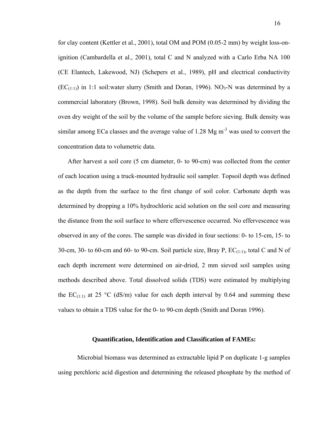for clay content (Kettler et al., 2001), total OM and POM (0.05-2 mm) by weight loss-onignition (Cambardella et al., 2001), total C and N analyzed with a Carlo Erba NA 100 (CE Elantech, Lakewood, NJ) (Schepers et al., 1989), pH and electrical conductivity  $(EC_{(1:1)})$  in 1:1 soil:water slurry (Smith and Doran, 1996). NO<sub>3</sub>-N was determined by a commercial laboratory (Brown, 1998). Soil bulk density was determined by dividing the oven dry weight of the soil by the volume of the sample before sieving. Bulk density was similar among ECa classes and the average value of 1.28 Mg  $m<sup>-3</sup>$  was used to convert the concentration data to volumetric data.

After harvest a soil core (5 cm diameter, 0- to 90-cm) was collected from the center of each location using a truck-mounted hydraulic soil sampler. Topsoil depth was defined as the depth from the surface to the first change of soil color. Carbonate depth was determined by dropping a 10% hydrochloric acid solution on the soil core and measuring the distance from the soil surface to where effervescence occurred. No effervescence was observed in any of the cores. The sample was divided in four sections: 0- to 15-cm, 15- to 30-cm, 30- to 60-cm and 60- to 90-cm. Soil particle size, Bray P,  $EC_{(1:1)}$ , total C and N of each depth increment were determined on air-dried, 2 mm sieved soil samples using methods described above. Total dissolved solids (TDS) were estimated by multiplying the EC<sub>(1:1)</sub> at 25 °C (dS/m) value for each depth interval by 0.64 and summing these values to obtain a TDS value for the 0- to 90-cm depth (Smith and Doran 1996).

#### **Quantification, Identification and Classification of FAMEs:**

 Microbial biomass was determined as extractable lipid P on duplicate 1-g samples using perchloric acid digestion and determining the released phosphate by the method of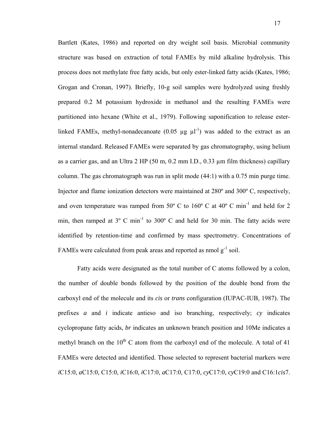Bartlett (Kates, 1986) and reported on dry weight soil basis. Microbial community structure was based on extraction of total FAMEs by mild alkaline hydrolysis. This process does not methylate free fatty acids, but only ester-linked fatty acids (Kates, 1986; Grogan and Cronan, 1997). Briefly, 10-g soil samples were hydrolyzed using freshly prepared 0.2 M potassium hydroxide in methanol and the resulting FAMEs were partitioned into hexane (White et al., 1979). Following saponification to release esterlinked FAMEs, methyl-nonadecanoate  $(0.05 \mu g \mu l^{-1})$  was added to the extract as an internal standard. Released FAMEs were separated by gas chromatography, using helium as a carrier gas, and an Ultra 2 HP (50 m, 0.2 mm I.D., 0.33 µm film thickness) capillary column. The gas chromatograph was run in split mode  $(44:1)$  with a 0.75 min purge time. Injector and flame ionization detectors were maintained at 280º and 300º C, respectively, and oven temperature was ramped from  $50^{\circ}$  C to  $160^{\circ}$  C at  $40^{\circ}$  C min<sup>-1</sup> and held for 2 min, then ramped at 3° C min<sup>-1</sup> to 300° C and held for 30 min. The fatty acids were identified by retention-time and confirmed by mass spectrometry. Concentrations of FAMEs were calculated from peak areas and reported as nmol  $g^{-1}$  soil.

 Fatty acids were designated as the total number of C atoms followed by a colon, the number of double bonds followed by the position of the double bond from the carboxyl end of the molecule and its *cis* or *trans* configuration (IUPAC-IUB, 1987). The prefixes *a* and *i* indicate antieso and iso branching, respectively; *cy* indicates cyclopropane fatty acids, *br* indicates an unknown branch position and 10Me indicates a methyl branch on the  $10<sup>th</sup>$  C atom from the carboxyl end of the molecule. A total of 41 FAMEs were detected and identified. Those selected to represent bacterial markers were *i*C15:0, *a*C15:0, C15:0, *i*C16:0, *i*C17:0, *a*C17:0, C17:0, *cy*C17:0, *cy*C19:0 and C16:1*cis*7.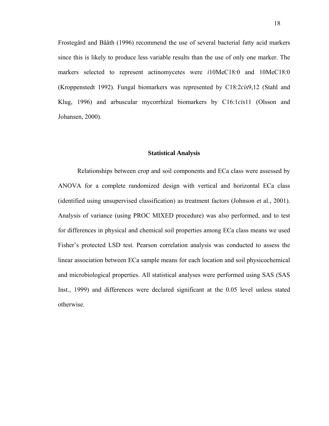Frostegård and Bååth (1996) recommend the use of several bacterial fatty acid markers since this is likely to produce less variable results than the use of only one marker. The markers selected to represent actinomycetes were *i*10MeC18:0 and 10MeC18:0 (Kroppenstedt 1992). Fungal biomarkers was represented by C18:2*cis*9,12 (Stahl and Klug, 1996) and arbuscular mycorrhizal biomarkers by C16:1*cis*11 (Olsson and Johansen, 2000).

#### **Statistical Analysis**

 Relationships between crop and soil components and ECa class were assessed by ANOVA for a complete randomized design with vertical and horizontal ECa class (identified using unsupervised classification) as treatment factors (Johnson et al., 2001). Analysis of variance (using PROC MIXED procedure) was also performed, and to test for differences in physical and chemical soil properties among ECa class means we used Fisher's protected LSD test. Pearson correlation analysis was conducted to assess the linear association between ECa sample means for each location and soil physicochemical and microbiological properties. All statistical analyses were performed using SAS (SAS Inst., 1999) and differences were declared significant at the 0.05 level unless stated otherwise.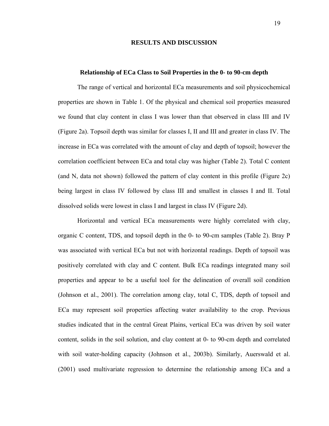#### **RESULTS AND DISCUSSION**

#### **Relationship of ECa Class to Soil Properties in the 0- to 90-cm depth**

 The range of vertical and horizontal ECa measurements and soil physicochemical properties are shown in Table 1. Of the physical and chemical soil properties measured we found that clay content in class I was lower than that observed in class III and IV (Figure 2a). Topsoil depth was similar for classes I, II and III and greater in class IV. The increase in ECa was correlated with the amount of clay and depth of topsoil; however the correlation coefficient between ECa and total clay was higher (Table 2). Total C content (and N, data not shown) followed the pattern of clay content in this profile (Figure 2c) being largest in class IV followed by class III and smallest in classes I and II. Total dissolved solids were lowest in class I and largest in class IV (Figure 2d).

Horizontal and vertical ECa measurements were highly correlated with clay, organic C content, TDS, and topsoil depth in the 0- to 90-cm samples (Table 2). Bray P was associated with vertical ECa but not with horizontal readings. Depth of topsoil was positively correlated with clay and C content. Bulk ECa readings integrated many soil properties and appear to be a useful tool for the delineation of overall soil condition (Johnson et al., 2001). The correlation among clay, total C, TDS, depth of topsoil and ECa may represent soil properties affecting water availability to the crop. Previous studies indicated that in the central Great Plains, vertical ECa was driven by soil water content, solids in the soil solution, and clay content at 0- to 90-cm depth and correlated with soil water-holding capacity (Johnson et al., 2003b). Similarly, Auerswald et al. (2001) used multivariate regression to determine the relationship among ECa and a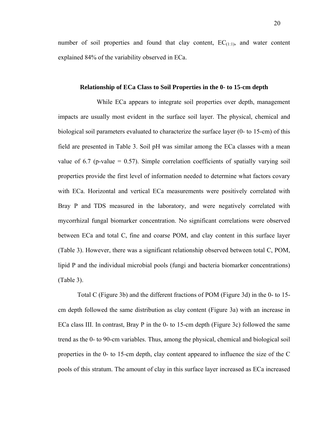number of soil properties and found that clay content,  $EC_{(1:1)}$ , and water content explained 84% of the variability observed in ECa.

#### **Relationship of ECa Class to Soil Properties in the 0- to 15-cm depth**

 While ECa appears to integrate soil properties over depth, management impacts are usually most evident in the surface soil layer. The physical, chemical and biological soil parameters evaluated to characterize the surface layer (0- to 15-cm) of this field are presented in Table 3. Soil pH was similar among the ECa classes with a mean value of 6.7 (p-value  $= 0.57$ ). Simple correlation coefficients of spatially varying soil properties provide the first level of information needed to determine what factors covary with ECa. Horizontal and vertical ECa measurements were positively correlated with Bray P and TDS measured in the laboratory, and were negatively correlated with mycorrhizal fungal biomarker concentration. No significant correlations were observed between ECa and total C, fine and coarse POM, and clay content in this surface layer (Table 3). However, there was a significant relationship observed between total C, POM, lipid P and the individual microbial pools (fungi and bacteria biomarker concentrations) (Table 3).

 Total C (Figure 3b) and the different fractions of POM (Figure 3d) in the 0- to 15 cm depth followed the same distribution as clay content (Figure 3a) with an increase in ECa class III. In contrast, Bray P in the 0- to 15-cm depth (Figure 3c) followed the same trend as the 0- to 90-cm variables. Thus, among the physical, chemical and biological soil properties in the 0- to 15-cm depth, clay content appeared to influence the size of the C pools of this stratum. The amount of clay in this surface layer increased as ECa increased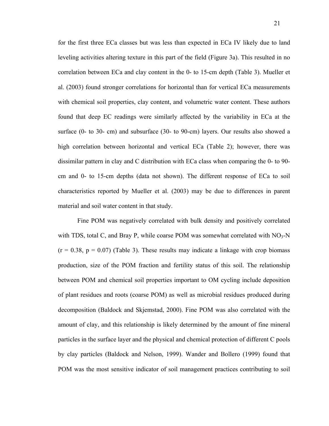for the first three ECa classes but was less than expected in ECa IV likely due to land leveling activities altering texture in this part of the field (Figure 3a). This resulted in no correlation between ECa and clay content in the 0- to 15-cm depth (Table 3). Mueller et al. (2003) found stronger correlations for horizontal than for vertical ECa measurements with chemical soil properties, clay content, and volumetric water content. These authors found that deep EC readings were similarly affected by the variability in ECa at the surface (0- to 30- cm) and subsurface (30- to 90-cm) layers. Our results also showed a high correlation between horizontal and vertical ECa (Table 2); however, there was dissimilar pattern in clay and C distribution with ECa class when comparing the 0- to 90 cm and 0- to 15-cm depths (data not shown). The different response of ECa to soil characteristics reported by Mueller et al. (2003) may be due to differences in parent material and soil water content in that study.

Fine POM was negatively correlated with bulk density and positively correlated with TDS, total C, and Bray P, while coarse POM was somewhat correlated with  $NO<sub>3</sub>-N$  $(r = 0.38, p = 0.07)$  (Table 3). These results may indicate a linkage with crop biomass production, size of the POM fraction and fertility status of this soil. The relationship between POM and chemical soil properties important to OM cycling include deposition of plant residues and roots (coarse POM) as well as microbial residues produced during decomposition (Baldock and Skjemstad, 2000). Fine POM was also correlated with the amount of clay, and this relationship is likely determined by the amount of fine mineral particles in the surface layer and the physical and chemical protection of different C pools by clay particles (Baldock and Nelson, 1999). Wander and Bollero (1999) found that POM was the most sensitive indicator of soil management practices contributing to soil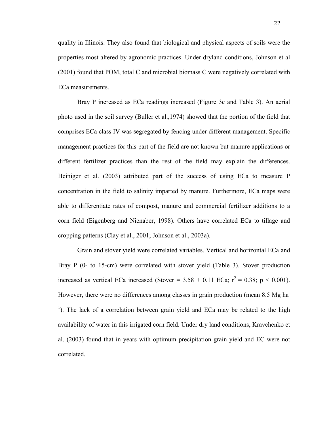quality in Illinois. They also found that biological and physical aspects of soils were the properties most altered by agronomic practices. Under dryland conditions, Johnson et al (2001) found that POM, total C and microbial biomass C were negatively correlated with ECa measurements.

Bray P increased as ECa readings increased (Figure 3c and Table 3). An aerial photo used in the soil survey (Buller et al.,1974) showed that the portion of the field that comprises ECa class IV was segregated by fencing under different management. Specific management practices for this part of the field are not known but manure applications or different fertilizer practices than the rest of the field may explain the differences. Heiniger et al. (2003) attributed part of the success of using ECa to measure P concentration in the field to salinity imparted by manure. Furthermore, ECa maps were able to differentiate rates of compost, manure and commercial fertilizer additions to a corn field (Eigenberg and Nienaber, 1998). Others have correlated ECa to tillage and cropping patterns (Clay et al., 2001; Johnson et al., 2003a).

 Grain and stover yield were correlated variables. Vertical and horizontal ECa and Bray P (0- to 15-cm) were correlated with stover yield (Table 3). Stover production increased as vertical ECa increased (Stover =  $3.58 + 0.11$  ECa;  $r^2 = 0.38$ ; p < 0.001). However, there were no differences among classes in grain production (mean 8.5 Mg ha-<sup>1</sup>). The lack of a correlation between grain yield and ECa may be related to the high availability of water in this irrigated corn field. Under dry land conditions, Kravchenko et al. (2003) found that in years with optimum precipitation grain yield and EC were not correlated.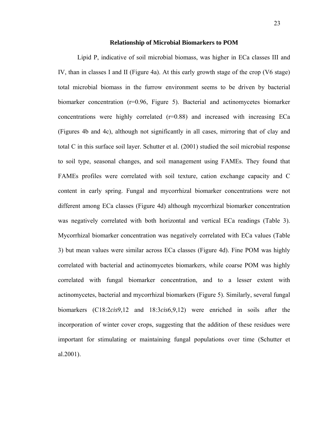#### **Relationship of Microbial Biomarkers to POM**

Lipid P, indicative of soil microbial biomass, was higher in ECa classes III and IV, than in classes I and II (Figure 4a). At this early growth stage of the crop (V6 stage) total microbial biomass in the furrow environment seems to be driven by bacterial biomarker concentration (r=0.96, Figure 5). Bacterial and actinomycetes biomarker concentrations were highly correlated  $(r=0.88)$  and increased with increasing ECa (Figures 4b and 4c), although not significantly in all cases, mirroring that of clay and total C in this surface soil layer. Schutter et al. (2001) studied the soil microbial response to soil type, seasonal changes, and soil management using FAMEs. They found that FAMEs profiles were correlated with soil texture, cation exchange capacity and C content in early spring. Fungal and mycorrhizal biomarker concentrations were not different among ECa classes (Figure 4d) although mycorrhizal biomarker concentration was negatively correlated with both horizontal and vertical ECa readings (Table 3). Mycorrhizal biomarker concentration was negatively correlated with ECa values (Table 3) but mean values were similar across ECa classes (Figure 4d). Fine POM was highly correlated with bacterial and actinomycetes biomarkers, while coarse POM was highly correlated with fungal biomarker concentration, and to a lesser extent with actinomycetes, bacterial and mycorrhizal biomarkers (Figure 5). Similarly, several fungal biomarkers (C18:2*cis*9,12 and 18:3*cis*6,9,12) were enriched in soils after the incorporation of winter cover crops, suggesting that the addition of these residues were important for stimulating or maintaining fungal populations over time (Schutter et al.2001).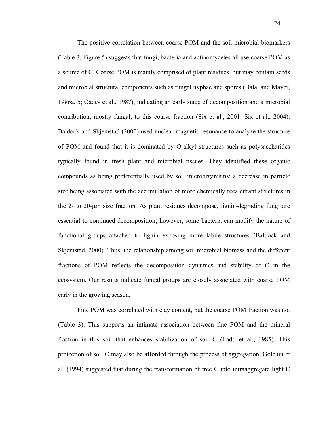The positive correlation between coarse POM and the soil microbial biomarkers (Table 3, Figure 5) suggests that fungi, bacteria and actinomycetes all use coarse POM as a source of C. Coarse POM is mainly comprised of plant residues, but may contain seeds and microbial structural components such as fungal hyphae and spores (Dalal and Mayer, 1986a, b; Oades et al., 1987), indicating an early stage of decomposition and a microbial contribution, mostly fungal, to this coarse fraction (Six et al., 2001; Six et al., 2004). Baldock and Skjemstad (2000) used nuclear magnetic resonance to analyze the structure of POM and found that it is dominated by O-alkyl structures such as polysaccharides typically found in fresh plant and microbial tissues. They identified these organic compounds as being preferentially used by soil microorganisms: a decrease in particle size being associated with the accumulation of more chemically recalcitrant structures in the 2- to 20-µm size fraction. As plant residues decompose, lignin-degrading fungi are essential to continued decomposition; however, some bacteria can modify the nature of functional groups attached to lignin exposing more labile structures (Baldock and Skjemstad, 2000). Thus, the relationship among soil microbial biomass and the different fractions of POM reflects the decomposition dynamics and stability of C in the ecosystem. Our results indicate fungal groups are closely associated with coarse POM early in the growing season.

Fine POM was correlated with clay content, but the coarse POM fraction was not (Table 3). This supports an intimate association between fine POM and the mineral fraction in this soil that enhances stabilization of soil C (Ladd et al., 1985). This protection of soil C may also be afforded through the process of aggregation. Golchin et al. (1994) suggested that during the transformation of free C into intraaggregate light C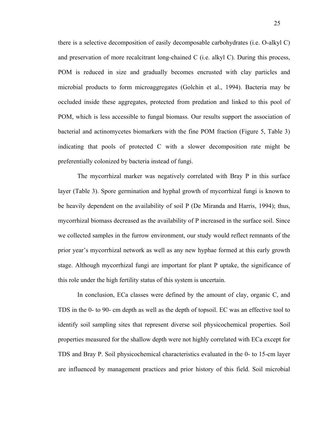there is a selective decomposition of easily decomposable carbohydrates (i.e. O-alkyl C) and preservation of more recalcitrant long-chained C (i.e. alkyl C). During this process, POM is reduced in size and gradually becomes encrusted with clay particles and microbial products to form microaggregates (Golchin et al., 1994). Bacteria may be occluded inside these aggregates, protected from predation and linked to this pool of POM, which is less accessible to fungal biomass. Our results support the association of bacterial and actinomycetes biomarkers with the fine POM fraction (Figure 5, Table 3) indicating that pools of protected C with a slower decomposition rate might be preferentially colonized by bacteria instead of fungi.

The mycorrhizal marker was negatively correlated with Bray P in this surface layer (Table 3). Spore germination and hyphal growth of mycorrhizal fungi is known to be heavily dependent on the availability of soil P (De Miranda and Harris, 1994); thus, mycorrhizal biomass decreased as the availability of P increased in the surface soil. Since we collected samples in the furrow environment, our study would reflect remnants of the prior year's mycorrhizal network as well as any new hyphae formed at this early growth stage. Although mycorrhizal fungi are important for plant P uptake, the significance of this role under the high fertility status of this system is uncertain.

In conclusion, ECa classes were defined by the amount of clay, organic C, and TDS in the 0- to 90- cm depth as well as the depth of topsoil. EC was an effective tool to identify soil sampling sites that represent diverse soil physicochemical properties. Soil properties measured for the shallow depth were not highly correlated with ECa except for TDS and Bray P. Soil physicochemical characteristics evaluated in the 0- to 15-cm layer are influenced by management practices and prior history of this field. Soil microbial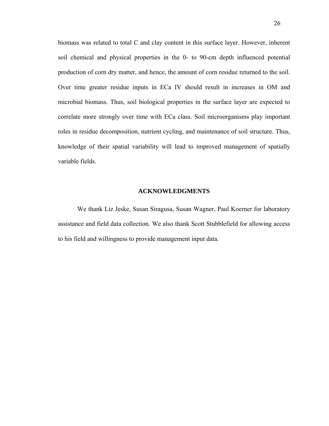biomass was related to total C and clay content in this surface layer. However, inherent soil chemical and physical properties in the 0- to 90-cm depth influenced potential production of corn dry matter, and hence, the amount of corn residue returned to the soil. Over time greater residue inputs in ECa IV should result in increases in OM and microbial biomass. Thus, soil biological properties in the surface layer are expected to correlate more strongly over time with ECa class. Soil microorganisms play important roles in residue decomposition, nutrient cycling, and maintenance of soil structure. Thus, knowledge of their spatial variability will lead to improved management of spatially variable fields.

#### **ACKNOWLEDGMENTS**

We thank Liz Jeske, Susan Siragusa, Susan Wagner, Paul Koerner for laboratory assistance and field data collection. We also thank Scott Stubblefield for allowing access to his field and willingness to provide management input data.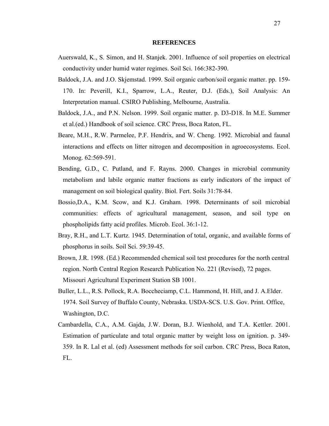#### **REFERENCES**

- Auerswald, K., S. Simon, and H. Stanjek. 2001. Influence of soil properties on electrical conductivity under humid water regimes. Soil Sci. 166:382-390.
- Baldock, J.A. and J.O. Skjemstad. 1999. Soil organic carbon/soil organic matter. pp. 159- 170. In: Peverill, K.I., Sparrow, L.A., Reuter, D.J. (Eds.), Soil Analysis: An Interpretation manual. CSIRO Publishing, Melbourne, Australia.
- Baldock, J.A., and P.N. Nelson. 1999. Soil organic matter. p. D3-D18. In M.E. Summer et al.(ed.) Handbook of soil science. CRC Press, Boca Raton, FL.
- Beare, M.H., R.W. Parmelee, P.F. Hendrix, and W. Cheng. 1992. Microbial and faunal interactions and effects on litter nitrogen and decomposition in agroecosystems. Ecol. Monog. 62:569-591.
- Bending, G.D., C. Putland, and F. Rayns. 2000. Changes in microbial community metabolism and labile organic matter fractions as early indicators of the impact of management on soil biological quality. Biol. Fert. Soils 31:78-84.
- Bossio,D.A., K.M. Scow, and K.J. Graham. 1998. Determinants of soil microbial communities: effects of agricultural management, season, and soil type on phospholipids fatty acid profiles. Microb. Ecol. 36:1-12.
- Bray, R.H., and L.T. Kurtz. 1945. Determination of total, organic, and available forms of phosphorus in soils. Soil Sci. 59:39-45.
- Brown, J.R. 1998. (Ed.) Recommended chemical soil test procedures for the north central region. North Central Region Research Publication No. 221 (Revised), 72 pages. Missouri Agricultural Experiment Station SB 1001.
- Buller, L.L., R.S. Pollock, R.A. Boccheciamp, C.L. Hammond, H. Hill, and J. A.Elder. 1974. Soil Survey of Buffalo County, Nebraska. USDA-SCS. U.S. Gov. Print. Office, Washington, D.C.
- Cambardella, C.A., A.M. Gajda, J.W. Doran, B.J. Wienhold, and T.A. Kettler. 2001. Estimation of particulate and total organic matter by weight loss on ignition. p. 349- 359. In R. Lal et al. (ed) Assessment methods for soil carbon. CRC Press, Boca Raton, FL.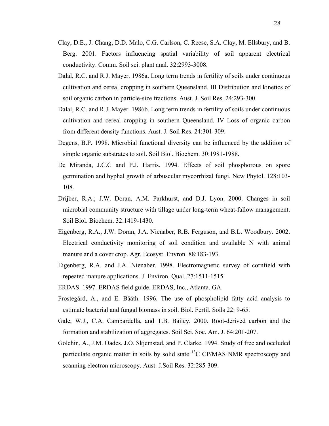- Clay, D.E., J. Chang, D.D. Malo, C.G. Carlson, C. Reese, S.A. Clay, M. Ellsbury, and B. Berg. 2001. Factors influencing spatial variability of soil apparent electrical conductivity. Comm. Soil sci. plant anal. 32:2993-3008.
- Dalal, R.C. and R.J. Mayer. 1986a. Long term trends in fertility of soils under continuous cultivation and cereal cropping in southern Queensland. III Distribution and kinetics of soil organic carbon in particle-size fractions. Aust. J. Soil Res. 24:293-300.
- Dalal, R.C. and R.J. Mayer. 1986b. Long term trends in fertility of soils under continuous cultivation and cereal cropping in southern Queensland. IV Loss of organic carbon from different density functions. Aust. J. Soil Res. 24:301-309.
- Degens, B.P. 1998. Microbial functional diversity can be influenced by the addition of simple organic substrates to soil. Soil Biol. Biochem. 30:1981-1988.
- De Miranda, J.C.C and P.J. Harris. 1994. Effects of soil phosphorous on spore germination and hyphal growth of arbuscular mycorrhizal fungi. New Phytol. 128:103- 108.
- Drijber, R.A.; J.W. Doran, A.M. Parkhurst, and D.J. Lyon. 2000. Changes in soil microbial community structure with tillage under long-term wheat-fallow management. Soil Biol. Biochem. 32:1419-1430.
- Eigenberg, R.A., J.W. Doran, J.A. Nienaber, R.B. Ferguson, and B.L. Woodbury. 2002. Electrical conductivity monitoring of soil condition and available N with animal manure and a cover crop. Agr. Ecosyst. Envron. 88:183-193.
- Eigenberg, R.A. and J.A. Nienaber. 1998. Electromagnetic survey of cornfield with repeated manure applications. J. Environ. Qual. 27:1511-1515.
- ERDAS. 1997. ERDAS field guide. ERDAS, Inc., Atlanta, GA.
- Frostegård, A., and E. Bååth. 1996. The use of phospholipid fatty acid analysis to estimate bacterial and fungal biomass in soil. Biol. Fertil. Soils 22: 9-65.
- Gale, W.J., C.A. Cambardella, and T.B. Bailey. 2000. Root-derived carbon and the formation and stabilization of aggregates. Soil Sci. Soc. Am. J. 64:201-207.
- Golchin, A., J.M. Oades, J.O. Skjemstad, and P. Clarke. 1994. Study of free and occluded particulate organic matter in soils by solid state  $^{13}$ C CP/MAS NMR spectroscopy and scanning electron microscopy. Aust. J.Soil Res. 32:285-309.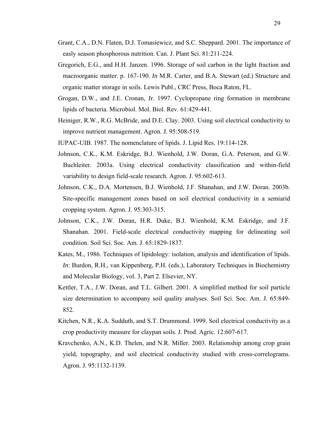- Grant, C.A., D.N. Flaten, D.J. Tomasiewicz, and S.C. Sheppard. 2001. The importance of easly season phosphorous nutrition. Can. J. Plant Sci. 81:211-224.
- Gregorich, E.G., and H.H. Janzen. 1996. Storage of soil carbon in the light fraction and macroorganic matter. p. 167-190. *In* M.R. Carter, and B.A. Stewart (ed.) Structure and organic matter storage in soils. Lewis Publ., CRC Press, Boca Raton, FL.
- Grogan, D.W., and J.E. Cronan, Jr. 1997. Cyclopropane ring formation in membrane lipids of bacteria. Microbiol. Mol. Biol. Rev. 61:429-441.
- Heiniger, R.W., R.G. McBride, and D.E. Clay. 2003. Using soil electrical conductivity to improve nutrient management. Agron. J. 95:508-519.
- IUPAC-UIB. 1987. The nomenclature of lipids. J. Lipid Res. 19:114-128.
- Johnson, C.K., K.M. Eskridge, B.J. Wienhold, J.W. Doran, G.A. Peterson, and G.W. Buchleiter. 2003a. Using electrical conductivity classification and within-field variability to design field-scale research. Agron. J. 95:602-613.
- Johnson, C.K., D.A. Mortensen, B.J. Wienhold, J.F. Shanahan, and J.W. Doran. 2003b. Site-specific management zones based on soil electrical conductivity in a semiarid cropping system. Agron. J. 95:303-315.
- Johnson, C.K., J.W. Doran, H.R. Duke, B.J. Wienhold, K.M. Eskridge, and J.F. Shanahan. 2001. Field-scale electrical conductivity mapping for delineating soil condition. Soil Sci. Soc. Am. J. 65:1829-1837.
- Kates, M., 1986. Techniques of lipidology: isolation, analysis and identification of lipids. *In*: Burdon, R.H., van Kippenberg, P.H. (eds.), Laboratory Techniques in Biochemistry and Molecular Biology, vol. 3, Part 2. Elsevier, NY.
- Kettler, T.A., J.W. Doran, and T.L. Gilbert. 2001. A simplified method for soil particle size determination to accompany soil quality analyses. Soil Sci. Soc. Am. J. 65:849- 852.
- Kitchen, N.R., K.A. Sudduth, and S.T. Drummond. 1999. Soil electrical conductivity as a crop productivity measure for claypan soils. J. Prod. Agric. 12:607-617.
- Kravchenko, A.N., K.D. Thelen, and N.R. Miller. 2003. Relationship among crop grain yield, topography, and soil electrical conductivity studied with cross-correlograms. Agron. J. 95:1132-1139.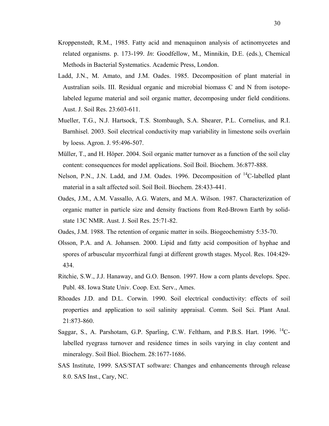- Kroppenstedt, R.M., 1985. Fatty acid and menaquinon analysis of actinomycetes and related organisms. p. 173-199. *In*: Goodfellow, M., Minnikin, D.E. (eds.), Chemical Methods in Bacterial Systematics. Academic Press, London.
- Ladd, J.N., M. Amato, and J.M. Oades. 1985. Decomposition of plant material in Australian soils. III. Residual organic and microbial biomass C and N from isotopelabeled legume material and soil organic matter, decomposing under field conditions. Aust. J. Soil Res. 23:603-611.
- Mueller, T.G., N.J. Hartsock, T.S. Stombaugh, S.A. Shearer, P.L. Cornelius, and R.I. Barnhisel. 2003. Soil electrical conductivity map variability in limestone soils overlain by loess. Agron. J. 95:496-507.
- Müller, T., and H. Höper. 2004. Soil organic matter turnover as a function of the soil clay content: consequences for model applications. Soil Boil. Biochem. 36:877-888.
- Nelson, P.N., J.N. Ladd, and J.M. Oades. 1996. Decomposition of <sup>14</sup>C-labelled plant material in a salt affected soil. Soil Boil. Biochem. 28:433-441.
- Oades, J.M., A.M. Vassallo, A.G. Waters, and M.A. Wilson. 1987. Characterization of organic matter in particle size and density fractions from Red-Brown Earth by solidstate 13C NMR. Aust. J. Soil Res. 25:71-82.
- Oades, J.M. 1988. The retention of organic matter in soils. Biogeochemistry 5:35-70.
- Olsson, P.A. and A. Johansen. 2000. Lipid and fatty acid composition of hyphae and spores of arbuscular mycorrhizal fungi at different growth stages. Mycol. Res. 104:429- 434.
- Ritchie, S.W., J.J. Hanaway, and G.O. Benson. 1997. How a corn plants develops. Spec. Publ. 48. Iowa State Univ. Coop. Ext. Serv., Ames.
- Rhoades J.D. and D.L. Corwin. 1990. Soil electrical conductivity: effects of soil properties and application to soil salinity appraisal. Comm. Soil Sci. Plant Anal. 21:873-860.
- Saggar, S., A. Parshotam, G.P. Sparling, C.W. Feltham, and P.B.S. Hart. 1996. <sup>14</sup>Clabelled ryegrass turnover and residence times in soils varying in clay content and mineralogy. Soil Biol. Biochem. 28:1677-1686.
- SAS Institute, 1999. SAS/STAT software: Changes and enhancements through release 8.0. SAS Inst., Cary, NC.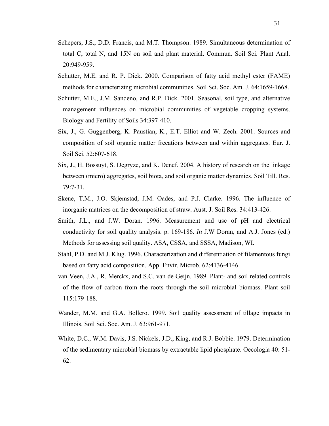- Schepers, J.S., D.D. Francis, and M.T. Thompson. 1989. Simultaneous determination of total C, total N, and 15N on soil and plant material. Commun. Soil Sci. Plant Anal. 20:949-959.
- Schutter, M.E. and R. P. Dick. 2000. Comparison of fatty acid methyl ester (FAME) methods for characterizing microbial communities. Soil Sci. Soc. Am. J. 64:1659-1668.
- Schutter, M.E., J.M. Sandeno, and R.P. Dick. 2001. Seasonal, soil type, and alternative management influences on microbial communities of vegetable cropping systems. Biology and Fertility of Soils 34:397-410.
- Six, J., G. Guggenberg, K. Paustian, K., E.T. Elliot and W. Zech. 2001. Sources and composition of soil organic matter frecations between and within aggregates. Eur. J. Soil Sci. 52:607-618.
- Six, J., H. Bossuyt, S. Degryze, and K. Denef. 2004. A history of research on the linkage between (micro) aggregates, soil biota, and soil organic matter dynamics. Soil Till. Res. 79:7-31.
- Skene, T.M., J.O. Skjemstad, J.M. Oades, and P.J. Clarke. 1996. The influence of inorganic matrices on the decomposition of straw. Aust. J. Soil Res. 34:413-426.
- Smith, J.L., and J.W. Doran. 1996. Measurement and use of pH and electrical conductivity for soil quality analysis. p. 169-186. *In* J.W Doran, and A.J. Jones (ed.) Methods for assessing soil quality. ASA, CSSA, and SSSA, Madison, WI.
- Stahl, P.D. and M.J. Klug. 1996. Characterization and differentiation of filamentous fungi based on fatty acid composition. App. Envir. Microb. 62:4136-4146.
- van Veen, J.A., R. Merckx, and S.C. van de Geijn. 1989. Plant- and soil related controls of the flow of carbon from the roots through the soil microbial biomass. Plant soil 115:179-188.
- Wander, M.M. and G.A. Bollero. 1999. Soil quality assessment of tillage impacts in Illinois. Soil Sci. Soc. Am. J. 63:961-971.
- White, D.C., W.M. Davis, J.S. Nickels, J.D., King, and R.J. Bobbie. 1979. Determination of the sedimentary microbial biomass by extractable lipid phosphate. Oecologia 40: 51- 62.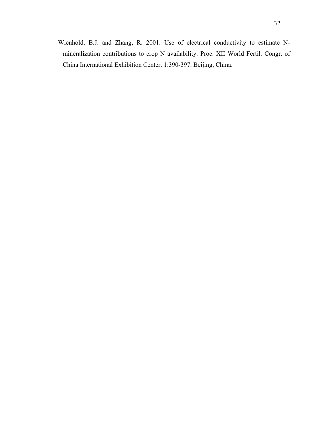Wienhold, B.J. and Zhang, R. 2001. Use of electrical conductivity to estimate Nmineralization contributions to crop N availability. Proc. XII World Fertil. Congr. of China International Exhibition Center. 1:390-397. Beijing, China.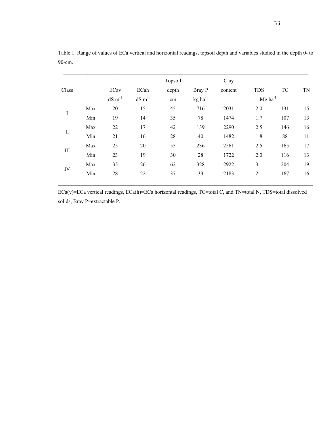|              |     |                |                       | Topsoil |                       | Clay    |            |     |    |
|--------------|-----|----------------|-----------------------|---------|-----------------------|---------|------------|-----|----|
| Class        |     | ECav           | ECah                  | depth   | Bray P                | content | <b>TDS</b> | TC  | TN |
|              |     | $dS \, m^{-1}$ | $dS \, \text{m}^{-1}$ | cm      | $kg$ ha <sup>-1</sup> |         |            |     |    |
| Ι            | Max | 20             | 15                    | 45      | 716                   | 2031    | 2.0        | 131 | 15 |
|              | Min | 19             | 14                    | 35      | 78                    | 1474    | 1.7        | 107 | 13 |
| $\mathbf{I}$ | Max | 22             | 17                    | 42      | 139                   | 2290    | 2.5        | 146 | 16 |
|              | Min | 21             | 16                    | 28      | 40                    | 1482    | 1.8        | 88  | 11 |
| Ш            | Max | 25             | 20                    | 55      | 236                   | 2561    | 2.5        | 165 | 17 |
|              | Min | 23             | 19                    | 30      | 28                    | 1722    | 2.0        | 116 | 13 |
| IV           | Max | 35             | 26                    | 62      | 328                   | 2922    | 3.1        | 204 | 19 |
|              | Min | 28             | 22                    | 37      | 33                    | 2183    | 2.1        | 167 | 16 |
|              |     |                |                       |         |                       |         |            |     |    |

Table 1. Range of values of ECa vertical and horizontal readings, topsoil depth and variables studied in the depth 0- to 90-cm.

ECa(v)=ECa vertical readings, ECa(h)=ECa horizontal readings, TC=total C, and TN=total N, TDS=total dissolved solids, Bray P=extractable P.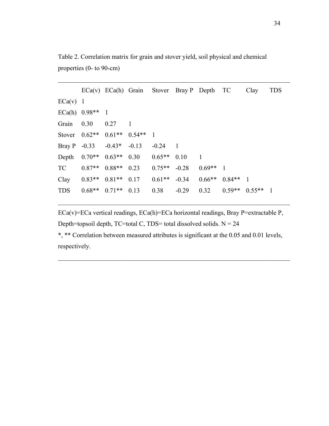Table 2. Correlation matrix for grain and stover yield, soil physical and chemical properties (0- to 90-cm)

|                 |                         |                 |         |                |                | $ECa(v)$ $ECa(h)$ Grain Stover Bray P Depth TC |                | Clay           | <b>TDS</b>     |
|-----------------|-------------------------|-----------------|---------|----------------|----------------|------------------------------------------------|----------------|----------------|----------------|
| $ECa(v)$ 1      |                         |                 |         |                |                |                                                |                |                |                |
| ECa(h) $0.98**$ |                         | $\overline{1}$  |         |                |                |                                                |                |                |                |
| Grain           | 0.30                    | 0.27            |         |                |                |                                                |                |                |                |
| Stover          | $0.62**$                | $0.61**$ 0.54** |         | $\overline{1}$ |                |                                                |                |                |                |
|                 | Bray P $-0.33$ $-0.43*$ |                 | $-0.13$ | $-0.24$        | $\blacksquare$ |                                                |                |                |                |
|                 | Depth $0.70**$ $0.63**$ |                 | 0.30    | $0.65**$       | 0.10           | $\overline{1}$                                 |                |                |                |
| <b>TC</b>       | $0.87**$                | $0.88**$        | 0.23    | $0.75**$       | $-0.28$        | $0.69**$                                       | $\overline{1}$ |                |                |
| Clay            | $0.83**$                | $0.81**$        | 0.17    | $0.61**$       | $-0.34$        | $0.66**$                                       | $0.84**$       | $\overline{1}$ |                |
| <b>TDS</b>      | $0.68**$                | $0.71**$        | 0.13    | 0.38           | $-0.29$        | 0.32                                           | $0.59**$       | $0.55**$       | $\overline{1}$ |

 $\_$  , and the set of the set of the set of the set of the set of the set of the set of the set of the set of the set of the set of the set of the set of the set of the set of the set of the set of the set of the set of th

ECa(v)=ECa vertical readings, ECa(h)=ECa horizontal readings, Bray P=extractable P, Depth=topsoil depth,  $TC$ =total  $C$ ,  $TDS$ =total dissolved solids.  $N = 24$ 

 $\_$  , and the set of the set of the set of the set of the set of the set of the set of the set of the set of the set of the set of the set of the set of the set of the set of the set of the set of the set of the set of th

\*, \*\* Correlation between measured attributes is significant at the 0.05 and 0.01 levels, respectively.

 $\_$  , and the set of the set of the set of the set of the set of the set of the set of the set of the set of the set of the set of the set of the set of the set of the set of the set of the set of the set of the set of th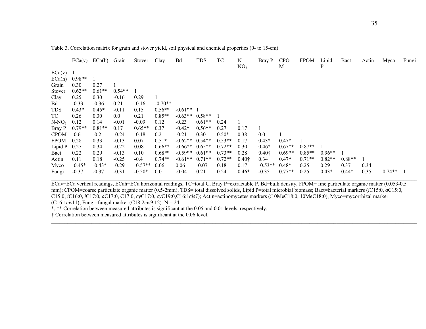|             | ECa(v)   | ECa(h)   | Grain    | Stover    | Clay      | Bd        | TDS      | TC       | N-<br>NO <sub>3</sub> | Bray P        | <b>CPO</b><br>M | <b>FPOM</b> | Lipid<br>P | Bact     | Actin | Myco     | Fungi |
|-------------|----------|----------|----------|-----------|-----------|-----------|----------|----------|-----------------------|---------------|-----------------|-------------|------------|----------|-------|----------|-------|
| ECa(v)      |          |          |          |           |           |           |          |          |                       |               |                 |             |            |          |       |          |       |
| ECa(h)      | $0.98**$ |          |          |           |           |           |          |          |                       |               |                 |             |            |          |       |          |       |
| Grain       | 0.30     | 0.27     |          |           |           |           |          |          |                       |               |                 |             |            |          |       |          |       |
| Stover      | $0.62**$ | $0.61**$ | $0.54**$ |           |           |           |          |          |                       |               |                 |             |            |          |       |          |       |
| Clay        | 0.25     | 0.30     | $-0.16$  | 0.29      |           |           |          |          |                       |               |                 |             |            |          |       |          |       |
| Bd          | $-0.33$  | $-0.36$  | 0.21     | $-0.16$   | $-0.70**$ |           |          |          |                       |               |                 |             |            |          |       |          |       |
| <b>TDS</b>  | $0.43*$  | $0.45*$  | $-0.11$  | 0.15      | $0.56**$  | $-0.61**$ |          |          |                       |               |                 |             |            |          |       |          |       |
| TC          | 0.26     | 0.30     | 0.0      | 0.21      | $0.85**$  | $-0.63**$ | $0.58**$ |          |                       |               |                 |             |            |          |       |          |       |
| $N-NO_3$    | 0.12     | 0.14     | $-0.01$  | $-0.09$   | 0.12      | $-0.23$   | $0.61**$ | 0.24     |                       |               |                 |             |            |          |       |          |       |
| Bray P      | $0.79**$ | $0.81**$ | 0.17     | $0.65**$  | 0.37      | $-0.42*$  | $0.56**$ | 0.27     | 0.17                  |               |                 |             |            |          |       |          |       |
| <b>CPOM</b> | $-0.6$   | $-0.2$   | $-0.24$  | $-0.18$   | 0.21      | $-0.21$   | 0.30     | $0.50*$  | 0.38                  | 0.0           |                 |             |            |          |       |          |       |
| <b>FPOM</b> | 0.28     | 0.33     | $-0.13$  | 0.07      | $0.51*$   | $-0.62**$ | $0.54**$ | $0.53**$ | 0.17                  | $0.43*$       | $0.47*$         |             |            |          |       |          |       |
| Lipid P     | 0.27     | 0.34     | $-0.22$  | 0.08      | $0.66**$  | $-0.66**$ | $0.65**$ | $0.72**$ | 0.30                  | $0.46*$       | $0.67**$        | $0.87**$    |            |          |       |          |       |
| Bact        | 0.22     | 0.29     | $-0.13$  | 0.10      | $0.68**$  | $-0.59**$ | $0.61**$ | $0.73**$ | 0.28                  | $0.40\dagger$ | $0.69**$        | $0.85**$    | $0.96**$   |          |       |          |       |
| Actin       | 0.11     | 0.18     | $-0.25$  | $-0.4$    | $0.74**$  | $-0.61**$ | $0.71**$ | $0.72**$ | $0.40\dagger$         | 0.34          | $0.47*$         | $0.71**$    | $0.82**$   | $0.88**$ |       |          |       |
| Myco        | $-0.45*$ | $-0.43*$ | $-0.29$  | $-0.57**$ | 0.06      | 0.06      | $-0.07$  | 0.18     | 0.17                  | $-0.53**$     | $0.48*$         | 0.25        | 0.29       | 0.37     | 0.34  |          |       |
| Fungi       | $-0.37$  | $-0.37$  | $-0.31$  | $-0.50*$  | 0.0       | $-0.04$   | 0.21     | 0.24     | $0.46*$               | $-0.35$       | $0.77**$        | 0.25        | $0.43*$    | $0.44*$  | 0.35  | $0.74**$ |       |

Table 3. Correlation matrix for grain and stover yield, soil physical and chemical properties (0- to 15-cm)

ECav=ECa vertical readings, ECah=ECa horizontal readings, TC=total C, Bray P=extractable P, Bd=bulk density, FPOM= fine particulate organic matter (0.053-0.5 mm); CPOM=coarse particulate organic matter (0.5-2mm), TDS= total dissolved solids, Lipid P=total microbial biomass; Bact=bacterial markers (*iC*15:0, *aC*15:0, C15:0, *i*C16:0, *i*C17:0, *a*C17:0, C17:0, *cy*C17:0, *cy*C19:0,C16:1*cis*7); Actin=actinomycetes markers (*i*10MeC18:0, 10MeC18:0), Myco=mycorrhizal marker (C16:1*cis*11); Fungi=fungal marker (C18:2*cis*9,12). N = 24.

\_\_\_\_\_\_\_\_\_\_\_\_\_\_\_\_\_\_\_\_\_\_\_\_\_\_\_\_\_\_\_\_\_\_\_\_\_\_\_\_\_\_\_\_\_\_\_\_\_\_\_\_\_\_\_\_\_\_\_\_\_\_\_\_\_\_\_\_\_\_\_\_\_\_\_\_\_\_\_\_\_\_\_\_\_\_\_\_\_\_\_\_\_\_\_\_\_\_\_\_\_\_\_\_\_\_\_\_\_\_\_\_\_\_\_\_\_\_\_\_\_\_\_\_\_\_\_\_\_\_\_\_\_\_\_\_

\*, \*\* Correlation between measured attributes is significant at the 0.05 and 0.01 levels, respectively.

† Correlation between measured attributes is significant at the 0.06 level.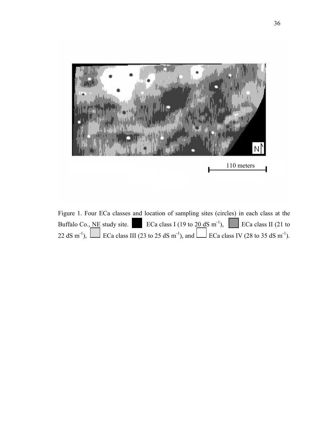

Figure 1. Four ECa classes and location of sampling sites (circles) in each class at the Buffalo Co., NE study site. ECa class I (19 to  $20 \text{ dS m}^{-1}$ ), ECa class II (21 to 22 dS m<sup>-1</sup>),  $\Box$  ECa class III (23 to 25 dS m<sup>-1</sup>), and  $\Box$  ECa class IV (28 to 35 dS m<sup>-1</sup>).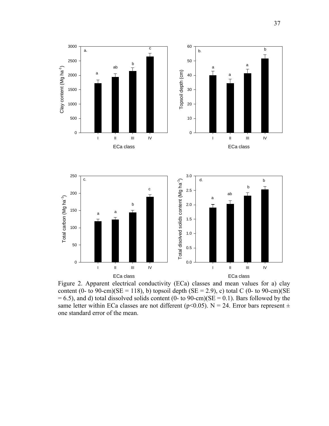



Figure 2. Apparent electrical conductivity (ECa) classes and mean values for a) clay content (0- to 90-cm)( $SE = 118$ ), b) topsoil depth ( $SE = 2.9$ ), c) total C (0- to 90-cm)( $SE = 118$ )  $= 6.5$ ), and d) total dissolved solids content (0- to 90-cm)(SE  $= 0.1$ ). Bars followed by the same letter within ECa classes are not different (p<0.05). N = 24. Error bars represent  $\pm$ one standard error of the mean.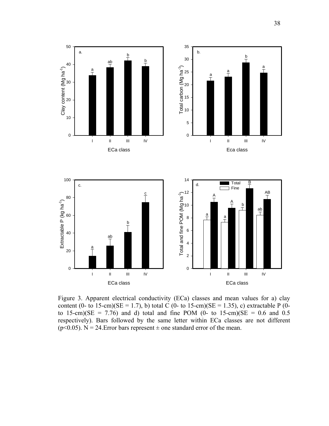



Figure 3. Apparent electrical conductivity (ECa) classes and mean values for a) clay content (0- to 15-cm)(SE = 1.7), b) total C (0- to 15-cm)(SE = 1.35), c) extractable P (0to 15-cm)( $SE = 7.76$ ) and d) total and fine POM (0- to 15-cm)( $SE = 0.6$  and 0.5 respectively). Bars followed by the same letter within ECa classes are not different ( $p$ <0.05). N = 24. Error bars represent  $\pm$  one standard error of the mean.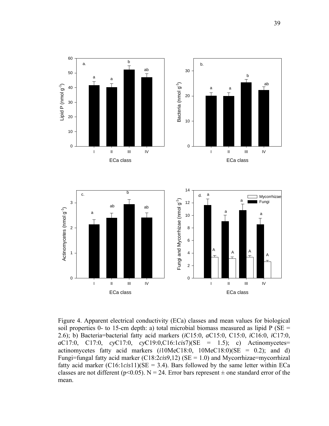

Figure 4. Apparent electrical conductivity (ECa) classes and mean values for biological soil properties 0- to 15-cm depth: a) total microbial biomass measured as lipid  $P(SE =$ 2.6); b) Bacteria=bacterial fatty acid markers (*i*C15:0, *a*C15:0, C15:0, *i*C16:0, *i*C17:0, *a*C17:0, C17:0, *cy*C17:0, *cy*C19:0,C16:1*cis*7)(SE = 1.5); c) Actinomycetes= actinomycetes fatty acid markers (*i*10MeC18:0, 10MeC18:0)(SE = 0.2); and d) Fungi=fungal fatty acid marker (C18:2*cis*9,12) (SE = 1.0) and Mycorrhizae=mycorrhizal fatty acid marker  $(C16:1*cis*11)(SE = 3.4)$ . Bars followed by the same letter within ECa classes are not different ( $p<0.05$ ). N = 24. Error bars represent  $\pm$  one standard error of the mean.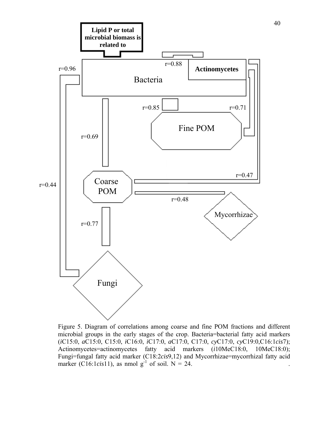

Figure 5. Diagram of correlations among coarse and fine POM fractions and different microbial groups in the early stages of the crop. Bacteria=bacterial fatty acid markers (*i*C15:0, *a*C15:0, C15:0, *i*C16:0, *i*C17:0, *a*C17:0, C17:0, *cy*C17:0, *cy*C19:0,C16:1*cis*7); Actinomycetes=actinomycetes fatty acid markers (*i*10MeC18:0, 10MeC18:0); Fungi=fungal fatty acid marker (C18:2*cis*9,12) and Mycorrhizae=mycorrhizal fatty acid marker (C16:1*cis*11), as nmol  $g^{-1}$  of soil.  $N = 24$ .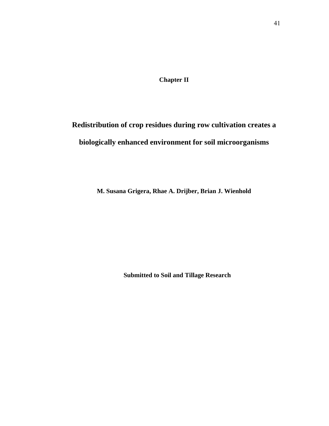**Chapter II** 

# **Redistribution of crop residues during row cultivation creates a biologically enhanced environment for soil microorganisms**

**M. Susana Grigera, Rhae A. Drijber, Brian J. Wienhold** 

**Submitted to Soil and Tillage Research**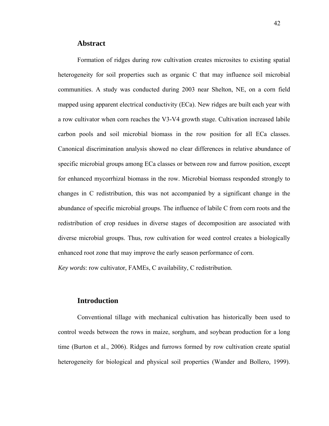## **Abstract**

Formation of ridges during row cultivation creates microsites to existing spatial heterogeneity for soil properties such as organic C that may influence soil microbial communities. A study was conducted during 2003 near Shelton, NE, on a corn field mapped using apparent electrical conductivity (ECa). New ridges are built each year with a row cultivator when corn reaches the V3-V4 growth stage. Cultivation increased labile carbon pools and soil microbial biomass in the row position for all ECa classes. Canonical discrimination analysis showed no clear differences in relative abundance of specific microbial groups among ECa classes or between row and furrow position, except for enhanced mycorrhizal biomass in the row. Microbial biomass responded strongly to changes in C redistribution, this was not accompanied by a significant change in the abundance of specific microbial groups. The influence of labile C from corn roots and the redistribution of crop residues in diverse stages of decomposition are associated with diverse microbial groups. Thus, row cultivation for weed control creates a biologically enhanced root zone that may improve the early season performance of corn.

*Key words*: row cultivator, FAMEs, C availability, C redistribution.

# **Introduction**

Conventional tillage with mechanical cultivation has historically been used to control weeds between the rows in maize, sorghum, and soybean production for a long time (Burton et al., 2006). Ridges and furrows formed by row cultivation create spatial heterogeneity for biological and physical soil properties (Wander and Bollero, 1999).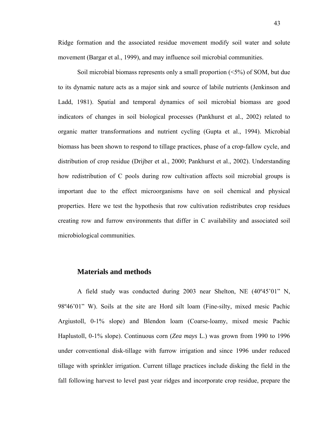Ridge formation and the associated residue movement modify soil water and solute movement (Bargar et al., 1999), and may influence soil microbial communities.

Soil microbial biomass represents only a small proportion (<5%) of SOM, but due to its dynamic nature acts as a major sink and source of labile nutrients (Jenkinson and Ladd, 1981). Spatial and temporal dynamics of soil microbial biomass are good indicators of changes in soil biological processes (Pankhurst et al., 2002) related to organic matter transformations and nutrient cycling (Gupta et al., 1994). Microbial biomass has been shown to respond to tillage practices, phase of a crop-fallow cycle, and distribution of crop residue (Drijber et al., 2000; Pankhurst et al., 2002). Understanding how redistribution of C pools during row cultivation affects soil microbial groups is important due to the effect microorganisms have on soil chemical and physical properties. Here we test the hypothesis that row cultivation redistributes crop residues creating row and furrow environments that differ in C availability and associated soil microbiological communities.

## **Materials and methods**

A field study was conducted during 2003 near Shelton, NE (40º45'01" N, 98º46'01" W). Soils at the site are Hord silt loam (Fine-silty, mixed mesic Pachic Argiustoll, 0-1% slope) and Blendon loam (Coarse-loamy, mixed mesic Pachic Haplustoll, 0-1% slope). Continuous corn (*Zea mays* L.) was grown from 1990 to 1996 under conventional disk-tillage with furrow irrigation and since 1996 under reduced tillage with sprinkler irrigation. Current tillage practices include disking the field in the fall following harvest to level past year ridges and incorporate crop residue, prepare the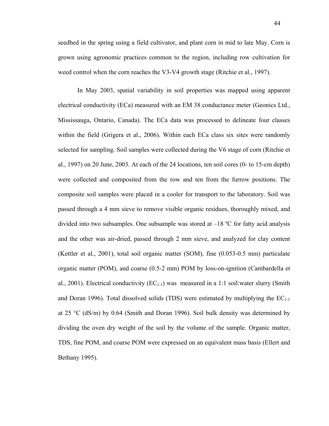seedbed in the spring using a field cultivator, and plant corn in mid to late May. Corn is grown using agronomic practices common to the region, including row cultivation for weed control when the corn reaches the V3-V4 growth stage (Ritchie et al., 1997).

In May 2003, spatial variability in soil properties was mapped using apparent electrical conductivity (ECa) measured with an EM 38 conductance meter (Geonics Ltd., Mississauga, Ontario, Canada). The ECa data was processed to delineate four classes within the field (Grigera et al., 2006). Within each ECa class six sites were randomly selected for sampling. Soil samples were collected during the V6 stage of corn (Ritchie et al., 1997) on 20 June, 2003. At each of the 24 locations, ten soil cores (0- to 15-cm depth) were collected and composited from the row and ten from the furrow positions. The composite soil samples were placed in a cooler for transport to the laboratory. Soil was passed through a 4 mm sieve to remove visible organic residues, thoroughly mixed, and divided into two subsamples. One subsample was stored at  $-18$  °C for fatty acid analysis and the other was air-dried, passed through 2 mm sieve, and analyzed for clay content (Kettler et al., 2001), total soil organic matter (SOM), fine (0.053-0.5 mm) particulate organic matter (POM), and coarse (0.5-2 mm) POM by loss-on-ignition (Cambardella et al., 2001). Electrical conductivity  $(EC_{1:1})$  was measured in a 1:1 soil:water slurry (Smith and Doran 1996). Total dissolved solids (TDS) were estimated by multiplying the  $EC_{1:1}$ at 25 °C (dS/m) by 0.64 (Smith and Doran 1996). Soil bulk density was determined by dividing the oven dry weight of the soil by the volume of the sample. Organic matter, TDS, fine POM, and coarse POM were expressed on an equivalent mass basis (Ellert and Bethany 1995).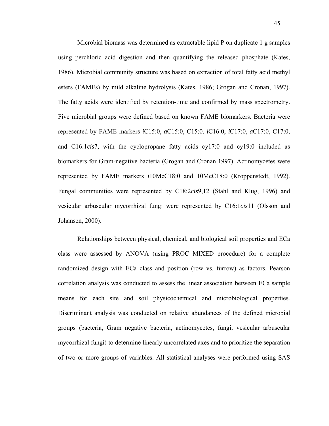Microbial biomass was determined as extractable lipid P on duplicate 1 g samples using perchloric acid digestion and then quantifying the released phosphate (Kates, 1986). Microbial community structure was based on extraction of total fatty acid methyl esters (FAMEs) by mild alkaline hydrolysis (Kates, 1986; Grogan and Cronan, 1997). The fatty acids were identified by retention-time and confirmed by mass spectrometry. Five microbial groups were defined based on known FAME biomarkers. Bacteria were represented by FAME markers *i*C15:0, *a*C15:0, C15:0, *i*C16:0, *i*C17:0, *a*C17:0, C17:0, and C16:1*cis*7, with the cyclopropane fatty acids cy17:0 and cy19:0 included as biomarkers for Gram-negative bacteria (Grogan and Cronan 1997). Actinomycetes were represented by FAME markers *i*10MeC18:0 and 10MeC18:0 (Kroppenstedt, 1992). Fungal communities were represented by C18:2*cis*9,12 (Stahl and Klug, 1996) and vesicular arbuscular mycorrhizal fungi were represented by C16:1*cis*11 (Olsson and Johansen, 2000).

Relationships between physical, chemical, and biological soil properties and ECa class were assessed by ANOVA (using PROC MIXED procedure) for a complete randomized design with ECa class and position (row vs. furrow) as factors. Pearson correlation analysis was conducted to assess the linear association between ECa sample means for each site and soil physicochemical and microbiological properties. Discriminant analysis was conducted on relative abundances of the defined microbial groups (bacteria, Gram negative bacteria, actinomycetes, fungi, vesicular arbuscular mycorrhizal fungi) to determine linearly uncorrelated axes and to prioritize the separation of two or more groups of variables. All statistical analyses were performed using SAS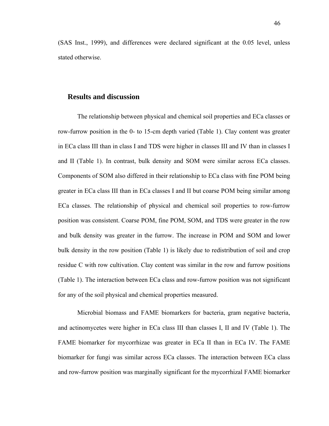(SAS Inst., 1999), and differences were declared significant at the 0.05 level, unless stated otherwise.

## **Results and discussion**

The relationship between physical and chemical soil properties and ECa classes or row-furrow position in the 0- to 15-cm depth varied (Table 1). Clay content was greater in ECa class III than in class I and TDS were higher in classes III and IV than in classes I and II (Table 1). In contrast, bulk density and SOM were similar across ECa classes. Components of SOM also differed in their relationship to ECa class with fine POM being greater in ECa class III than in ECa classes I and II but coarse POM being similar among ECa classes. The relationship of physical and chemical soil properties to row-furrow position was consistent. Coarse POM, fine POM, SOM, and TDS were greater in the row and bulk density was greater in the furrow. The increase in POM and SOM and lower bulk density in the row position (Table 1) is likely due to redistribution of soil and crop residue C with row cultivation. Clay content was similar in the row and furrow positions (Table 1). The interaction between ECa class and row-furrow position was not significant for any of the soil physical and chemical properties measured.

Microbial biomass and FAME biomarkers for bacteria, gram negative bacteria, and actinomycetes were higher in ECa class III than classes I, II and IV (Table 1). The FAME biomarker for mycorrhizae was greater in ECa II than in ECa IV. The FAME biomarker for fungi was similar across ECa classes. The interaction between ECa class and row-furrow position was marginally significant for the mycorrhizal FAME biomarker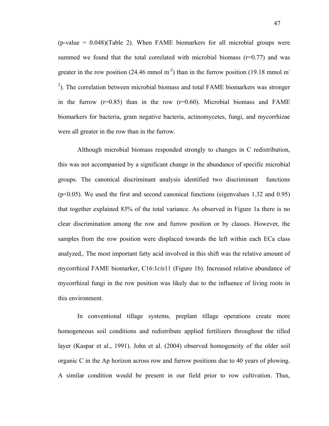$(p-value = 0.048)(Table 2)$ . When FAME biomarkers for all microbial groups were summed we found that the total correlated with microbial biomass  $(r=0.77)$  and was greater in the row position (24.46 mmol m<sup>-2</sup>) than in the furrow position (19.18 mmol m<sup>-1</sup>)  $2$ ). The correlation between microbial biomass and total FAME biomarkers was stronger in the furrow  $(r=0.85)$  than in the row  $(r=0.60)$ . Microbial biomass and FAME biomarkers for bacteria, gram negative bacteria, actinomycetes, fungi, and mycorrhizae were all greater in the row than in the furrow.

Although microbial biomass responded strongly to changes in C redistribution, this was not accompanied by a significant change in the abundance of specific microbial groups. The canonical discriminant analysis identified two discriminant functions  $(p<0.05)$ . We used the first and second canonical functions (eigenvalues 1.32 and 0.95) that together explained 83% of the total variance. As observed in Figure 1a there is no clear discrimination among the row and furrow position or by classes. However, the samples from the row position were displaced towards the left within each ECa class analyzed,. The most important fatty acid involved in this shift was the relative amount of mycorrhizal FAME biomarker, C16:1*cis*11 (Figure 1b). Increased relative abundance of mycorrhizal fungi in the row position was likely due to the influence of living roots in this environment.

In conventional tillage systems, preplant tillage operations create more homogeneous soil conditions and redistribute applied fertilizers throughout the tilled layer (Kaspar et al., 1991). John et al. (2004) observed homogeneity of the older soil organic C in the Ap horizon across row and furrow positions due to 40 years of plowing. A similar condition would be present in our field prior to row cultivation. Thus,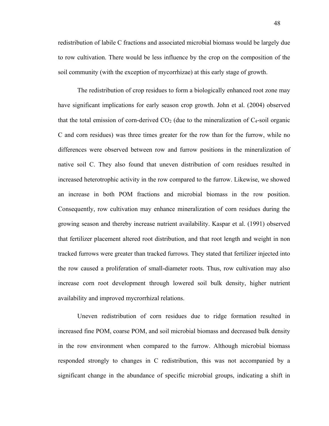redistribution of labile C fractions and associated microbial biomass would be largely due to row cultivation. There would be less influence by the crop on the composition of the soil community (with the exception of mycorrhizae) at this early stage of growth.

The redistribution of crop residues to form a biologically enhanced root zone may have significant implications for early season crop growth. John et al. (2004) observed that the total emission of corn-derived  $CO<sub>2</sub>$  (due to the mineralization of  $C<sub>4</sub>$ -soil organic C and corn residues) was three times greater for the row than for the furrow, while no differences were observed between row and furrow positions in the mineralization of native soil C. They also found that uneven distribution of corn residues resulted in increased heterotrophic activity in the row compared to the furrow. Likewise, we showed an increase in both POM fractions and microbial biomass in the row position. Consequently, row cultivation may enhance mineralization of corn residues during the growing season and thereby increase nutrient availability. Kaspar et al. (1991) observed that fertilizer placement altered root distribution, and that root length and weight in non tracked furrows were greater than tracked furrows. They stated that fertilizer injected into the row caused a proliferation of small-diameter roots. Thus, row cultivation may also increase corn root development through lowered soil bulk density, higher nutrient availability and improved mycrorrhizal relations.

Uneven redistribution of corn residues due to ridge formation resulted in increased fine POM, coarse POM, and soil microbial biomass and decreased bulk density in the row environment when compared to the furrow. Although microbial biomass responded strongly to changes in C redistribution, this was not accompanied by a significant change in the abundance of specific microbial groups, indicating a shift in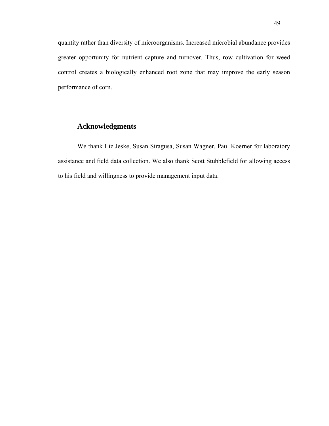quantity rather than diversity of microorganisms. Increased microbial abundance provides greater opportunity for nutrient capture and turnover. Thus, row cultivation for weed control creates a biologically enhanced root zone that may improve the early season performance of corn.

# **Acknowledgments**

We thank Liz Jeske, Susan Siragusa, Susan Wagner, Paul Koerner for laboratory assistance and field data collection. We also thank Scott Stubblefield for allowing access to his field and willingness to provide management input data.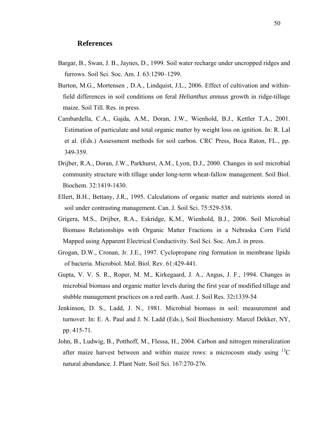## **References**

- Bargar, B., Swan, J. B., Jaynes, D., 1999. Soil water recharge under uncropped ridges and furrows. Soil Sci. Soc. Am. J. 63:1290–1299.
- Burton, M.G., Mortensen , D.A., Lindquist, J.L., 2006. Effect of cultivation and withinfield differences in soil conditions on feral *Helianthus annuus* growth in ridge-tillage maize. Soil Till. Res. in press.
- Cambardella, C.A., Gajda, A.M., Doran, J.W., Wienhold, B.J., Kettler T.A., 2001. Estimation of particulate and total organic matter by weight loss on ignition. In: R. Lal et al. (Eds.) Assessment methods for soil carbon. CRC Press, Boca Raton, FL., pp. 349-359.
- Drijber, R.A., Doran, J.W., Parkhurst, A.M., Lyon, D.J., 2000. Changes in soil microbial community structure with tillage under long-term wheat-fallow management. Soil Biol. Biochem. 32:1419-1430.
- Ellert, B.H., Bettany, J.R., 1995. Calculations of organic matter and nutrients stored in soil under contrasting management. Can. J. Soil Sci. 75:529-538.
- Grigera, M.S., Drijber, R.A., Eskridge, K.M., Wienhold, B.J., 2006. Soil Microbial Biomass Relationships with Organic Matter Fractions in a Nebraska Corn Field Mapped using Apparent Electrical Conductivity. Soil Sci. Soc. Am.J. in press.
- Grogan, D.W., Cronan, Jr. J.E., 1997. Cyclopropane ring formation in membrane lipids of bacteria. Microbiol. Mol. Biol. Rev. 61:429-441.
- Gupta, V. V. S. R., Roper, M. M., Kirkegaard, J. A., Angus, J. F., 1994. Changes in microbial biomass and organic matter levels during the first year of modified tillage and stubble management practices on a red earth. Aust. J. Soil Res. 32**:**1339-54
- Jenkinson, D. S., Ladd, J. N., 1981. Microbial biomass in soil: measurement and turnover. In: E. A. Paul and J. N. Ladd (Eds.), Soil Biochemistry. Marcel Dekker, NY, pp. 415-71.
- John, B., Ludwig, B., Potthoff, M., Flessa, H., 2004. Carbon and nitrogen mineralization after maize harvest between and within maize rows: a microcosm study using  ${}^{13}C$ natural abundance. J. Plant Nutr. Soil Sci. 167:270-276.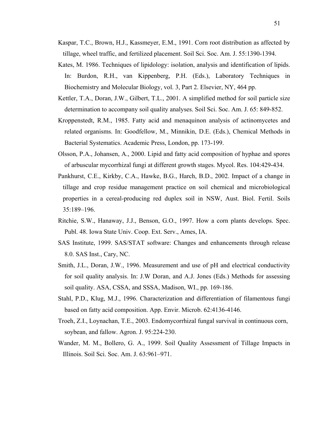- Kaspar, T.C., Brown, H.J., Kassmeyer, E.M., 1991. Corn root distribution as affected by tillage, wheel traffic, and fertilized placement. Soil Sci. Soc. Am. J. 55:1390-1394.
- Kates, M. 1986. Techniques of lipidology: isolation, analysis and identification of lipids. In: Burdon, R.H., van Kippenberg, P.H. (Eds.), Laboratory Techniques in Biochemistry and Molecular Biology, vol. 3, Part 2. Elsevier, NY, 464 pp.
- Kettler, T.A., Doran, J.W., Gilbert, T.L., 2001. A simplified method for soil particle size determination to accompany soil quality analyses. Soil Sci. Soc. Am. J. 65: 849-852.
- Kroppenstedt, R.M., 1985. Fatty acid and menaquinon analysis of actinomycetes and related organisms. In: Goodfellow, M., Minnikin, D.E. (Eds.), Chemical Methods in Bacterial Systematics. Academic Press, London, pp. 173-199.
- Olsson, P.A., Johansen, A., 2000. Lipid and fatty acid composition of hyphae and spores of arbuscular mycorrhizal fungi at different growth stages. Mycol. Res. 104:429-434.
- Pankhurst, C.E., Kirkby, C.A., Hawke, B.G., Harch, B.D., 2002. Impact of a change in tillage and crop residue management practice on soil chemical and microbiological properties in a cereal-producing red duplex soil in NSW, Aust. Biol. Fertil. Soils 35:189–196.
- Ritchie, S.W., Hanaway, J.J., Benson, G.O., 1997. How a corn plants develops. Spec. Publ. 48. Iowa State Univ. Coop. Ext. Serv., Ames, IA.
- SAS Institute, 1999. SAS/STAT software: Changes and enhancements through release 8.0. SAS Inst., Cary, NC.
- Smith, J.L., Doran, J.W., 1996. Measurement and use of pH and electrical conductivity for soil quality analysis. In: J.W Doran, and A.J. Jones (Eds.) Methods for assessing soil quality. ASA, CSSA, and SSSA, Madison, WI., pp. 169-186.
- Stahl, P.D., Klug, M.J., 1996. Characterization and differentiation of filamentous fungi based on fatty acid composition. App. Envir. Microb. 62:4136-4146.
- Troeh, Z.I., Loynachan, T.E., 2003. Endomycorrhizal fungal survival in continuous corn, soybean, and fallow. Agron. J. 95:224-230.
- Wander, M. M., Bollero, G. A., 1999. Soil Quality Assessment of Tillage Impacts in Illinois. Soil Sci. Soc. Am. J. 63:961–971.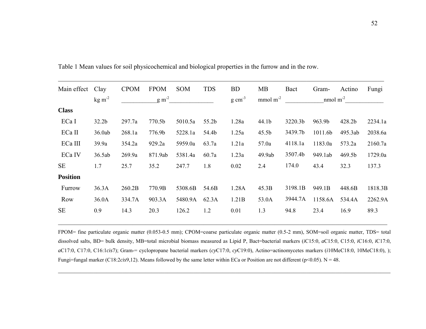| Main effect     | Clay              | <b>CPOM</b> | <b>FPOM</b>       | <b>SOM</b> | <b>TDS</b> | <b>BD</b>           | <b>MB</b>         | Bact    | Gram-           | Actino  | Fungi   |
|-----------------|-------------------|-------------|-------------------|------------|------------|---------------------|-------------------|---------|-----------------|---------|---------|
|                 | $\text{kg m}^2$   |             | g m <sup>-2</sup> |            |            | $g \text{ cm}^{-3}$ | $mmol m-2$        |         | $n \mod m^{-2}$ |         |         |
| <b>Class</b>    |                   |             |                   |            |            |                     |                   |         |                 |         |         |
| ECa I           | 32.2 <sub>b</sub> | 297.7a      | 770.5b            | 5010.5a    | 55.2b      | 1.28a               | 44.1b             | 3220.3b | 963.9b          | 428.2b  | 2234.1a |
| ECa II          | 36.0ab            | 268.1a      | 776.9b            | 5228.1a    | 54.4b      | 1.25a               | 45.5 <sub>b</sub> | 3439.7b | 1011.6b         | 495.3ab | 2038.6a |
| ECa III         | 39.9a             | 354.2a      | 929.2a            | 5959.0a    | 63.7a      | 1.21a               | 57.0a             | 4118.1a | 1183.0a         | 573.2a  | 2160.7a |
| ECa IV          | 36.5ab            | 269.9a      | 871.9ab           | 5381.4a    | 60.7a      | 1.23a               | 49.9ab            | 3507.4b | 949.1ab         | 469.5b  | 1729.0a |
| <b>SE</b>       | 1.7               | 25.7        | 35.2              | 247.7      | 1.8        | 0.02                | 2.4               | 174.0   | 43.4            | 32.3    | 137.3   |
| <b>Position</b> |                   |             |                   |            |            |                     |                   |         |                 |         |         |
| Furrow          | 36.3A             | 260.2B      | 770.9B            | 5308.6B    | 54.6B      | 1.28A               | 45.3B             | 3198.1B | 949.1B          | 448.6B  | 1818.3B |
| Row             | 36.0A             | 334.7A      | 903.3A            | 5480.9A    | 62.3A      | 1.21B               | 53.0A             | 3944.7A | 1158.6A         | 534.4A  | 2262.9A |
| <b>SE</b>       | 0.9               | 14.3        | 20.3              | 126.2      | 1.2        | 0.01                | 1.3               | 94.8    | 23.4            | 16.9    | 89.3    |

\_\_\_\_\_\_\_\_\_\_\_\_\_\_\_\_\_\_\_\_\_\_\_\_\_\_\_\_\_\_\_\_\_\_\_\_\_\_\_\_\_\_\_\_\_\_\_\_\_\_\_\_\_\_\_\_\_\_\_\_\_\_\_\_\_\_\_\_\_\_\_\_\_\_\_\_\_\_\_\_\_\_\_\_\_\_\_\_\_\_\_\_\_\_\_\_\_\_\_\_\_

Table 1 Mean values for soil physicochemical and biological properties in the furrow and in the row.

FPOM= fine particulate organic matter (0.053-0.5 mm); CPOM=coarse particulate organic matter (0.5-2 mm), SOM=soil organic matter, TDS= total dissolved salts, BD= bulk density, MB=total microbial biomass measured as Lipid P, Bact=bacterial markers (*i*C15:0, *<sup>a</sup>*C15:0, C15:0, *i*C16:0, *i*C17:0, *<sup>a</sup>*C17:0, C17:0, C16:1*cis*7); Gram-= cyclopropane bacterial markers (*cy*C17:0, *cy*C19:0), Actino=actinomycetes markers (*i*10MeC18:0, 10MeC18:0), ); Fungi=fungal marker (C18:2*cis*9,12). Means followed by the same letter within ECa or Position are not different (p<0.05). N = 48.

\_\_\_\_\_\_\_\_\_\_\_\_\_\_\_\_\_\_\_\_\_\_\_\_\_\_\_\_\_\_\_\_\_\_\_\_\_\_\_\_\_\_\_\_\_\_\_\_\_\_\_\_\_\_\_\_\_\_\_\_\_\_\_\_\_\_\_\_\_\_\_\_\_\_\_\_\_\_\_\_\_\_\_\_\_\_\_\_\_\_\_\_\_\_\_\_\_\_\_\_\_\_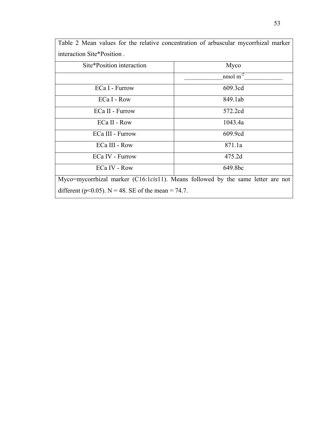| Site*Position interaction                                                                | Myco       |  |  |  |  |  |  |  |
|------------------------------------------------------------------------------------------|------------|--|--|--|--|--|--|--|
|                                                                                          | nmol $m-2$ |  |  |  |  |  |  |  |
| ECa I - Furrow                                                                           | 609.3cd    |  |  |  |  |  |  |  |
| ECa I - Row                                                                              | 849.1ab    |  |  |  |  |  |  |  |
| ECa II - Furrow                                                                          | 572.2cd    |  |  |  |  |  |  |  |
| ECa II - Row                                                                             | 1043.4a    |  |  |  |  |  |  |  |
| ECa III - Furrow                                                                         | 609.9cd    |  |  |  |  |  |  |  |
| ECa III - Row                                                                            | 871.1a     |  |  |  |  |  |  |  |
| ECa IV - Furrow                                                                          | 475.2d     |  |  |  |  |  |  |  |
| ECa IV - Row                                                                             | 649.8bc    |  |  |  |  |  |  |  |
| Myco=mycorrhizal marker (C16:1 <i>cis</i> 11). Means followed by the same letter are not |            |  |  |  |  |  |  |  |
| different ( $p<0.05$ ). N = 48. SE of the mean = 74.7.                                   |            |  |  |  |  |  |  |  |

Table 2 Mean values for the relative concentration of arbuscular mycorrhizal marker interaction Site\*Position .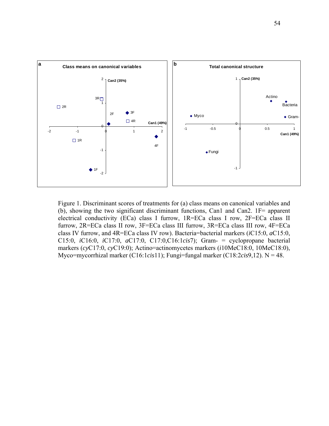

Figure 1. Discriminant scores of treatments for (a) class means on canonical variables and (b), showing the two significant discriminant functions, Can1 and Can2. 1F= apparent electrical conductivity (ECa) class I furrow, 1R=ECa class I row, 2F=ECa class II furrow, 2R=ECa class II row, 3F=ECa class III furrow, 3R=ECa class III row, 4F=ECa class IV furrow, and 4R=ECa class IV row). Bacteria=bacterial markers (*i*C15:0, *a*C15:0, C15:0, *i*C16:0, *i*C17:0, *a*C17:0, C17:0,C16:1*cis*7); Gram- = cyclopropane bacterial markers (*cy*C17:0, *cy*C19:0); Actino=actinomycetes markers (*i*10MeC18:0, 10MeC18:0), Myco=mycorrhizal marker (C16:1*cis*11); Fungi=fungal marker (C18:2*cis*9,12). N = 48.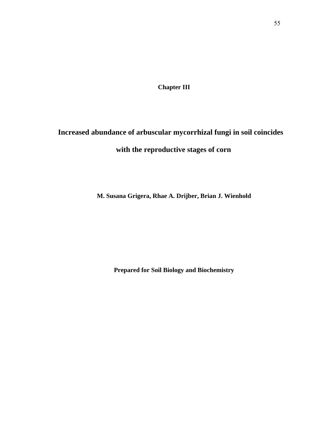**Chapter III**

# **Increased abundance of arbuscular mycorrhizal fungi in soil coincides with the reproductive stages of corn**

**M. Susana Grigera, Rhae A. Drijber, Brian J. Wienhold** 

**Prepared for Soil Biology and Biochemistry**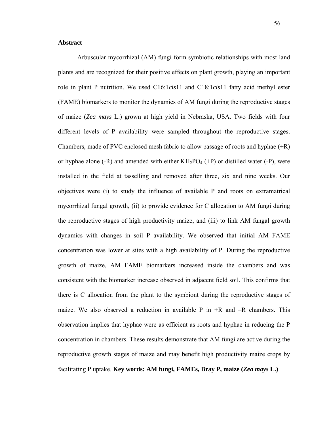### **Abstract**

Arbuscular mycorrhizal (AM) fungi form symbiotic relationships with most land plants and are recognized for their positive effects on plant growth, playing an important role in plant P nutrition. We used C16:1*cis*11 and C18:1*cis*11 fatty acid methyl ester (FAME) biomarkers to monitor the dynamics of AM fungi during the reproductive stages of maize (*Zea mays* L.) grown at high yield in Nebraska, USA. Two fields with four different levels of P availability were sampled throughout the reproductive stages. Chambers, made of PVC enclosed mesh fabric to allow passage of roots and hyphae (+R) or hyphae alone (-R) and amended with either  $KH_2PO_4$  (+P) or distilled water (-P), were installed in the field at tasselling and removed after three, six and nine weeks. Our objectives were (i) to study the influence of available P and roots on extramatrical mycorrhizal fungal growth, (ii) to provide evidence for C allocation to AM fungi during the reproductive stages of high productivity maize, and (iii) to link AM fungal growth dynamics with changes in soil P availability. We observed that initial AM FAME concentration was lower at sites with a high availability of P. During the reproductive growth of maize, AM FAME biomarkers increased inside the chambers and was consistent with the biomarker increase observed in adjacent field soil. This confirms that there is C allocation from the plant to the symbiont during the reproductive stages of maize. We also observed a reduction in available P in  $+R$  and  $-R$  chambers. This observation implies that hyphae were as efficient as roots and hyphae in reducing the P concentration in chambers. These results demonstrate that AM fungi are active during the reproductive growth stages of maize and may benefit high productivity maize crops by facilitating P uptake. **Key words: AM fungi, FAMEs, Bray P, maize (***Zea mays* **L.)**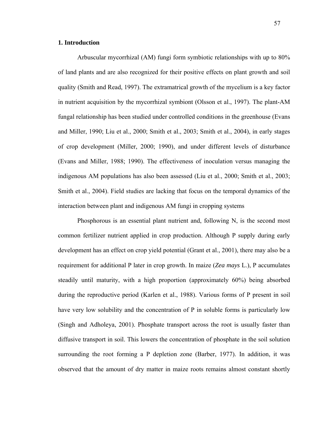#### **1. Introduction**

Arbuscular mycorrhizal (AM) fungi form symbiotic relationships with up to 80% of land plants and are also recognized for their positive effects on plant growth and soil quality (Smith and Read, 1997). The extramatrical growth of the mycelium is a key factor in nutrient acquisition by the mycorrhizal symbiont (Olsson et al., 1997). The plant-AM fungal relationship has been studied under controlled conditions in the greenhouse (Evans and Miller, 1990; Liu et al., 2000; Smith et al., 2003; Smith et al., 2004), in early stages of crop development (Miller, 2000; 1990), and under different levels of disturbance (Evans and Miller, 1988; 1990). The effectiveness of inoculation versus managing the indigenous AM populations has also been assessed (Liu et al., 2000; Smith et al., 2003; Smith et al., 2004). Field studies are lacking that focus on the temporal dynamics of the interaction between plant and indigenous AM fungi in cropping systems

Phosphorous is an essential plant nutrient and, following N, is the second most common fertilizer nutrient applied in crop production. Although P supply during early development has an effect on crop yield potential (Grant et al., 2001), there may also be a requirement for additional P later in crop growth. In maize (*Zea mays* L.), P accumulates steadily until maturity, with a high proportion (approximately 60%) being absorbed during the reproductive period (Karlen et al., 1988). Various forms of P present in soil have very low solubility and the concentration of P in soluble forms is particularly low (Singh and Adholeya, 2001). Phosphate transport across the root is usually faster than diffusive transport in soil. This lowers the concentration of phosphate in the soil solution surrounding the root forming a P depletion zone (Barber, 1977). In addition, it was observed that the amount of dry matter in maize roots remains almost constant shortly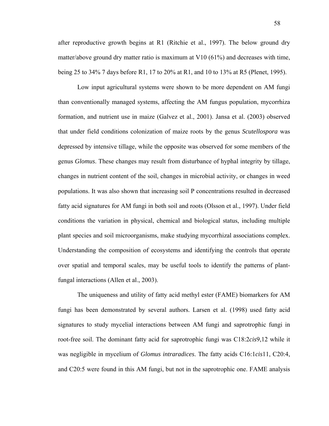after reproductive growth begins at R1 (Ritchie et al., 1997). The below ground dry matter/above ground dry matter ratio is maximum at V10 (61%) and decreases with time, being 25 to 34% 7 days before R1, 17 to 20% at R1, and 10 to 13% at R5 (Plenet, 1995).

Low input agricultural systems were shown to be more dependent on AM fungi than conventionally managed systems, affecting the AM fungus population, mycorrhiza formation, and nutrient use in maize (Galvez et al., 2001). Jansa et al. (2003) observed that under field conditions colonization of maize roots by the genus *Scutellospora* was depressed by intensive tillage, while the opposite was observed for some members of the genus *Glomus*. These changes may result from disturbance of hyphal integrity by tillage, changes in nutrient content of the soil, changes in microbial activity, or changes in weed populations. It was also shown that increasing soil P concentrations resulted in decreased fatty acid signatures for AM fungi in both soil and roots (Olsson et al., 1997). Under field conditions the variation in physical, chemical and biological status, including multiple plant species and soil microorganisms, make studying mycorrhizal associations complex. Understanding the composition of ecosystems and identifying the controls that operate over spatial and temporal scales, may be useful tools to identify the patterns of plantfungal interactions (Allen et al., 2003).

The uniqueness and utility of fatty acid methyl ester (FAME) biomarkers for AM fungi has been demonstrated by several authors. Larsen et al. (1998) used fatty acid signatures to study mycelial interactions between AM fungi and saprotrophic fungi in root-free soil. The dominant fatty acid for saprotrophic fungi was C18:2*cis*9,12 while it was negligible in mycelium of *Glomus intraradices*. The fatty acids C16:1*cis*11, C20:4, and C20:5 were found in this AM fungi, but not in the saprotrophic one. FAME analysis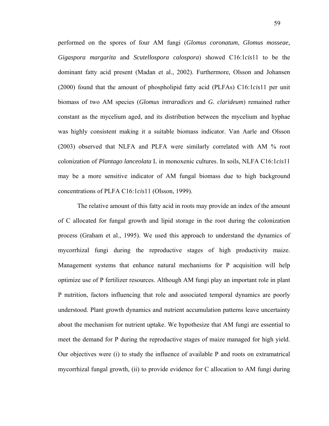performed on the spores of four AM fungi (*Glomus coronatum, Glomus mosseae, Gigaspora margarita* and *Scutellospora calospora*) showed C16:1*cis*11 to be the dominant fatty acid present (Madan et al., 2002). Furthermore, Olsson and Johansen (2000) found that the amount of phospholipid fatty acid (PLFAs) C16:1*cis*11 per unit biomass of two AM species (*Glomus intraradices* and *G. clarideum*) remained rather constant as the mycelium aged, and its distribution between the mycelium and hyphae was highly consistent making it a suitable biomass indicator. Van Aarle and Olsson (2003) observed that NLFA and PLFA were similarly correlated with AM % root colonization of *Plantago lanceolata* L in monoxenic cultures. In soils, NLFA C16:1*cis*11 may be a more sensitive indicator of AM fungal biomass due to high background concentrations of PLFA C16:1*cis*11 (Olsson, 1999).

The relative amount of this fatty acid in roots may provide an index of the amount of C allocated for fungal growth and lipid storage in the root during the colonization process (Graham et al., 1995). We used this approach to understand the dynamics of mycorrhizal fungi during the reproductive stages of high productivity maize. Management systems that enhance natural mechanisms for P acquisition will help optimize use of P fertilizer resources. Although AM fungi play an important role in plant P nutrition, factors influencing that role and associated temporal dynamics are poorly understood. Plant growth dynamics and nutrient accumulation patterns leave uncertainty about the mechanism for nutrient uptake. We hypothesize that AM fungi are essential to meet the demand for P during the reproductive stages of maize managed for high yield. Our objectives were (i) to study the influence of available P and roots on extramatrical mycorrhizal fungal growth, (ii) to provide evidence for C allocation to AM fungi during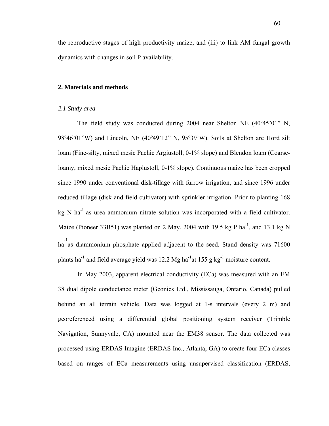the reproductive stages of high productivity maize, and (iii) to link AM fungal growth dynamics with changes in soil P availability.

## **2. Materials and methods**

#### *2.1 Study area*

The field study was conducted during 2004 near Shelton NE (40º45'01" N, 98º46'01"W) and Lincoln, NE (40º49'12" N, 95º39'W). Soils at Shelton are Hord silt loam (Fine-silty, mixed mesic Pachic Argiustoll, 0-1% slope) and Blendon loam (Coarseloamy, mixed mesic Pachic Haplustoll, 0-1% slope). Continuous maize has been cropped since 1990 under conventional disk-tillage with furrow irrigation, and since 1996 under reduced tillage (disk and field cultivator) with sprinkler irrigation. Prior to planting 168  $kg \text{ N}$  ha<sup>-1</sup> as urea ammonium nitrate solution was incorporated with a field cultivator. Maize (Pioneer 33B51) was planted on 2 May, 2004 with 19.5 kg P ha<sup>-1</sup>, and 13.1 kg N <sup>-1</sup><br>ha as diammonium phosphate applied adjacent to the seed. Stand density was 71600 plants ha<sup>-1</sup> and field average yield was 12.2 Mg ha<sup>-1</sup> at 155 g kg<sup>-1</sup> moisture content.

In May 2003, apparent electrical conductivity (ECa) was measured with an EM 38 dual dipole conductance meter (Geonics Ltd., Mississauga, Ontario, Canada) pulled behind an all terrain vehicle. Data was logged at 1-s intervals (every 2 m) and georeferenced using a differential global positioning system receiver (Trimble Navigation, Sunnyvale, CA) mounted near the EM38 sensor. The data collected was processed using ERDAS Imagine (ERDAS Inc., Atlanta, GA) to create four ECa classes based on ranges of ECa measurements using unsupervised classification (ERDAS,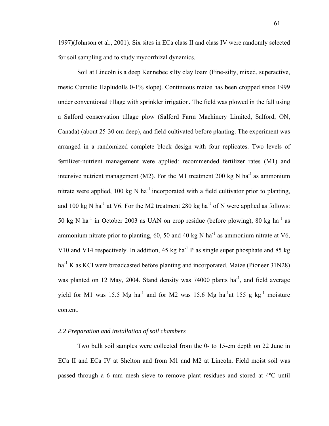1997)(Johnson et al., 2001). Six sites in ECa class II and class IV were randomly selected for soil sampling and to study mycorrhizal dynamics.

Soil at Lincoln is a deep Kennebec silty clay loam (Fine-silty, mixed, superactive, mesic Cumulic Hapludolls 0-1% slope). Continuous maize has been cropped since 1999 under conventional tillage with sprinkler irrigation. The field was plowed in the fall using a Salford conservation tillage plow (Salford Farm Machinery Limited, Salford, ON, Canada) (about 25-30 cm deep), and field-cultivated before planting. The experiment was arranged in a randomized complete block design with four replicates. Two levels of fertilizer-nutrient management were applied: recommended fertilizer rates (M1) and intensive nutrient management (M2). For the M1 treatment 200 kg N ha<sup>-1</sup> as ammonium nitrate were applied, 100 kg N ha<sup>-1</sup> incorporated with a field cultivator prior to planting, and 100 kg N ha<sup>-1</sup> at V6. For the M2 treatment 280 kg ha<sup>-1</sup> of N were applied as follows: 50 kg N ha<sup>-1</sup> in October 2003 as UAN on crop residue (before plowing), 80 kg ha<sup>-1</sup> as ammonium nitrate prior to planting, 60, 50 and 40 kg N ha<sup>-1</sup> as ammonium nitrate at V6, V10 and V14 respectively. In addition, 45 kg ha<sup>-1</sup> P as single super phosphate and 85 kg ha<sup>-1</sup> K as KCl were broadcasted before planting and incorporated. Maize (Pioneer 31N28) was planted on 12 May, 2004. Stand density was  $74000$  plants ha<sup>-1</sup>, and field average yield for M1 was 15.5 Mg ha<sup>-1</sup> and for M2 was 15.6 Mg ha<sup>-1</sup>at 155 g kg<sup>-1</sup> moisture content.

## *2.2 Preparation and installation of soil chambers*

Two bulk soil samples were collected from the 0- to 15-cm depth on 22 June in ECa II and ECa IV at Shelton and from M1 and M2 at Lincoln. Field moist soil was passed through a 6 mm mesh sieve to remove plant residues and stored at 4ºC until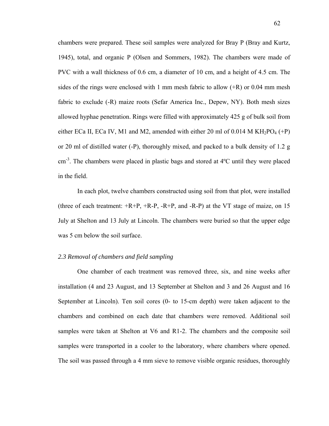chambers were prepared. These soil samples were analyzed for Bray P (Bray and Kurtz, 1945), total, and organic P (Olsen and Sommers, 1982). The chambers were made of PVC with a wall thickness of 0.6 cm, a diameter of 10 cm, and a height of 4.5 cm. The sides of the rings were enclosed with 1 mm mesh fabric to allow  $(+R)$  or 0.04 mm mesh fabric to exclude (-R) maize roots (Sefar America Inc., Depew, NY). Both mesh sizes allowed hyphae penetration. Rings were filled with approximately 425 g of bulk soil from either ECa II, ECa IV, M1 and M2, amended with either 20 ml of 0.014 M KH<sub>2</sub>PO<sub>4</sub> (+P) or 20 ml of distilled water (-P), thoroughly mixed, and packed to a bulk density of 1.2 g cm-3. The chambers were placed in plastic bags and stored at 4ºC until they were placed in the field.

In each plot, twelve chambers constructed using soil from that plot, were installed (three of each treatment:  $+R+P$ ,  $+R-P$ ,  $-R+P$ , and  $-R-P$ ) at the VT stage of maize, on 15 July at Shelton and 13 July at Lincoln. The chambers were buried so that the upper edge was 5 cm below the soil surface.

#### *2.3 Removal of chambers and field sampling*

One chamber of each treatment was removed three, six, and nine weeks after installation (4 and 23 August, and 13 September at Shelton and 3 and 26 August and 16 September at Lincoln). Ten soil cores (0- to 15-cm depth) were taken adjacent to the chambers and combined on each date that chambers were removed. Additional soil samples were taken at Shelton at V6 and R1-2. The chambers and the composite soil samples were transported in a cooler to the laboratory, where chambers where opened. The soil was passed through a 4 mm sieve to remove visible organic residues, thoroughly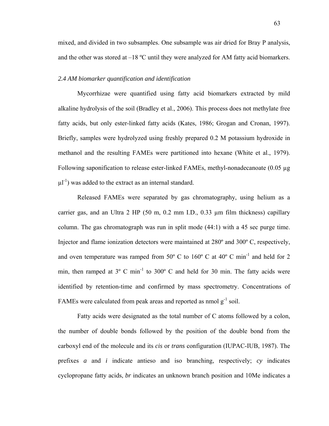mixed, and divided in two subsamples. One subsample was air dried for Bray P analysis, and the other was stored at  $-18$  °C until they were analyzed for AM fatty acid biomarkers.

#### *2.4 AM biomarker quantification and identification*

Mycorrhizae were quantified using fatty acid biomarkers extracted by mild alkaline hydrolysis of the soil (Bradley et al., 2006). This process does not methylate free fatty acids, but only ester-linked fatty acids (Kates, 1986; Grogan and Cronan, 1997). Briefly, samples were hydrolyzed using freshly prepared 0.2 M potassium hydroxide in methanol and the resulting FAMEs were partitioned into hexane (White et al., 1979). Following saponification to release ester-linked FAMEs, methyl-nonadecanoate (0.05 µg  $\mu$ l<sup>-1</sup>) was added to the extract as an internal standard.

Released FAMEs were separated by gas chromatography, using helium as a carrier gas, and an Ultra 2 HP (50 m, 0.2 mm I.D., 0.33  $\mu$ m film thickness) capillary column. The gas chromatograph was run in split mode (44:1) with a 45 sec purge time. Injector and flame ionization detectors were maintained at 280º and 300º C, respectively, and oven temperature was ramped from 50 $^{\circ}$  C to 160 $^{\circ}$  C at 40 $^{\circ}$  C min<sup>-1</sup> and held for 2 min, then ramped at  $3^{\circ}$  C min<sup>-1</sup> to  $300^{\circ}$  C and held for 30 min. The fatty acids were identified by retention-time and confirmed by mass spectrometry. Concentrations of FAMEs were calculated from peak areas and reported as nmol  $g^{-1}$  soil.

Fatty acids were designated as the total number of C atoms followed by a colon, the number of double bonds followed by the position of the double bond from the carboxyl end of the molecule and its *cis* or *trans* configuration (IUPAC-IUB, 1987). The prefixes *a* and *i* indicate antieso and iso branching, respectively; *cy* indicates cyclopropane fatty acids, *br* indicates an unknown branch position and 10Me indicates a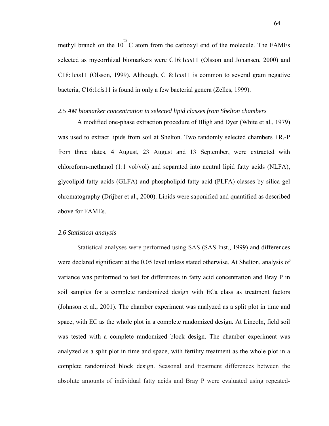methyl branch on the  $10^{th}$  C atom from the carboxyl end of the molecule. The FAMEs selected as mycorrhizal biomarkers were C16:1*cis*11 (Olsson and Johansen, 2000) and C18:1*cis*11 (Olsson, 1999). Although, C18:1*cis*11 is common to several gram negative bacteria, C16:1*cis*11 is found in only a few bacterial genera (Zelles, 1999).

#### *2.5 AM biomarker concentration in selected lipid classes from Shelton chambers*

A modified one-phase extraction procedure of Bligh and Dyer (White et al., 1979) was used to extract lipids from soil at Shelton. Two randomly selected chambers +R,-P from three dates, 4 August, 23 August and 13 September, were extracted with chloroform-methanol (1:1 vol/vol) and separated into neutral lipid fatty acids (NLFA), glycolipid fatty acids (GLFA) and phospholipid fatty acid (PLFA) classes by silica gel chromatography (Drijber et al., 2000). Lipids were saponified and quantified as described above for FAMEs.

#### *2.6 Statistical analysis*

Statistical analyses were performed using SAS (SAS Inst., 1999) and differences were declared significant at the 0.05 level unless stated otherwise. At Shelton, analysis of variance was performed to test for differences in fatty acid concentration and Bray P in soil samples for a complete randomized design with ECa class as treatment factors (Johnson et al., 2001). The chamber experiment was analyzed as a split plot in time and space, with EC as the whole plot in a complete randomized design. At Lincoln, field soil was tested with a complete randomized block design. The chamber experiment was analyzed as a split plot in time and space, with fertility treatment as the whole plot in a complete randomized block design. Seasonal and treatment differences between the absolute amounts of individual fatty acids and Bray P were evaluated using repeated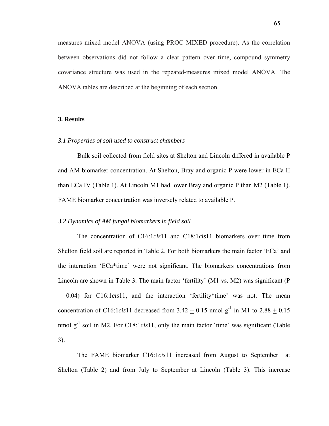measures mixed model ANOVA (using PROC MIXED procedure). As the correlation between observations did not follow a clear pattern over time, compound symmetry covariance structure was used in the repeated-measures mixed model ANOVA. The ANOVA tables are described at the beginning of each section.

#### **3. Results**

#### *3.1 Properties of soil used to construct chambers*

Bulk soil collected from field sites at Shelton and Lincoln differed in available P and AM biomarker concentration. At Shelton, Bray and organic P were lower in ECa II than ECa IV (Table 1). At Lincoln M1 had lower Bray and organic P than M2 (Table 1). FAME biomarker concentration was inversely related to available P.

#### *3.2 Dynamics of AM fungal biomarkers in field soil*

The concentration of C16:1*cis*11 and C18:1*cis*11 biomarkers over time from Shelton field soil are reported in Table 2. For both biomarkers the main factor 'ECa' and the interaction 'ECa\*time' were not significant. The biomarkers concentrations from Lincoln are shown in Table 3. The main factor 'fertility' (M1 vs. M2) was significant (P = 0.04) for C16:1*cis*11, and the interaction 'fertility\*time' was not. The mean concentration of C16:1*cis*11 decreased from  $3.42 + 0.15$  nmol g<sup>-1</sup> in M1 to  $2.88 + 0.15$ nmol g-1 soil in M2. For C18:1*cis*11, only the main factor 'time' was significant (Table 3).

The FAME biomarker C16:1*cis*11 increased from August to September at Shelton (Table 2) and from July to September at Lincoln (Table 3). This increase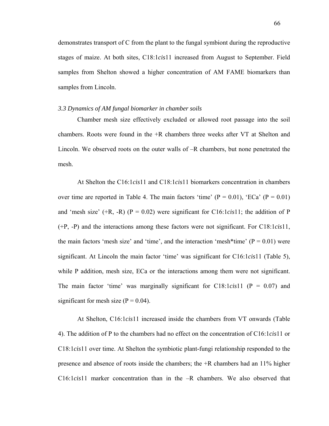demonstrates transport of C from the plant to the fungal symbiont during the reproductive stages of maize. At both sites, C18:1*cis*11 increased from August to September. Field samples from Shelton showed a higher concentration of AM FAME biomarkers than samples from Lincoln.

#### *3.3 Dynamics of AM fungal biomarker in chamber soils*

Chamber mesh size effectively excluded or allowed root passage into the soil chambers. Roots were found in the +R chambers three weeks after VT at Shelton and Lincoln. We observed roots on the outer walls of –R chambers, but none penetrated the mesh.

At Shelton the C16:1*cis*11 and C18:1*cis*11 biomarkers concentration in chambers over time are reported in Table 4. The main factors 'time'  $(P = 0.01)$ , 'ECa'  $(P = 0.01)$ and 'mesh size'  $(+R, -R)$   $(P = 0.02)$  were significant for C16:1*cis*11; the addition of P (+P, -P) and the interactions among these factors were not significant. For C18:1*cis*11, the main factors 'mesh size' and 'time', and the interaction 'mesh\*time'  $(P = 0.01)$  were significant. At Lincoln the main factor 'time' was significant for C16:1*cis*11 (Table 5), while P addition, mesh size, ECa or the interactions among them were not significant. The main factor 'time' was marginally significant for  $C18:1*cis*11$  ( $P = 0.07$ ) and significant for mesh size  $(P = 0.04)$ .

At Shelton, C16:1*cis*11 increased inside the chambers from VT onwards (Table 4). The addition of P to the chambers had no effect on the concentration of C16:1*cis*11 or C18:1*cis*11 over time. At Shelton the symbiotic plant-fungi relationship responded to the presence and absence of roots inside the chambers; the +R chambers had an 11% higher C16:1*cis*11 marker concentration than in the –R chambers. We also observed that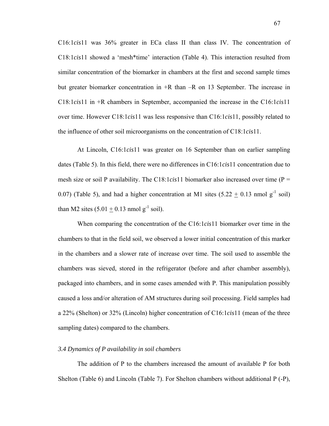C16:1*cis*11 was 36% greater in ECa class II than class IV. The concentration of C18:1*cis*11 showed a 'mesh\*time' interaction (Table 4). This interaction resulted from similar concentration of the biomarker in chambers at the first and second sample times but greater biomarker concentration in +R than –R on 13 September. The increase in C18:1*cis*11 in +R chambers in September, accompanied the increase in the C16:1*cis*11 over time. However C18:1*cis*11 was less responsive than C16:1*cis*11, possibly related to the influence of other soil microorganisms on the concentration of C18:1*cis*11.

At Lincoln, C16:1*cis*11 was greater on 16 September than on earlier sampling dates (Table 5). In this field, there were no differences in C16:1*cis*11 concentration due to mesh size or soil P availability. The C18:1*cis*11 biomarker also increased over time (P = 0.07) (Table 5), and had a higher concentration at M1 sites  $(5.22 + 0.13 \text{ mmol g}^{-1} \text{ soil})$ than M2 sites  $(5.01 + 0.13 \text{ nmol g}^{-1} \text{ soil})$ .

When comparing the concentration of the C16:1*cis*11 biomarker over time in the chambers to that in the field soil, we observed a lower initial concentration of this marker in the chambers and a slower rate of increase over time. The soil used to assemble the chambers was sieved, stored in the refrigerator (before and after chamber assembly), packaged into chambers, and in some cases amended with P. This manipulation possibly caused a loss and/or alteration of AM structures during soil processing. Field samples had a 22% (Shelton) or 32% (Lincoln) higher concentration of C16:1*cis*11 (mean of the three sampling dates) compared to the chambers.

# *3.4 Dynamics of P availability in soil chambers*

The addition of P to the chambers increased the amount of available P for both Shelton (Table 6) and Lincoln (Table 7). For Shelton chambers without additional P (-P),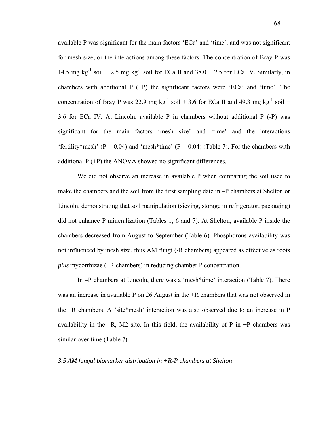available P was significant for the main factors 'ECa' and 'time', and was not significant for mesh size, or the interactions among these factors. The concentration of Bray P was 14.5 mg kg<sup>-1</sup> soil  $\pm$  2.5 mg kg<sup>-1</sup> soil for ECa II and 38.0  $\pm$  2.5 for ECa IV. Similarly, in chambers with additional  $P (+P)$  the significant factors were 'ECa' and 'time'. The concentration of Bray P was 22.9 mg kg<sup>-1</sup> soil  $\pm$  3.6 for ECa II and 49.3 mg kg<sup>-1</sup> soil  $\pm$ 3.6 for ECa IV. At Lincoln, available P in chambers without additional P (-P) was significant for the main factors 'mesh size' and 'time' and the interactions 'fertility\*mesh' ( $P = 0.04$ ) and 'mesh\*time' ( $P = 0.04$ ) (Table 7). For the chambers with additional  $P (+P)$  the ANOVA showed no significant differences.

We did not observe an increase in available P when comparing the soil used to make the chambers and the soil from the first sampling date in –P chambers at Shelton or Lincoln, demonstrating that soil manipulation (sieving, storage in refrigerator, packaging) did not enhance P mineralization (Tables 1, 6 and 7). At Shelton, available P inside the chambers decreased from August to September (Table 6). Phosphorous availability was not influenced by mesh size, thus AM fungi (-R chambers) appeared as effective as roots *plus* mycorrhizae (+R chambers) in reducing chamber P concentration.

In –P chambers at Lincoln, there was a 'mesh\*time' interaction (Table 7). There was an increase in available P on 26 August in the +R chambers that was not observed in the –R chambers. A 'site\*mesh' interaction was also observed due to an increase in P availability in the  $-R$ , M2 site. In this field, the availability of P in  $+P$  chambers was similar over time (Table 7).

### *3.5 AM fungal biomarker distribution in +R-P chambers at Shelton*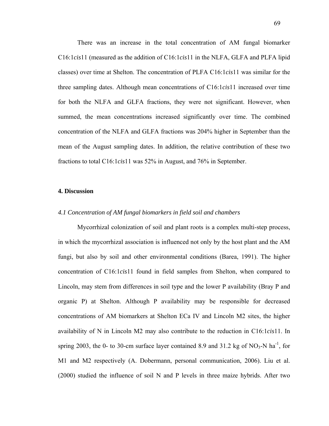There was an increase in the total concentration of AM fungal biomarker C16:1*cis*11 (measured as the addition of C16:1*cis*11 in the NLFA, GLFA and PLFA lipid classes) over time at Shelton. The concentration of PLFA C16:1*cis*11 was similar for the three sampling dates. Although mean concentrations of C16:1*cis*11 increased over time for both the NLFA and GLFA fractions, they were not significant. However, when summed, the mean concentrations increased significantly over time. The combined concentration of the NLFA and GLFA fractions was 204% higher in September than the mean of the August sampling dates. In addition, the relative contribution of these two fractions to total C16:1*cis*11 was 52% in August, and 76% in September.

#### **4. Discussion**

### *4.1 Concentration of AM fungal biomarkers in field soil and chambers*

Mycorrhizal colonization of soil and plant roots is a complex multi-step process, in which the mycorrhizal association is influenced not only by the host plant and the AM fungi, but also by soil and other environmental conditions (Barea, 1991). The higher concentration of C16:1*cis*11 found in field samples from Shelton, when compared to Lincoln, may stem from differences in soil type and the lower P availability (Bray P and organic P) at Shelton. Although P availability may be responsible for decreased concentrations of AM biomarkers at Shelton ECa IV and Lincoln M2 sites, the higher availability of N in Lincoln M2 may also contribute to the reduction in C16:1*cis*11. In spring 2003, the 0- to 30-cm surface layer contained 8.9 and 31.2 kg of  $NO<sub>3</sub>-N$  ha<sup>-1</sup>, for M1 and M2 respectively (A. Dobermann, personal communication, 2006). Liu et al. (2000) studied the influence of soil N and P levels in three maize hybrids. After two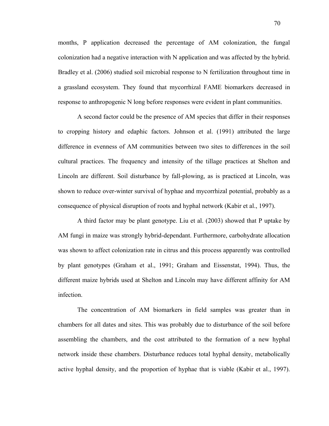months, P application decreased the percentage of AM colonization, the fungal colonization had a negative interaction with N application and was affected by the hybrid. Bradley et al. (2006) studied soil microbial response to N fertilization throughout time in a grassland ecosystem. They found that mycorrhizal FAME biomarkers decreased in response to anthropogenic N long before responses were evident in plant communities.

A second factor could be the presence of AM species that differ in their responses to cropping history and edaphic factors. Johnson et al. (1991) attributed the large difference in evenness of AM communities between two sites to differences in the soil cultural practices. The frequency and intensity of the tillage practices at Shelton and Lincoln are different. Soil disturbance by fall-plowing, as is practiced at Lincoln, was shown to reduce over-winter survival of hyphae and mycorrhizal potential, probably as a consequence of physical disruption of roots and hyphal network (Kabir et al., 1997).

A third factor may be plant genotype. Liu et al. (2003) showed that P uptake by AM fungi in maize was strongly hybrid-dependant. Furthermore, carbohydrate allocation was shown to affect colonization rate in citrus and this process apparently was controlled by plant genotypes (Graham et al., 1991; Graham and Eissenstat, 1994). Thus, the different maize hybrids used at Shelton and Lincoln may have different affinity for AM infection.

The concentration of AM biomarkers in field samples was greater than in chambers for all dates and sites. This was probably due to disturbance of the soil before assembling the chambers, and the cost attributed to the formation of a new hyphal network inside these chambers. Disturbance reduces total hyphal density, metabolically active hyphal density, and the proportion of hyphae that is viable (Kabir et al., 1997).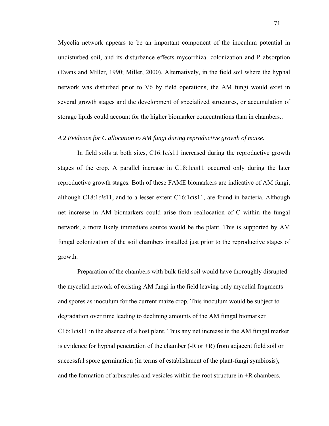Mycelia network appears to be an important component of the inoculum potential in undisturbed soil, and its disturbance effects mycorrhizal colonization and P absorption (Evans and Miller, 1990; Miller, 2000). Alternatively, in the field soil where the hyphal network was disturbed prior to V6 by field operations, the AM fungi would exist in several growth stages and the development of specialized structures, or accumulation of storage lipids could account for the higher biomarker concentrations than in chambers..

# *4.2 Evidence for C allocation to AM fungi during reproductive growth of maize.*

In field soils at both sites, C16:1*cis*11 increased during the reproductive growth stages of the crop. A parallel increase in C18:1*cis*11 occurred only during the later reproductive growth stages. Both of these FAME biomarkers are indicative of AM fungi, although C18:1*cis*11, and to a lesser extent C16:1*cis*11, are found in bacteria. Although net increase in AM biomarkers could arise from reallocation of C within the fungal network, a more likely immediate source would be the plant. This is supported by AM fungal colonization of the soil chambers installed just prior to the reproductive stages of growth.

Preparation of the chambers with bulk field soil would have thoroughly disrupted the mycelial network of existing AM fungi in the field leaving only mycelial fragments and spores as inoculum for the current maize crop. This inoculum would be subject to degradation over time leading to declining amounts of the AM fungal biomarker C16:1*cis*11 in the absence of a host plant. Thus any net increase in the AM fungal marker is evidence for hyphal penetration of the chamber  $(-R \text{ or } +R)$  from adjacent field soil or successful spore germination (in terms of establishment of the plant-fungi symbiosis), and the formation of arbuscules and vesicles within the root structure in +R chambers.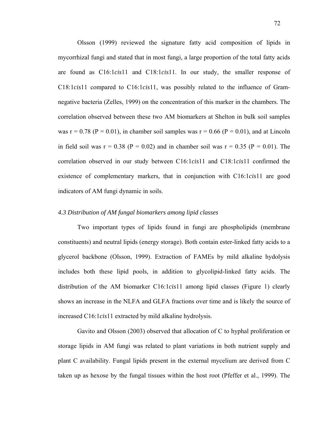Olsson (1999) reviewed the signature fatty acid composition of lipids in mycorrhizal fungi and stated that in most fungi, a large proportion of the total fatty acids are found as C16:1*cis*11 and C18:1*cis*11. In our study, the smaller response of C18:1*cis*11 compared to C16:1*cis*11, was possibly related to the influence of Gramnegative bacteria (Zelles, 1999) on the concentration of this marker in the chambers. The correlation observed between these two AM biomarkers at Shelton in bulk soil samples was  $r = 0.78$  (P = 0.01), in chamber soil samples was  $r = 0.66$  (P = 0.01), and at Lincoln in field soil was  $r = 0.38$  (P = 0.02) and in chamber soil was  $r = 0.35$  (P = 0.01). The correlation observed in our study between C16:1*cis*11 and C18:1*cis*11 confirmed the existence of complementary markers, that in conjunction with C16:1*cis*11 are good indicators of AM fungi dynamic in soils.

# *4.3 Distribution of AM fungal biomarkers among lipid classes*

Two important types of lipids found in fungi are phospholipids (membrane constituents) and neutral lipids (energy storage). Both contain ester-linked fatty acids to a glycerol backbone (Olsson, 1999). Extraction of FAMEs by mild alkaline hydolysis includes both these lipid pools, in addition to glycolipid-linked fatty acids. The distribution of the AM biomarker C16:1*cis*11 among lipid classes (Figure 1) clearly shows an increase in the NLFA and GLFA fractions over time and is likely the source of increased C16:1*cis*11 extracted by mild alkaline hydrolysis.

Gavito and Olsson (2003) observed that allocation of C to hyphal proliferation or storage lipids in AM fungi was related to plant variations in both nutrient supply and plant C availability. Fungal lipids present in the external mycelium are derived from C taken up as hexose by the fungal tissues within the host root (Pfeffer et al., 1999). The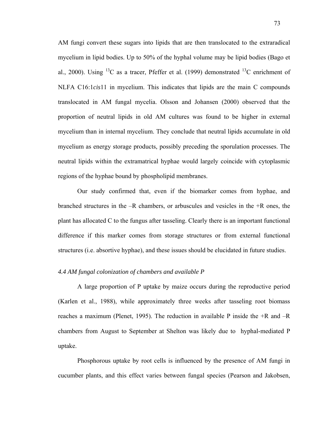AM fungi convert these sugars into lipids that are then translocated to the extraradical mycelium in lipid bodies. Up to 50% of the hyphal volume may be lipid bodies (Bago et al., 2000). Using <sup>13</sup>C as a tracer, Pfeffer et al. (1999) demonstrated <sup>13</sup>C enrichment of NLFA C16:1*cis*11 in mycelium. This indicates that lipids are the main C compounds translocated in AM fungal mycelia. Olsson and Johansen (2000) observed that the proportion of neutral lipids in old AM cultures was found to be higher in external mycelium than in internal mycelium. They conclude that neutral lipids accumulate in old mycelium as energy storage products, possibly preceding the sporulation processes. The neutral lipids within the extramatrical hyphae would largely coincide with cytoplasmic regions of the hyphae bound by phospholipid membranes.

Our study confirmed that, even if the biomarker comes from hyphae, and branched structures in the –R chambers, or arbuscules and vesicles in the +R ones, the plant has allocated C to the fungus after tasseling. Clearly there is an important functional difference if this marker comes from storage structures or from external functional structures (i.e. absortive hyphae), and these issues should be elucidated in future studies.

# *4.4 AM fungal colonization of chambers and available P*

A large proportion of P uptake by maize occurs during the reproductive period (Karlen et al., 1988), while approximately three weeks after tasseling root biomass reaches a maximum (Plenet, 1995). The reduction in available P inside the +R and –R chambers from August to September at Shelton was likely due to hyphal-mediated P uptake.

Phosphorous uptake by root cells is influenced by the presence of AM fungi in cucumber plants, and this effect varies between fungal species (Pearson and Jakobsen,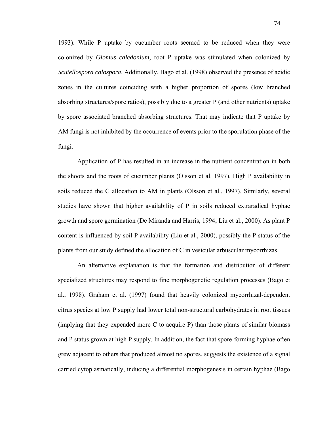1993). While P uptake by cucumber roots seemed to be reduced when they were colonized by *Glomus caledonium*, root P uptake was stimulated when colonized by *Scutellospora calospora*. Additionally, Bago et al. (1998) observed the presence of acidic zones in the cultures coinciding with a higher proportion of spores (low branched absorbing structures/spore ratios), possibly due to a greater P (and other nutrients) uptake by spore associated branched absorbing structures. That may indicate that P uptake by AM fungi is not inhibited by the occurrence of events prior to the sporulation phase of the fungi.

Application of P has resulted in an increase in the nutrient concentration in both the shoots and the roots of cucumber plants (Olsson et al. 1997). High P availability in soils reduced the C allocation to AM in plants (Olsson et al., 1997). Similarly, several studies have shown that higher availability of P in soils reduced extraradical hyphae growth and spore germination (De Miranda and Harris, 1994; Liu et al., 2000). As plant P content is influenced by soil P availability (Liu et al., 2000), possibly the P status of the plants from our study defined the allocation of C in vesicular arbuscular mycorrhizas.

An alternative explanation is that the formation and distribution of different specialized structures may respond to fine morphogenetic regulation processes (Bago et al., 1998). Graham et al. (1997) found that heavily colonized mycorrhizal-dependent citrus species at low P supply had lower total non-structural carbohydrates in root tissues (implying that they expended more C to acquire P) than those plants of similar biomass and P status grown at high P supply. In addition, the fact that spore-forming hyphae often grew adjacent to others that produced almost no spores, suggests the existence of a signal carried cytoplasmatically, inducing a differential morphogenesis in certain hyphae (Bago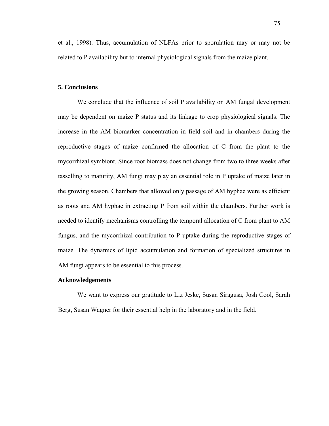et al., 1998). Thus, accumulation of NLFAs prior to sporulation may or may not be related to P availability but to internal physiological signals from the maize plant.

### **5. Conclusions**

We conclude that the influence of soil P availability on AM fungal development may be dependent on maize P status and its linkage to crop physiological signals. The increase in the AM biomarker concentration in field soil and in chambers during the reproductive stages of maize confirmed the allocation of C from the plant to the mycorrhizal symbiont. Since root biomass does not change from two to three weeks after tasselling to maturity, AM fungi may play an essential role in P uptake of maize later in the growing season. Chambers that allowed only passage of AM hyphae were as efficient as roots and AM hyphae in extracting P from soil within the chambers. Further work is needed to identify mechanisms controlling the temporal allocation of C from plant to AM fungus, and the mycorrhizal contribution to P uptake during the reproductive stages of maize. The dynamics of lipid accumulation and formation of specialized structures in AM fungi appears to be essential to this process.

#### **Acknowledgements**

We want to express our gratitude to Liz Jeske, Susan Siragusa, Josh Cool, Sarah Berg, Susan Wagner for their essential help in the laboratory and in the field.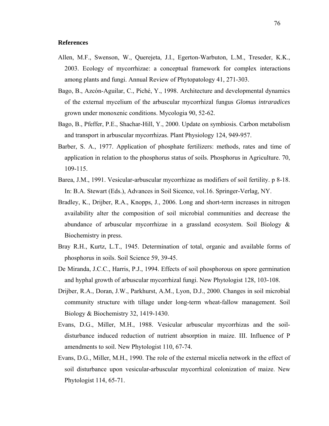#### **References**

- Allen, M.F., Swenson, W., Querejeta, J.I., Egerton-Warbuton, L.M., Treseder, K.K., 2003. Ecology of mycorrhizae: a conceptual framework for complex interactions among plants and fungi. Annual Review of Phytopatology 41, 271-303.
- Bago, B., Azcón-Aguilar, C., Piché, Y., 1998. Architecture and developmental dynamics of the external mycelium of the arbuscular mycorrhizal fungus *Glomus intraradices* grown under monoxenic conditions. Mycologia 90, 52-62.
- Bago, B., Pfeffer, P.E., Shachar-Hill, Y., 2000. Update on symbiosis. Carbon metabolism and transport in arbuscular mycorrhizas. Plant Physiology 124, 949-957.
- Barber, S. A., 1977. Application of phosphate fertilizers: methods, rates and time of application in relation to the phosphorus status of soils. Phosphorus in Agriculture. 70, 109-115.
- Barea, J.M., 1991. Vesicular-arbuscular mycorrhizae as modifiers of soil fertility. p 8-18. In: B.A. Stewart (Eds.), Advances in Soil Sicence, vol.16. Springer-Verlag, NY.
- Bradley, K., Drijber, R.A., Knopps, J., 2006. Long and short-term increases in nitrogen availability alter the composition of soil microbial communities and decrease the abundance of arbuscular mycorrhizae in a grassland ecosystem. Soil Biology & Biochemistry in press.
- Bray R.H., Kurtz, L.T., 1945. Determination of total, organic and available forms of phosphorus in soils. Soil Science 59, 39-45.
- De Miranda, J.C.C., Harris, P.J., 1994. Effects of soil phosphorous on spore germination and hyphal growth of arbuscular mycorrhizal fungi. New Phytologist 128, 103-108.
- Drijber, R.A., Doran, J.W., Parkhurst, A.M., Lyon, D.J., 2000. Changes in soil microbial community structure with tillage under long-term wheat-fallow management. Soil Biology & Biochemistry 32, 1419-1430.
- Evans, D.G., Miller, M.H., 1988. Vesicular arbuscular mycorrhizas and the soildisturbance induced reduction of nutrient absorption in maize. III. Influence of P amendments to soil. New Phytologist 110, 67-74.
- Evans, D.G., Miller, M.H., 1990. The role of the external micelia network in the effect of soil disturbance upon vesicular-arbuscular mycorrhizal colonization of maize. New Phytologist 114, 65-71.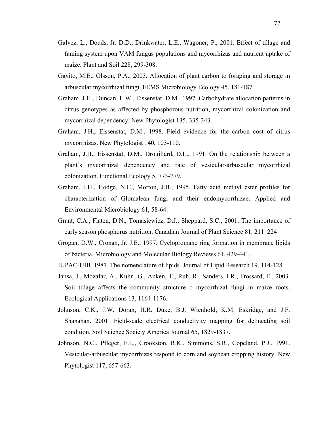- Galvez, L., Douds, Jr. D.D., Drinkwater, L.E., Wagoner, P., 2001. Effect of tillage and faming system upon VAM fungus populations and mycorrhizas and nutrient uptake of maize. Plant and Soil 228, 299-308.
- Gavito, M.E., Olsson, P.A., 2003. Allocation of plant carbon to foraging and storage in arbuscular mycorrhizal fungi. FEMS Microbiology Ecology 45, 181-187.
- Graham, J.H., Duncan, L.W., Eissenstat, D.M., 1997. Carbohydrate allocation patterns in citrus genotypes as affected by phosphorous nutrition, mycorrhizal colonization and mycorrhizal dependency. New Phytologist 135, 335-343.
- Graham, J.H., Eissenstat, D.M., 1998. Field evidence for the carbon cost of citrus mycorrhizas. New Phytologist 140, 103-110.
- Graham, J.H., Eissenstat, D.M., Drouillard, D.L., 1991. On the relationship between a plant's mycorrhizal dependency and rate of vesicular-arbuscular mycorrhizal colonization. Functional Ecology 5, 773-779.
- Graham, J.H., Hodge, N.C., Morton, J.B., 1995. Fatty acid methyl ester profiles for characterization of Glomalean fungi and their endomycorrhizae. Applied and Environmental Microbiology 61, 58-64.
- Grant, C.A., Flaten, D.N., Tomasiewicz, D.J., Sheppard, S.C., 2001. The importance of early season phosphorus nutrition. Canadian Journal of Plant Science 81, 211–224
- Grogan, D.W., Cronan, Jr. J.E., 1997. Cyclopromane ring formation in membrane lipids of bacteria. Microbiology and Molecular Biology Reviews 61, 429-441.
- IUPAC-UIB. 1987. The nomenclature of lipids. Journal of Lipid Research 19, 114-128.
- Jansa, J., Mozafar, A., Kuhn, G., Anken, T., Ruh, R., Sanders, I.R., Frossard, E., 2003. Soil tillage affects the community structure o mycorrhizal fungi in maize roots. Ecological Applications 13, 1164-1176.
- Johnson, C.K., J.W. Doran, H.R. Duke, B.J. Wienhold, K.M. Eskridge, and J.F. Shanahan. 2001. Field-scale electrical conductivity mapping for delineating soil condition. Soil Science Society America Journal 65, 1829-1837.
- Johnson, N.C., Pfleger, F.L., Crookston, R.K., Simmons, S.R., Copeland, P.J., 1991. Vesicular-arbuscular mycorrhizas respond to corn and soybean cropping history. New Phytologist 117, 657-663.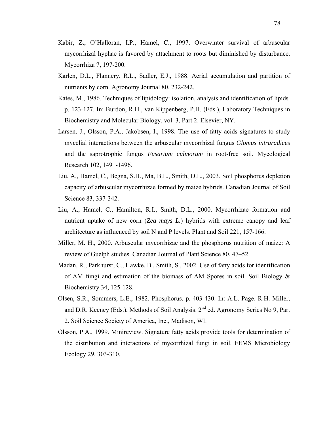- Kabir, Z., O'Halloran, I.P., Hamel, C., 1997. Overwinter survival of arbuscular mycorrhizal hyphae is favored by attachment to roots but diminished by disturbance. Mycorrhiza 7, 197-200.
- Karlen, D.L., Flannery, R.L., Sadler, E.J., 1988. Aerial accumulation and partition of nutrients by corn. Agronomy Journal 80, 232-242.
- Kates, M., 1986. Techniques of lipidology: isolation, analysis and identification of lipids. p. 123-127. In: Burdon, R.H., van Kippenberg, P.H. (Eds.), Laboratory Techniques in Biochemistry and Molecular Biology, vol. 3, Part 2. Elsevier, NY.
- Larsen, J., Olsson, P.A., Jakobsen, I., 1998. The use of fatty acids signatures to study mycelial interactions between the arbuscular mycorrhizal fungus *Glomus intraradices* and the saprotrophic fungus *Fusarium culmorum* in root-free soil. Mycological Research 102, 1491-1496.
- Liu, A., Hamel, C., Begna, S.H., Ma, B.L., Smith, D.L., 2003. Soil phosphorus depletion capacity of arbuscular mycorrhizae formed by maize hybrids. Canadian Journal of Soil Science 83, 337-342.
- Liu, A., Hamel, C., Hamilton, R.I., Smith, D.L., 2000. Mycorrhizae formation and nutrient uptake of new corn (*Zea mays L.*) hybrids with extreme canopy and leaf architecture as influenced by soil N and P levels. Plant and Soil 221, 157-166.
- Miller, M. H., 2000. Arbuscular mycorrhizae and the phosphorus nutrition of maize: A review of Guelph studies. Canadian Journal of Plant Science 80, 47–52.
- Madan, R., Parkhurst, C., Hawke, B., Smith, S., 2002. Use of fatty acids for identification of AM fungi and estimation of the biomass of AM Spores in soil. Soil Biology & Biochemistry 34, 125-128.
- Olsen, S.R., Sommers, L.E., 1982. Phosphorus. p. 403-430. In: A.L. Page. R.H. Miller, and D.R. Keeney (Eds.), Methods of Soil Analysis.  $2<sup>nd</sup>$  ed. Agronomy Series No 9, Part 2. Soil Science Society of America, Inc., Madison, WI.
- Olsson, P.A., 1999. Minireview. Signature fatty acids provide tools for determination of the distribution and interactions of mycorrhizal fungi in soil. FEMS Microbiology Ecology 29, 303-310.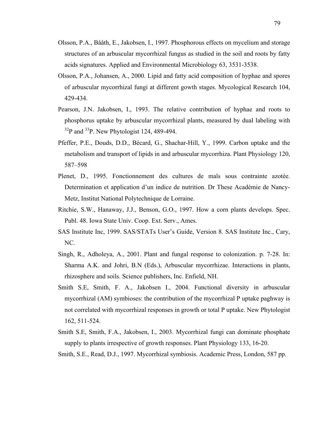- Olsson, P.A., Bååth, E., Jakobsen, I., 1997. Phosphorous effects on mycelium and storage structures of an arbuscular mycorrhizal fungus as studied in the soil and roots by fatty acids signatures. Applied and Environmental Microbiology 63, 3531-3538.
- Olsson, P.A., Johansen, A., 2000. Lipid and fatty acid composition of hyphae and spores of arbuscular mycorrhizal fungi at different gowth stages. Mycological Research 104, 429-434.
- Pearson, J.N. Jakobsen, I., 1993. The relative contribution of hyphae and roots to phosphorus uptake by arbuscular mycorrhizal plants, measured by dual labeling with  $3^{32}P$  and  $3^{3}P$ . New Phytologist 124, 489-494.
- Pfeffer, P.E., Douds, D.D., Bécard, G., Shachar-Hill, Y., 1999. Carbon uptake and the metabolism and transport of lipids in and arbuscular mycorrhiza. Plant Physiology 120, 587–598
- Plenet, D., 1995. Fonctionnement des cultures de maïs sous contrainte azotée. Determination et application d'un indice de nutrition. Dr These Académie de Nancy-Metz, Institut National Polytechnique de Lorraine.
- Ritchie, S.W., Hanaway, J.J., Benson, G.O., 1997. How a corn plants develops. Spec. Publ. 48. Iowa State Univ. Coop. Ext. Serv., Ames.
- SAS Institute Inc, 1999. SAS/STATs User's Guide, Version 8. SAS Institute Inc., Cary, NC.
- Singh, R., Adholeya, A., 2001. Plant and fungal response to colonization. p. 7-28. In: Sharma A.K. and Johri, B.N (Eds.), Arbuscular mycorrhizae. Interactions in plants, rhizosphere and soils. Science publishers, Inc. Enfield, NH.
- Smith S.E, Smith, F. A., Jakobsen I., 2004. Functional diversity in arbuscular mycorrhizal (AM) symbioses: the contribution of the mycorrhizal P uptake paghway is not correlated with mycorrhizal responses in growth or total P uptake. New Phytologist 162, 511-524.
- Smith S.E, Smith, F.A., Jakobsen, I., 2003. Mycorrhizal fungi can dominate phosphate supply to plants irrespective of growth responses. Plant Physiology 133, 16-20.
- Smith, S.E., Read, D.J., 1997. Mycorrhizal symbiosis. Academic Press, London, 587 pp.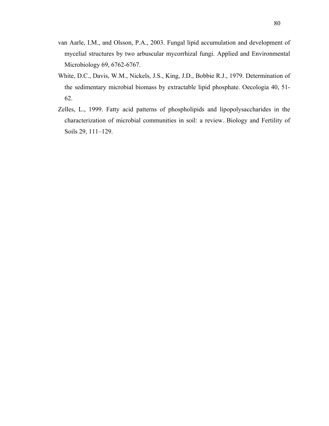- van Aarle, I.M., and Olsson, P.A., 2003. Fungal lipid accumulation and development of mycelial structures by two arbuscular mycorrhizal fungi. Applied and Environmental Microbiology 69, 6762-6767.
- White, D.C., Davis, W.M., Nickels, J.S., King, J.D., Bobbie R.J., 1979. Determination of the sedimentary microbial biomass by extractable lipid phosphate. Oecologia 40, 51- 62.
- Zelles, L., 1999. Fatty acid patterns of phospholipids and lipopolysaccharides in the characterization of microbial communities in soil: a review. Biology and Fertility of Soils 29, 111–129.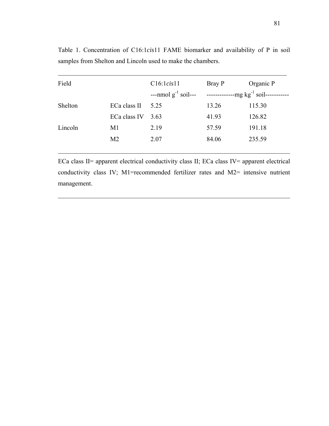| Field   |                | C16:1cis11               | Bray P | Organic P             |
|---------|----------------|--------------------------|--------|-----------------------|
|         |                | ---nmol $g^{-1}$ soil--- |        | $-mg kg^{-1}$ soil--- |
| Shelton | ECa class II   | 5.25                     | 13.26  | 115.30                |
|         | ECa class IV   | 3.63                     | 41.93  | 126.82                |
| Lincoln | M1             | 2.19                     | 57.59  | 191.18                |
|         | M <sub>2</sub> | 2.07                     | 84.06  | 235.59                |
|         |                |                          |        |                       |

Table 1. Concentration of C16:1*cis*11 FAME biomarker and availability of P in soil samples from Shelton and Lincoln used to make the chambers.

ECa class II= apparent electrical conductivity class II; ECa class IV= apparent electrical conductivity class IV; M1=recommended fertilizer rates and M2= intensive nutrient management.

 $\mathcal{L}_\mathcal{L} = \{ \mathcal{L}_\mathcal{L} = \{ \mathcal{L}_\mathcal{L} = \{ \mathcal{L}_\mathcal{L} = \{ \mathcal{L}_\mathcal{L} = \{ \mathcal{L}_\mathcal{L} = \{ \mathcal{L}_\mathcal{L} = \{ \mathcal{L}_\mathcal{L} = \{ \mathcal{L}_\mathcal{L} = \{ \mathcal{L}_\mathcal{L} = \{ \mathcal{L}_\mathcal{L} = \{ \mathcal{L}_\mathcal{L} = \{ \mathcal{L}_\mathcal{L} = \{ \mathcal{L}_\mathcal{L} = \{ \mathcal{L}_\mathcal{$ 

 $\mathcal{L}_\mathcal{L} = \{ \mathcal{L}_\mathcal{L} = \{ \mathcal{L}_\mathcal{L} = \{ \mathcal{L}_\mathcal{L} = \{ \mathcal{L}_\mathcal{L} = \{ \mathcal{L}_\mathcal{L} = \{ \mathcal{L}_\mathcal{L} = \{ \mathcal{L}_\mathcal{L} = \{ \mathcal{L}_\mathcal{L} = \{ \mathcal{L}_\mathcal{L} = \{ \mathcal{L}_\mathcal{L} = \{ \mathcal{L}_\mathcal{L} = \{ \mathcal{L}_\mathcal{L} = \{ \mathcal{L}_\mathcal{L} = \{ \mathcal{L}_\mathcal{$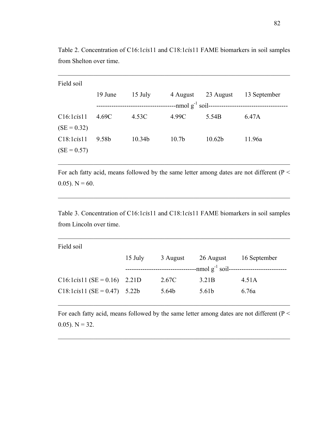| Field soil    |         |         |                   |                                                            |              |
|---------------|---------|---------|-------------------|------------------------------------------------------------|--------------|
|               | 19 June | 15 July | 4 August          | 23 August                                                  | 13 September |
|               |         |         |                   | $-$ nmol g <sup>-1</sup> soil----------------------------- |              |
| C16:1cis11    | 4.69C   | 4.53C   | 4.99C             | 5.54B                                                      | 6.47A        |
| $(SE = 0.32)$ |         |         |                   |                                                            |              |
| C18:1cis11    | 9.58b   | 10.34b  | 10.7 <sub>b</sub> | 10.62 <sub>b</sub>                                         | 11.96a       |
| $(SE = 0.57)$ |         |         |                   |                                                            |              |
|               |         |         |                   |                                                            |              |

Table 2. Concentration of C16:1*cis*11 and C18:1*cis*11 FAME biomarkers in soil samples from Shelton over time.

 $\mathcal{L}_\text{max} = \mathcal{L}_\text{max} = \mathcal{L}_\text{max} = \mathcal{L}_\text{max} = \mathcal{L}_\text{max} = \mathcal{L}_\text{max} = \mathcal{L}_\text{max} = \mathcal{L}_\text{max} = \mathcal{L}_\text{max} = \mathcal{L}_\text{max} = \mathcal{L}_\text{max} = \mathcal{L}_\text{max} = \mathcal{L}_\text{max} = \mathcal{L}_\text{max} = \mathcal{L}_\text{max} = \mathcal{L}_\text{max} = \mathcal{L}_\text{max} = \mathcal{L}_\text{max} = \mathcal{$ 

For ach fatty acid, means followed by the same letter among dates are not different (P < 0.05).  $N = 60$ .

 $\mathcal{L}_\text{max}$  , and the contribution of the contribution of the contribution of the contribution of the contribution of the contribution of the contribution of the contribution of the contribution of the contribution of t

Table 3. Concentration of C16:1*cis*11 and C18:1*cis*11 FAME biomarkers in soil samples from Lincoln over time.

 $\mathcal{L}_\text{max}$  , and the contribution of the contribution of the contribution of the contribution of the contribution of the contribution of the contribution of the contribution of the contribution of the contribution of t

| Field soil                       |         |          |                                         |              |
|----------------------------------|---------|----------|-----------------------------------------|--------------|
|                                  | 15 July | 3 August | 26 August                               | 16 September |
|                                  |         |          | --nmol g <sup>-1</sup> soil------------ |              |
| $C16:1 cis 11 (SE = 0.16)$ 2.21D |         | 2.67C    | 3.21 <sub>B</sub>                       | 4.51A        |
| $C18:1 cis 11 (SE = 0.47)$ 5.22b |         | 5.64b    | 5.61b                                   | 6.76a        |

For each fatty acid, means followed by the same letter among dates are not different ( $P <$ 0.05).  $N = 32$ .

 $\mathcal{L}_\text{max}$  , and the contribution of the contribution of the contribution of the contribution of the contribution of the contribution of the contribution of the contribution of the contribution of the contribution of t

 $\mathcal{L}_\text{max}$  , and the contribution of the contribution of the contribution of the contribution of the contribution of the contribution of the contribution of the contribution of the contribution of the contribution of t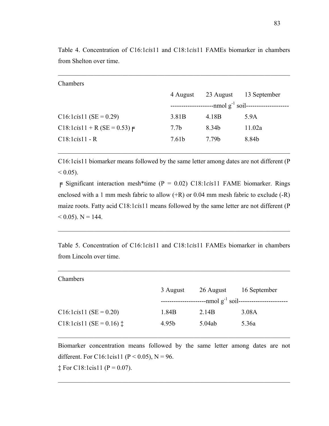| 4 August          | 23 August | 13 September                                       |
|-------------------|-----------|----------------------------------------------------|
|                   |           | $-$ nmol g <sup>-1</sup> soil--------------------- |
| 3.81 <sub>B</sub> | 4.18B     | 5.9A                                               |
| 7.7 <sub>b</sub>  | 8.34b     | 11.02a                                             |
| 7.61b             | 7.79b     | 8.84b                                              |
|                   |           |                                                    |

Table 4. Concentration of C16:1*cis*11 and C18:1*cis*11 FAMEs biomarker in chambers from Shelton over time.

 $\mathcal{L}_\text{max} = \mathcal{L}_\text{max} = \mathcal{L}_\text{max} = \mathcal{L}_\text{max} = \mathcal{L}_\text{max} = \mathcal{L}_\text{max} = \mathcal{L}_\text{max} = \mathcal{L}_\text{max} = \mathcal{L}_\text{max} = \mathcal{L}_\text{max} = \mathcal{L}_\text{max} = \mathcal{L}_\text{max} = \mathcal{L}_\text{max} = \mathcal{L}_\text{max} = \mathcal{L}_\text{max} = \mathcal{L}_\text{max} = \mathcal{L}_\text{max} = \mathcal{L}_\text{max} = \mathcal{$ 

C16:1cis11 biomarker means followed by the same letter among dates are not different (P  $< 0.05$ ).

 $\mathcal{L}_\text{max}$  , and the contribution of the contribution of the contribution of the contribution of the contribution of the contribution of the contribution of the contribution of the contribution of the contribution of t

╒ Significant interaction mesh\*time (P = 0.02) C18:1*cis*11 FAME biomarker. Rings enclosed with a 1 mm mesh fabric to allow (+R) or 0.04 mm mesh fabric to exclude (-R) maize roots. Fatty acid C18:1*cis*11 means followed by the same letter are not different (P  $< 0.05$ ). N = 144.

Table 5. Concentration of C16:1*cis*11 and C18:1*cis*11 FAMEs biomarker in chambers from Lincoln over time.

 $\mathcal{L}_\text{max} = \mathcal{L}_\text{max} = \mathcal{L}_\text{max} = \mathcal{L}_\text{max} = \mathcal{L}_\text{max} = \mathcal{L}_\text{max} = \mathcal{L}_\text{max} = \mathcal{L}_\text{max} = \mathcal{L}_\text{max} = \mathcal{L}_\text{max} = \mathcal{L}_\text{max} = \mathcal{L}_\text{max} = \mathcal{L}_\text{max} = \mathcal{L}_\text{max} = \mathcal{L}_\text{max} = \mathcal{L}_\text{max} = \mathcal{L}_\text{max} = \mathcal{L}_\text{max} = \mathcal{$ 

 $\mathcal{L}_\text{max}$  , and the contribution of the contribution of the contribution of the contribution of the contribution of the contribution of the contribution of the contribution of the contribution of the contribution of t

| Chambers                                   |          |                                         |              |
|--------------------------------------------|----------|-----------------------------------------|--------------|
|                                            | 3 August | 26 August                               | 16 September |
|                                            |          | $-$ nmol g <sup>-1</sup> soil---------- |              |
| $C16:1 cis 11 (SE = 0.20)$                 | 1.84B    | 2.14B                                   | 3.08A        |
| C18:1 <i>cis</i> 11 (SE = 0.16) $\ddagger$ | 4.95b    | 5.04ab                                  | 5.36a        |
|                                            |          |                                         |              |

Biomarker concentration means followed by the same letter among dates are not different. For C16:1cis11 (P < 0.05), N = 96.

 $\mathcal{L}_\text{max} = \mathcal{L}_\text{max} = \mathcal{L}_\text{max} = \mathcal{L}_\text{max} = \mathcal{L}_\text{max} = \mathcal{L}_\text{max} = \mathcal{L}_\text{max} = \mathcal{L}_\text{max} = \mathcal{L}_\text{max} = \mathcal{L}_\text{max} = \mathcal{L}_\text{max} = \mathcal{L}_\text{max} = \mathcal{L}_\text{max} = \mathcal{L}_\text{max} = \mathcal{L}_\text{max} = \mathcal{L}_\text{max} = \mathcal{L}_\text{max} = \mathcal{L}_\text{max} = \mathcal{$ 

 $\mathcal{L}_\text{max}$  , and the contribution of the contribution of the contribution of the contribution of the contribution of the contribution of the contribution of the contribution of the contribution of the contribution of t

 $\ddagger$  For C18:1cis11 (P = 0.07).

Chambers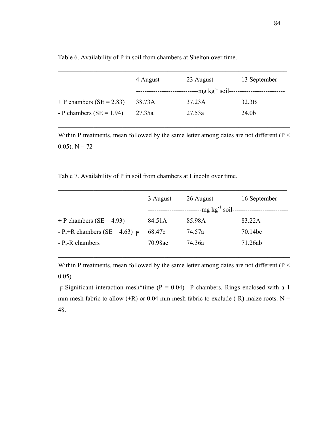Table 6. Availability of P in soil from chambers at Shelton over time.

|                              | 4 August | 23 August                     | 13 September      |
|------------------------------|----------|-------------------------------|-------------------|
|                              |          | $-mg kg^{-1}$ soil----------- |                   |
| + P chambers ( $SE = 2.83$ ) | 38.73A   | 37.23A                        | 32.3B             |
| - P chambers ( $SE = 1.94$ ) | 27.35a   | 27.53a                        | 24.0 <sub>b</sub> |

Within P treatments, mean followed by the same letter among dates are not different (P < 0.05).  $N = 72$ 

 $\mathcal{L}_\text{max}$  , and the contribution of the contribution of the contribution of the contribution of the contribution of the contribution of the contribution of the contribution of the contribution of the contribution of t

 $\mathcal{L}_\text{max}$  , and the contribution of the contribution of the contribution of the contribution of the contribution of the contribution of the contribution of the contribution of the contribution of the contribution of t

Table 7. Availability of P in soil from chambers at Lincoln over time.

|                                 | 3 August | 26 August                         | 16 September |
|---------------------------------|----------|-----------------------------------|--------------|
|                                 |          | $-mg kg^{-1}$ soil--------------- |              |
| + P chambers ( $SE = 4.93$ )    | 84.51A   | 85.98A                            | 83.22A       |
| $-P$ ,+R chambers (SE = 4.63) F | 68.47b   | 74.57a                            | 70.14bc      |
| - P,-R chambers                 | 70.98ac  | 74.36a                            | 71.26ab      |
|                                 |          |                                   |              |

Within P treatments, mean followed by the same letter among dates are not different (P < 0.05).

 $\mathcal{L}_\text{max}$  , and the contribution of the contribution of the contribution of the contribution of the contribution of the contribution of the contribution of the contribution of the contribution of the contribution of t

 $\mathsf{F}$  Significant interaction mesh\*time (P = 0.04) –P chambers. Rings enclosed with a 1 mm mesh fabric to allow (+R) or 0.04 mm mesh fabric to exclude (-R) maize roots. N = 48.

 $\mathcal{L}_\text{max}$  , and the contribution of the contribution of the contribution of the contribution of the contribution of the contribution of the contribution of the contribution of the contribution of the contribution of t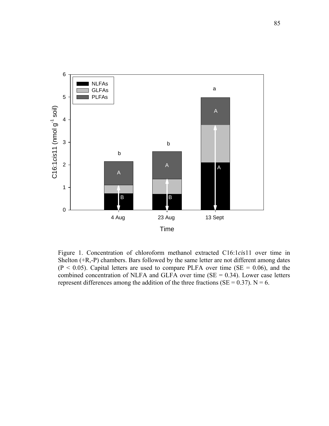

Figure 1. Concentration of chloroform methanol extracted C16:1*cis*11 over time in Shelton (+R,-P) chambers. Bars followed by the same letter are not different among dates  $(P < 0.05)$ . Capital letters are used to compare PLFA over time (SE = 0.06), and the combined concentration of NLFA and GLFA over time  $(SE = 0.34)$ . Lower case letters represent differences among the addition of the three fractions ( $SE = 0.37$ ). N = 6.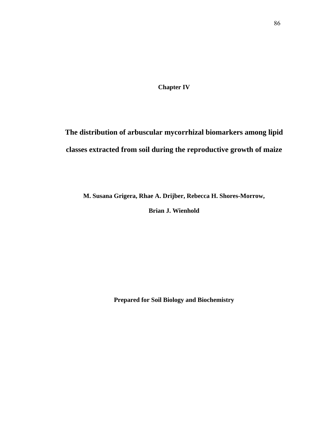**Chapter IV** 

**The distribution of arbuscular mycorrhizal biomarkers among lipid classes extracted from soil during the reproductive growth of maize** 

**M. Susana Grigera, Rhae A. Drijber, Rebecca H. Shores-Morrow,**

**Brian J. Wienhold** 

**Prepared for Soil Biology and Biochemistry**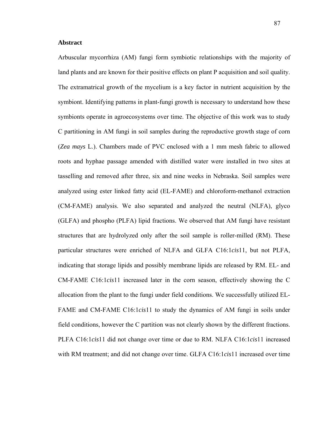## **Abstract**

Arbuscular mycorrhiza (AM) fungi form symbiotic relationships with the majority of land plants and are known for their positive effects on plant P acquisition and soil quality. The extramatrical growth of the mycelium is a key factor in nutrient acquisition by the symbiont. Identifying patterns in plant-fungi growth is necessary to understand how these symbionts operate in agroecosystems over time. The objective of this work was to study C partitioning in AM fungi in soil samples during the reproductive growth stage of corn (*Zea mays* L.). Chambers made of PVC enclosed with a 1 mm mesh fabric to allowed roots and hyphae passage amended with distilled water were installed in two sites at tasselling and removed after three, six and nine weeks in Nebraska. Soil samples were analyzed using ester linked fatty acid (EL-FAME) and chloroform-methanol extraction (CM-FAME) analysis. We also separated and analyzed the neutral (NLFA), glyco (GLFA) and phospho (PLFA) lipid fractions. We observed that AM fungi have resistant structures that are hydrolyzed only after the soil sample is roller-milled (RM). These particular structures were enriched of NLFA and GLFA C16:1*cis*11, but not PLFA, indicating that storage lipids and possibly membrane lipids are released by RM. EL- and CM-FAME C16:1*cis*11 increased later in the corn season, effectively showing the C allocation from the plant to the fungi under field conditions. We successfully utilized EL-FAME and CM-FAME C16:1*cis*11 to study the dynamics of AM fungi in soils under field conditions, however the C partition was not clearly shown by the different fractions. PLFA C16:1*cis*11 did not change over time or due to RM. NLFA C16:1*cis*11 increased with RM treatment; and did not change over time. GLFA C16:1*cis*11 increased over time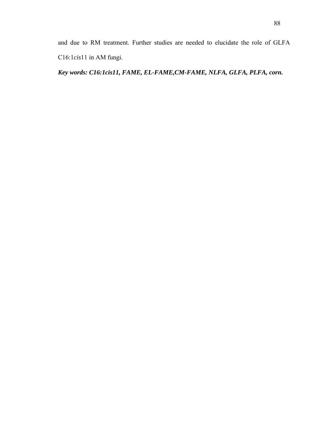and due to RM treatment. Further studies are needed to elucidate the role of GLFA C16:1*cis*11 in AM fungi.

*Key words: C16:1cis11, FAME, EL-FAME,CM-FAME, NLFA, GLFA, PLFA, corn.*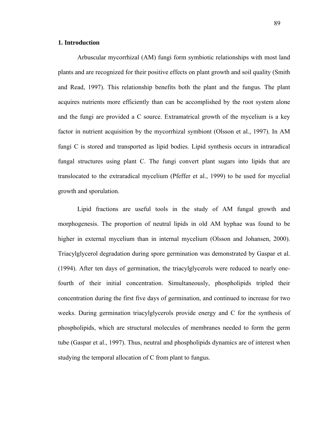# **1. Introduction**

Arbuscular mycorrhizal (AM) fungi form symbiotic relationships with most land plants and are recognized for their positive effects on plant growth and soil quality (Smith and Read, 1997). This relationship benefits both the plant and the fungus. The plant acquires nutrients more efficiently than can be accomplished by the root system alone and the fungi are provided a C source. Extramatrical growth of the mycelium is a key factor in nutrient acquisition by the mycorrhizal symbiont (Olsson et al., 1997). In AM fungi C is stored and transported as lipid bodies. Lipid synthesis occurs in intraradical fungal structures using plant C. The fungi convert plant sugars into lipids that are translocated to the extraradical mycelium (Pfeffer et al., 1999) to be used for mycelial growth and sporulation.

Lipid fractions are useful tools in the study of AM fungal growth and morphogenesis. The proportion of neutral lipids in old AM hyphae was found to be higher in external mycelium than in internal mycelium (Olsson and Johansen, 2000). Triacylglycerol degradation during spore germination was demonstrated by Gaspar et al. (1994). After ten days of germination, the triacylglycerols were reduced to nearly onefourth of their initial concentration. Simultaneously, phospholipids tripled their concentration during the first five days of germination, and continued to increase for two weeks. During germination triacylglycerols provide energy and C for the synthesis of phospholipids, which are structural molecules of membranes needed to form the germ tube (Gaspar et al., 1997). Thus, neutral and phospholipids dynamics are of interest when studying the temporal allocation of C from plant to fungus.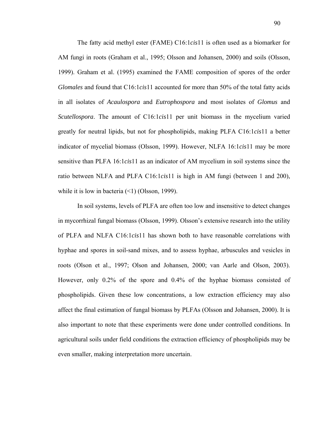The fatty acid methyl ester (FAME) C16:1*cis*11 is often used as a biomarker for AM fungi in roots (Graham et al., 1995; Olsson and Johansen, 2000) and soils (Olsson, 1999). Graham et al. (1995) examined the FAME composition of spores of the order *Glomales* and found that C16:1*cis*11 accounted for more than 50% of the total fatty acids in all isolates of *Acaulospora* and *Eutrophospora* and most isolates of *Glomus* and *Scutellospora*. The amount of C16:1*cis*11 per unit biomass in the mycelium varied greatly for neutral lipids, but not for phospholipids, making PLFA C16:1*cis*11 a better indicator of mycelial biomass (Olsson, 1999). However, NLFA 16:1*cis*11 may be more sensitive than PLFA 16:1*cis*11 as an indicator of AM mycelium in soil systems since the ratio between NLFA and PLFA C16:1*cis*11 is high in AM fungi (between 1 and 200), while it is low in bacteria  $(\leq 1)$  (Olsson, 1999).

In soil systems, levels of PLFA are often too low and insensitive to detect changes in mycorrhizal fungal biomass (Olsson, 1999). Olsson's extensive research into the utility of PLFA and NLFA C16:1*cis*11 has shown both to have reasonable correlations with hyphae and spores in soil-sand mixes, and to assess hyphae, arbuscules and vesicles in roots (Olson et al., 1997; Olson and Johansen, 2000; van Aarle and Olson, 2003). However, only 0.2% of the spore and 0.4% of the hyphae biomass consisted of phospholipids. Given these low concentrations, a low extraction efficiency may also affect the final estimation of fungal biomass by PLFAs (Olsson and Johansen, 2000). It is also important to note that these experiments were done under controlled conditions. In agricultural soils under field conditions the extraction efficiency of phospholipids may be even smaller, making interpretation more uncertain.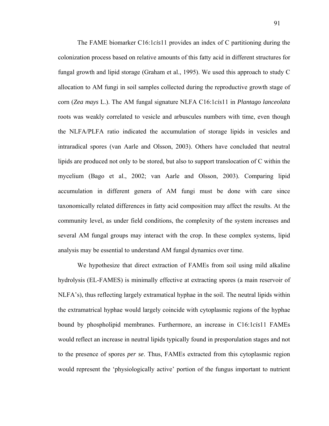The FAME biomarker C16:1*cis*11 provides an index of C partitioning during the colonization process based on relative amounts of this fatty acid in different structures for fungal growth and lipid storage (Graham et al., 1995). We used this approach to study C allocation to AM fungi in soil samples collected during the reproductive growth stage of corn (*Zea mays* L.). The AM fungal signature NLFA C16:1*cis*11 in *Plantago lanceolata* roots was weakly correlated to vesicle and arbuscules numbers with time, even though the NLFA/PLFA ratio indicated the accumulation of storage lipids in vesicles and intraradical spores (van Aarle and Olsson, 2003). Others have concluded that neutral lipids are produced not only to be stored, but also to support translocation of C within the mycelium (Bago et al., 2002; van Aarle and Olsson, 2003). Comparing lipid accumulation in different genera of AM fungi must be done with care since taxonomically related differences in fatty acid composition may affect the results. At the community level, as under field conditions, the complexity of the system increases and several AM fungal groups may interact with the crop. In these complex systems, lipid analysis may be essential to understand AM fungal dynamics over time.

We hypothesize that direct extraction of FAMEs from soil using mild alkaline hydrolysis (EL-FAMES) is minimally effective at extracting spores (a main reservoir of NLFA's), thus reflecting largely extramatical hyphae in the soil. The neutral lipids within the extramatrical hyphae would largely coincide with cytoplasmic regions of the hyphae bound by phospholipid membranes. Furthermore, an increase in C16:1*cis*11 FAMEs would reflect an increase in neutral lipids typically found in presporulation stages and not to the presence of spores *per se*. Thus, FAMEs extracted from this cytoplasmic region would represent the 'physiologically active' portion of the fungus important to nutrient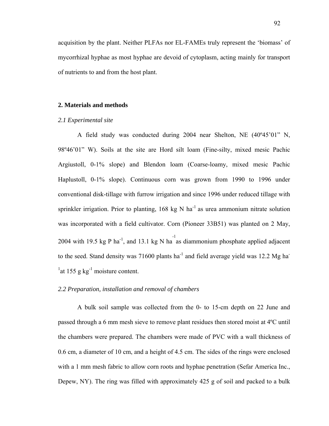acquisition by the plant. Neither PLFAs nor EL-FAMEs truly represent the 'biomass' of mycorrhizal hyphae as most hyphae are devoid of cytoplasm, acting mainly for transport of nutrients to and from the host plant.

### **2. Materials and methods**

#### *2.1 Experimental site*

A field study was conducted during 2004 near Shelton, NE (40º45'01" N, 98º46'01" W). Soils at the site are Hord silt loam (Fine-silty, mixed mesic Pachic Argiustoll, 0-1% slope) and Blendon loam (Coarse-loamy, mixed mesic Pachic Haplustoll, 0-1% slope). Continuous corn was grown from 1990 to 1996 under conventional disk-tillage with furrow irrigation and since 1996 under reduced tillage with sprinkler irrigation. Prior to planting,  $168 \text{ kg N} \text{ ha}^{-1}$  as urea ammonium nitrate solution was incorporated with a field cultivator. Corn (Pioneer 33B51) was planted on 2 May, 2004 with 19.5 kg P ha<sup>-1</sup>, and 13.1 kg N ha<sup>-1</sup> as diammonium phosphate applied adjacent to the seed. Stand density was 71600 plants  $ha^{-1}$  and field average yield was 12.2 Mg ha-<sup>1</sup> at 155 g kg<sup>-1</sup> moisture content.

# *2.2 Preparation, installation and removal of chambers*

A bulk soil sample was collected from the 0- to 15-cm depth on 22 June and passed through a 6 mm mesh sieve to remove plant residues then stored moist at 4ºC until the chambers were prepared. The chambers were made of PVC with a wall thickness of 0.6 cm, a diameter of 10 cm, and a height of 4.5 cm. The sides of the rings were enclosed with a 1 mm mesh fabric to allow corn roots and hyphae penetration (Sefar America Inc., Depew, NY). The ring was filled with approximately 425 g of soil and packed to a bulk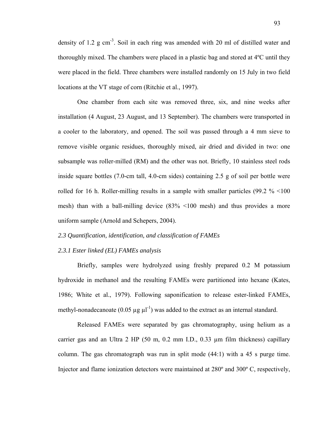density of 1.2 g cm-3. Soil in each ring was amended with 20 ml of distilled water and thoroughly mixed. The chambers were placed in a plastic bag and stored at 4ºC until they were placed in the field. Three chambers were installed randomly on 15 July in two field locations at the VT stage of corn (Ritchie et al., 1997).

One chamber from each site was removed three, six, and nine weeks after installation (4 August, 23 August, and 13 September). The chambers were transported in a cooler to the laboratory, and opened. The soil was passed through a 4 mm sieve to remove visible organic residues, thoroughly mixed, air dried and divided in two: one subsample was roller-milled (RM) and the other was not. Briefly, 10 stainless steel rods inside square bottles (7.0-cm tall, 4.0-cm sides) containing 2.5 g of soil per bottle were rolled for 16 h. Roller-milling results in a sample with smaller particles (99.2 % <100 mesh) than with a ball-milling device (83% <100 mesh) and thus provides a more uniform sample (Arnold and Schepers, 2004).

*2.3 Quantification, identification, and classification of FAMEs* 

### *2.3.1 Ester linked (EL) FAMEs analysis*

Briefly, samples were hydrolyzed using freshly prepared 0.2 M potassium hydroxide in methanol and the resulting FAMEs were partitioned into hexane (Kates, 1986; White et al., 1979). Following saponification to release ester-linked FAMEs, methyl-nonadecanoate  $(0.05 \mu g \mu l^{-1})$  was added to the extract as an internal standard.

Released FAMEs were separated by gas chromatography, using helium as a carrier gas and an Ultra 2 HP (50 m, 0.2 mm I.D., 0.33 µm film thickness) capillary column. The gas chromatograph was run in split mode (44:1) with a 45 s purge time. Injector and flame ionization detectors were maintained at 280º and 300º C, respectively,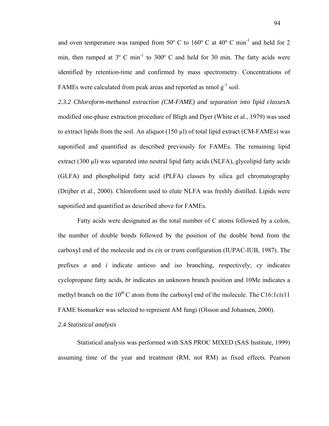and oven temperature was ramped from  $50^{\circ}$  C to  $160^{\circ}$  C at  $40^{\circ}$  C min<sup>-1</sup> and held for 2 min, then ramped at  $3^{\circ}$  C min<sup>-1</sup> to  $300^{\circ}$  C and held for 30 min. The fatty acids were identified by retention-time and confirmed by mass spectrometry. Concentrations of FAMEs were calculated from peak areas and reported as nmol  $g^{-1}$  soil.

*2.3.2 Chloroform-methanol extraction (CM-FAME) and separation into lipid classes*A modified one-phase extraction procedure of Bligh and Dyer (White et al., 1979) was used to extract lipids from the soil. An aliquot (150 µl) of total lipid extract (CM-FAMEs) was saponified and quantified as described previously for FAMEs. The remaining lipid extract (300 µl) was separated into neutral lipid fatty acids (NLFA), glycolipid fatty acids (GLFA) and phospholipid fatty acid (PLFA) classes by silica gel chromatography (Drijber et al., 2000). Chloroform used to elute NLFA was freshly distilled. Lipids were saponified and quantified as described above for FAMEs.

Fatty acids were designated as the total number of C atoms followed by a colon, the number of double bonds followed by the position of the double bond from the carboxyl end of the molecule and its *cis* or *trans* configuration (IUPAC-IUB, 1987). The prefixes *a* and *i* indicate antieso and iso branching, respectively; *cy* indicates cyclopropane fatty acids, *br* indicates an unknown branch position and 10Me indicates a methyl branch on the  $10^{th}$ C atom from the carboxyl end of the molecule. The C16:1*cis*11 FAME biomarker was selected to represent AM fungi (Olsson and Johansen, 2000).

### *2.4 Statistical analysis*

Statistical analysis was performed with SAS PROC MIXED (SAS Institute, 1999) assuming time of the year and treatment (RM, not RM) as fixed effects. Pearson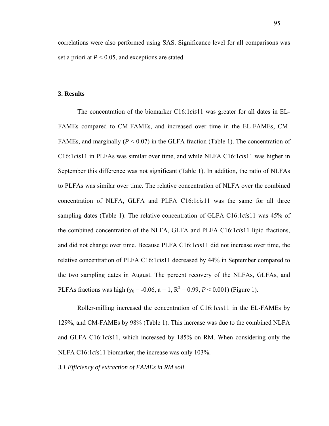correlations were also performed using SAS. Significance level for all comparisons was set a priori at  $P < 0.05$ , and exceptions are stated.

### **3. Results**

The concentration of the biomarker C16:1*cis*11 was greater for all dates in EL-FAMEs compared to CM-FAMEs, and increased over time in the EL-FAMEs, CM-FAMEs, and marginally  $(P < 0.07)$  in the GLFA fraction (Table 1). The concentration of C16:1*cis*11 in PLFAs was similar over time, and while NLFA C16:1*cis*11 was higher in September this difference was not significant (Table 1). In addition, the ratio of NLFAs to PLFAs was similar over time. The relative concentration of NLFA over the combined concentration of NLFA, GLFA and PLFA C16:1*cis*11 was the same for all three sampling dates (Table 1). The relative concentration of GLFA C16:1*cis*11 was 45% of the combined concentration of the NLFA, GLFA and PLFA C16:1*cis*11 lipid fractions, and did not change over time. Because PLFA C16:1*cis*11 did not increase over time, the relative concentration of PLFA C16:1*cis*11 decreased by 44% in September compared to the two sampling dates in August. The percent recovery of the NLFAs, GLFAs, and PLFAs fractions was high (y<sub>0</sub> = -0.06, a = 1, R<sup>2</sup> = 0.99, *P* < 0.001) (Figure 1).

Roller-milling increased the concentration of C16:1*cis*11 in the EL-FAMEs by 129%, and CM-FAMEs by 98% (Table 1). This increase was due to the combined NLFA and GLFA C16:1*cis*11, which increased by 185% on RM. When considering only the NLFA C16:1*cis*11 biomarker, the increase was only 103%.

*3.1 Efficiency of extraction of FAMEs in RM soil*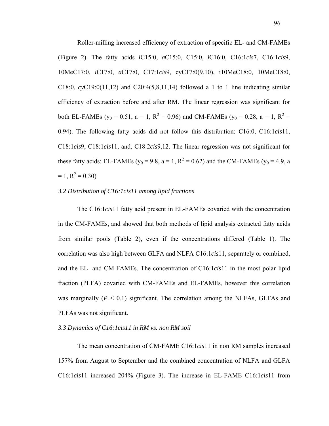Roller-milling increased efficiency of extraction of specific EL- and CM-FAMEs (Figure 2). The fatty acids *i*C15:0, *a*C15:0, C15:0, *i*C16:0, C16:1*cis*7, C16:1*cis*9, 10MeC17:0, *i*C17:0, *a*C17:0, C17:1*cis*9, cyC17:0(9,10), i10MeC18:0, 10MeC18:0, C18:0, *cy*C19:0(11,12) and C20:4(5,8,11,14) followed a 1 to 1 line indicating similar efficiency of extraction before and after RM. The linear regression was significant for both EL-FAMEs ( $y_0 = 0.51$ ,  $a = 1$ ,  $R^2 = 0.96$ ) and CM-FAMEs ( $y_0 = 0.28$ ,  $a = 1$ ,  $R^2 =$ 0.94). The following fatty acids did not follow this distribution: C16:0, C16:1*cis*11, C18:1*cis*9, C18:1*cis*11, and, C18:2*cis*9,12. The linear regression was not significant for these fatty acids: EL-FAMEs ( $y_0 = 9.8$ ,  $a = 1$ ,  $R^2 = 0.62$ ) and the CM-FAMEs ( $y_0 = 4.9$ , a  $= 1, R<sup>2</sup> = 0.30$ 

### *3.2 Distribution of C16:1cis11 among lipid fractions*

The C16:1*cis*11 fatty acid present in EL-FAMEs covaried with the concentration in the CM-FAMEs, and showed that both methods of lipid analysis extracted fatty acids from similar pools (Table 2), even if the concentrations differed (Table 1). The correlation was also high between GLFA and NLFA C16:1*cis*11, separately or combined, and the EL- and CM-FAMEs. The concentration of C16:1*cis*11 in the most polar lipid fraction (PLFA) covaried with CM-FAMEs and EL-FAMEs, however this correlation was marginally  $(P < 0.1)$  significant. The correlation among the NLFAs, GLFAs and PLFAs was not significant.

# *3.3 Dynamics of C16:1cis11 in RM vs. non RM soil*

The mean concentration of CM-FAME C16:1*cis*11 in non RM samples increased 157% from August to September and the combined concentration of NLFA and GLFA C16:1*cis*11 increased 204% (Figure 3). The increase in EL-FAME C16:1*cis*11 from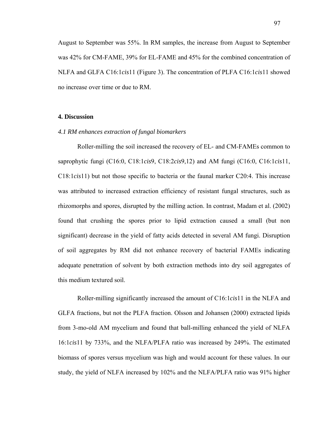August to September was 55%. In RM samples, the increase from August to September was 42% for CM-FAME, 39% for EL-FAME and 45% for the combined concentration of NLFA and GLFA C16:1*cis*11 (Figure 3). The concentration of PLFA C16:1*cis*11 showed no increase over time or due to RM.

### **4. Discussion**

## *4.1 RM enhances extraction of fungal biomarkers*

Roller-milling the soil increased the recovery of EL- and CM-FAMEs common to saprophytic fungi (C16:0, C18:1*cis*9, C18:2*cis*9,12) and AM fungi (C16:0, C16:1*cis*11, C18:1*cis*11) but not those specific to bacteria or the faunal marker C20:4. This increase was attributed to increased extraction efficiency of resistant fungal structures, such as rhizomorphs and spores, disrupted by the milling action. In contrast, Madam et al. (2002) found that crushing the spores prior to lipid extraction caused a small (but non significant) decrease in the yield of fatty acids detected in several AM fungi. Disruption of soil aggregates by RM did not enhance recovery of bacterial FAMEs indicating adequate penetration of solvent by both extraction methods into dry soil aggregates of this medium textured soil.

Roller-milling significantly increased the amount of C16:1*cis*11 in the NLFA and GLFA fractions, but not the PLFA fraction. Olsson and Johansen (2000) extracted lipids from 3-mo-old AM mycelium and found that ball-milling enhanced the yield of NLFA 16:1*cis*11 by 733%, and the NLFA/PLFA ratio was increased by 249%. The estimated biomass of spores versus mycelium was high and would account for these values. In our study, the yield of NLFA increased by 102% and the NLFA/PLFA ratio was 91% higher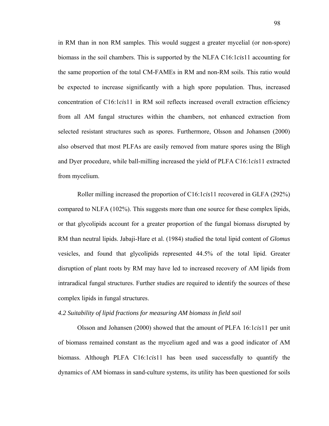in RM than in non RM samples. This would suggest a greater mycelial (or non-spore) biomass in the soil chambers. This is supported by the NLFA C16:1*cis*11 accounting for the same proportion of the total CM-FAMEs in RM and non-RM soils. This ratio would be expected to increase significantly with a high spore population. Thus, increased concentration of C16:1*cis*11 in RM soil reflects increased overall extraction efficiency from all AM fungal structures within the chambers, not enhanced extraction from selected resistant structures such as spores. Furthermore, Olsson and Johansen (2000) also observed that most PLFAs are easily removed from mature spores using the Bligh and Dyer procedure, while ball-milling increased the yield of PLFA C16:1*cis*11 extracted from mycelium.

Roller milling increased the proportion of C16:1*cis*11 recovered in GLFA (292%) compared to NLFA (102%). This suggests more than one source for these complex lipids, or that glycolipids account for a greater proportion of the fungal biomass disrupted by RM than neutral lipids. Jabaji-Hare et al. (1984) studied the total lipid content of *Glomus* vesicles, and found that glycolipids represented 44.5% of the total lipid. Greater disruption of plant roots by RM may have led to increased recovery of AM lipids from intraradical fungal structures. Further studies are required to identify the sources of these complex lipids in fungal structures.

#### *4.2 Suitability of lipid fractions for measuring AM biomass in field soil*

Olsson and Johansen (2000) showed that the amount of PLFA 16:1*cis*11 per unit of biomass remained constant as the mycelium aged and was a good indicator of AM biomass. Although PLFA C16:1*cis*11 has been used successfully to quantify the dynamics of AM biomass in sand-culture systems, its utility has been questioned for soils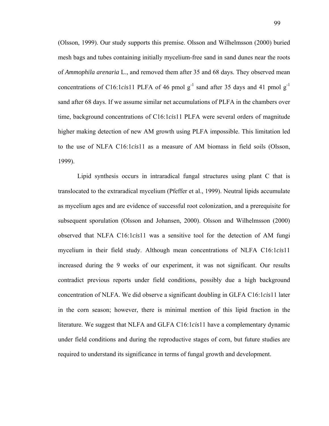(Olsson, 1999). Our study supports this premise. Olsson and Wilhelmsson (2000) buried mesh bags and tubes containing initially mycelium-free sand in sand dunes near the roots of *Ammophila arenaria* L., and removed them after 35 and 68 days. They observed mean concentrations of C16:1*cis*11 PLFA of 46 pmol  $g^{-1}$  sand after 35 days and 41 pmol  $g^{-1}$ sand after 68 days. If we assume similar net accumulations of PLFA in the chambers over time, background concentrations of C16:1*cis*11 PLFA were several orders of magnitude higher making detection of new AM growth using PLFA impossible. This limitation led to the use of NLFA C16:1*cis*11 as a measure of AM biomass in field soils (Olsson, 1999).

Lipid synthesis occurs in intraradical fungal structures using plant C that is translocated to the extraradical mycelium (Pfeffer et al., 1999). Neutral lipids accumulate as mycelium ages and are evidence of successful root colonization, and a prerequisite for subsequent sporulation (Olsson and Johansen, 2000). Olsson and Wilhelmsson (2000) observed that NLFA C16:1*cis*11 was a sensitive tool for the detection of AM fungi mycelium in their field study. Although mean concentrations of NLFA C16:1*cis*11 increased during the 9 weeks of our experiment, it was not significant. Our results contradict previous reports under field conditions, possibly due a high background concentration of NLFA. We did observe a significant doubling in GLFA C16:1*cis*11 later in the corn season; however, there is minimal mention of this lipid fraction in the literature. We suggest that NLFA and GLFA C16:1*cis*11 have a complementary dynamic under field conditions and during the reproductive stages of corn, but future studies are required to understand its significance in terms of fungal growth and development.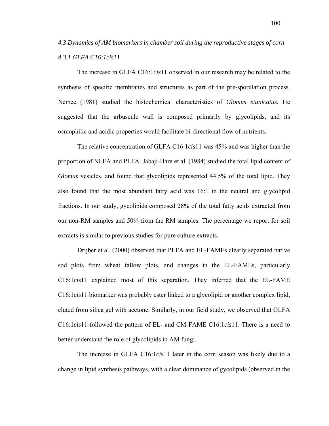*4.3 Dynamics of AM biomarkers in chamber soil during the reproductive stages of corn 4.3.1 GLFA C16:1cis11* 

The increase in GLFA C16:1*cis*11 observed in our research may be related to the synthesis of specific membranes and structures as part of the pre-sporulation process. Nemec (1981) studied the histochemical characteristics of *Glomus etunicatus*. He suggested that the arbuscule wall is composed primarily by glycolipids, and its osmophilic and acidic properties would facilitate bi-directional flow of nutrients.

The relative concentration of GLFA C16:1*cis*11 was 45% and was higher than the proportion of NLFA and PLFA. Jabaji-Hare et al. (1984) studied the total lipid content of *Glomus* vesicles, and found that glycolipids represented 44.5% of the total lipid. They also found that the most abundant fatty acid was 16:1 in the neutral and glycolipid fractions. In our study, gycolipids composed 28% of the total fatty acids extracted from our non-RM samples and 50% from the RM samples. The percentage we report for soil extracts is similar to previous studies for pure culture extracts.

Drijber et al. (2000) observed that PLFA and EL-FAMEs clearly separated native sod plots from wheat fallow plots, and changes in the EL-FAMEs, particularly C16:1*cis*11 explained most of this separation. They inferred that the EL-FAME C16:1*cis*11 biomarker was probably ester linked to a glycolipid or another complex lipid, eluted from silica gel with acetone. Similarly, in our field study, we observed that GLFA C16:1*cis*11 followed the pattern of EL- and CM-FAME C16:1*cis*11. There is a need to better understand the role of glycolipids in AM fungi.

The increase in GLFA C16:1*cis*11 later in the corn season was likely due to a change in lipid synthesis pathways, with a clear dominance of gycolipids (observed in the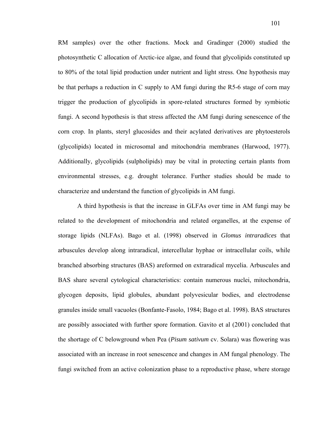RM samples) over the other fractions. Mock and Gradinger (2000) studied the photosynthetic C allocation of Arctic-ice algae, and found that glycolipids constituted up to 80% of the total lipid production under nutrient and light stress. One hypothesis may be that perhaps a reduction in C supply to AM fungi during the R5-6 stage of corn may trigger the production of glycolipids in spore-related structures formed by symbiotic fungi. A second hypothesis is that stress affected the AM fungi during senescence of the corn crop. In plants, steryl glucosides and their acylated derivatives are phytoesterols (glycolipids) located in microsomal and mitochondria membranes (Harwood, 1977). Additionally, glycolipids (sulpholipids) may be vital in protecting certain plants from environmental stresses, e.g. drought tolerance. Further studies should be made to characterize and understand the function of glycolipids in AM fungi.

A third hypothesis is that the increase in GLFAs over time in AM fungi may be related to the development of mitochondria and related organelles, at the expense of storage lipids (NLFAs). Bago et al. (1998) observed in *Glomus intraradices* that arbuscules develop along intraradical, intercellular hyphae or intracellular coils, while branched absorbing structures (BAS) areformed on extraradical mycelia. Arbuscules and BAS share several cytological characteristics: contain numerous nuclei, mitochondria, glycogen deposits, lipid globules, abundant polyvesicular bodies, and electrodense granules inside small vacuoles (Bonfante-Fasolo, 1984; Bago et al. 1998). BAS structures are possibly associated with further spore formation. Gavito et al (2001) concluded that the shortage of C belowground when Pea (*Pisum sativum* cv. Solara) was flowering was associated with an increase in root senescence and changes in AM fungal phenology. The fungi switched from an active colonization phase to a reproductive phase, where storage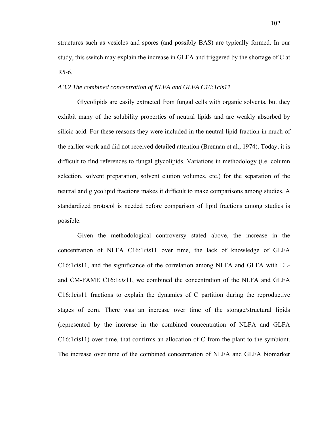structures such as vesicles and spores (and possibly BAS) are typically formed. In our study, this switch may explain the increase in GLFA and triggered by the shortage of C at R5-6.

# *4.3.2 The combined concentration of NLFA and GLFA C16:1cis11*

Glycolipids are easily extracted from fungal cells with organic solvents, but they exhibit many of the solubility properties of neutral lipids and are weakly absorbed by silicic acid. For these reasons they were included in the neutral lipid fraction in much of the earlier work and did not received detailed attention (Brennan et al., 1974). Today, it is difficult to find references to fungal glycolipids. Variations in methodology (i.e. column selection, solvent preparation, solvent elution volumes, etc.) for the separation of the neutral and glycolipid fractions makes it difficult to make comparisons among studies. A standardized protocol is needed before comparison of lipid fractions among studies is possible.

Given the methodological controversy stated above, the increase in the concentration of NLFA C16:1*cis*11 over time, the lack of knowledge of GLFA C16:1*cis*11, and the significance of the correlation among NLFA and GLFA with ELand CM-FAME C16:1*cis*11, we combined the concentration of the NLFA and GLFA C16:1*cis*11 fractions to explain the dynamics of C partition during the reproductive stages of corn. There was an increase over time of the storage/structural lipids (represented by the increase in the combined concentration of NLFA and GLFA C16:1*cis*11) over time, that confirms an allocation of C from the plant to the symbiont. The increase over time of the combined concentration of NLFA and GLFA biomarker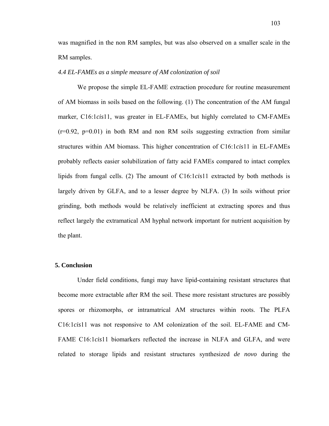was magnified in the non RM samples, but was also observed on a smaller scale in the RM samples.

### *4.4 EL-FAMEs as a simple measure of AM colonization of soil*

We propose the simple EL-FAME extraction procedure for routine measurement of AM biomass in soils based on the following. (1) The concentration of the AM fungal marker, C16:1*cis*11, was greater in EL-FAMEs, but highly correlated to CM-FAMEs  $(r=0.92, p=0.01)$  in both RM and non RM soils suggesting extraction from similar structures within AM biomass. This higher concentration of C16:1*cis*11 in EL-FAMEs probably reflects easier solubilization of fatty acid FAMEs compared to intact complex lipids from fungal cells. (2) The amount of C16:1*cis*11 extracted by both methods is largely driven by GLFA, and to a lesser degree by NLFA. (3) In soils without prior grinding, both methods would be relatively inefficient at extracting spores and thus reflect largely the extramatical AM hyphal network important for nutrient acquisition by the plant.

#### **5. Conclusion**

Under field conditions, fungi may have lipid-containing resistant structures that become more extractable after RM the soil. These more resistant structures are possibly spores or rhizomorphs, or intramatrical AM structures within roots. The PLFA C16:1*cis*11 was not responsive to AM colonization of the soil. EL-FAME and CM-FAME C16:1*cis*11 biomarkers reflected the increase in NLFA and GLFA, and were related to storage lipids and resistant structures synthesized *de novo* during the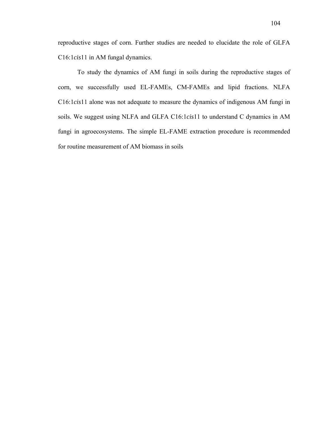reproductive stages of corn. Further studies are needed to elucidate the role of GLFA C16:1*cis*11 in AM fungal dynamics.

To study the dynamics of AM fungi in soils during the reproductive stages of corn, we successfully used EL-FAMEs, CM-FAMEs and lipid fractions. NLFA C16:1*cis*11 alone was not adequate to measure the dynamics of indigenous AM fungi in soils. We suggest using NLFA and GLFA C16:1*cis*11 to understand C dynamics in AM fungi in agroecosystems. The simple EL-FAME extraction procedure is recommended for routine measurement of AM biomass in soils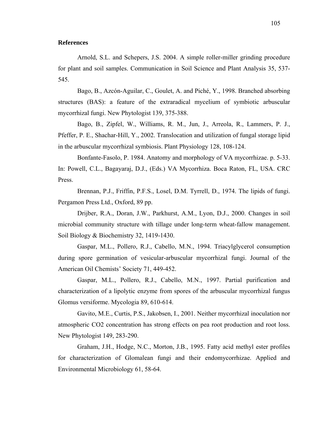### **References**

Arnold, S.L. and Schepers, J.S. 2004. A simple roller-miller grinding procedure for plant and soil samples. Communication in Soil Science and Plant Analysis 35, 537- 545.

Bago, B., Azcón-Aguilar, C., Goulet, A. and Piché, Y., 1998. Branched absorbing structures (BAS): a feature of the extraradical mycelium of symbiotic arbuscular mycorrhizal fungi. New Phytologist 139, 375-388.

Bago, B., Zipfel, W., Williams, R. M., Jun, J., Arreola, R., Lammers, P. J., Pfeffer, P. E., Shachar-Hill, Y., 2002. Translocation and utilization of fungal storage lipid in the arbuscular mycorrhizal symbiosis. Plant Physiology 128, 108-124.

Bonfante-Fasolo, P. 1984. Anatomy and morphology of VA mycorrhizae. p. 5-33. In: Powell, C.L., Bagayaraj, D.J., (Eds.) VA Mycorrhiza. Boca Raton, FL, USA. CRC Press.

Brennan, P.J., Friffin, P.F.S., Losel, D.M. Tyrrell, D., 1974. The lipids of fungi. Pergamon Press Ltd., Oxford, 89 pp.

Drijber, R.A., Doran, J.W., Parkhurst, A.M., Lyon, D.J., 2000. Changes in soil microbial community structure with tillage under long-term wheat-fallow management. Soil Biology & Biochemistry 32, 1419-1430.

Gaspar, M.L., Pollero, R.J., Cabello, M.N., 1994. Triacylglycerol consumption during spore germination of vesicular-arbuscular mycorrhizal fungi. Journal of the American Oil Chemists' Society 71, 449-452.

Gaspar, M.L., Pollero, R.J., Cabello, M.N., 1997. Partial purification and characterization of a lipolytic enzyme from spores of the arbuscular mycorrhizal fungus Glomus versiforme. Mycologia 89, 610-614.

Gavito, M.E., Curtis, P.S., Jakobsen, I., 2001. Neither mycorrhizal inoculation nor atmospheric CO2 concentration has strong effects on pea root production and root loss. New Phytologist 149, 283-290.

Graham, J.H., Hodge, N.C., Morton, J.B., 1995. Fatty acid methyl ester profiles for characterization of Glomalean fungi and their endomycorrhizae. Applied and Environmental Microbiology 61, 58-64.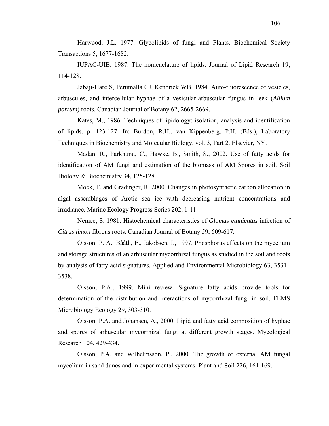Harwood, J.L. 1977. Glycolipids of fungi and Plants. Biochemical Society Transactions 5, 1677-1682.

IUPAC-UIB. 1987. The nomenclature of lipids. Journal of Lipid Research 19, 114-128.

Jabaji-Hare S, Perumalla CJ, Kendrick WB. 1984. Auto-fluorescence of vesicles, arbuscules, and intercellular hyphae of a vesicular-arbuscular fungus in leek (*Allium porrum*) roots. Canadian Journal of Botany 62, 2665-2669.

Kates, M., 1986. Techniques of lipidology: isolation, analysis and identification of lipids. p. 123-127. In: Burdon, R.H., van Kippenberg, P.H. (Eds.), Laboratory Techniques in Biochemistry and Molecular Biology, vol. 3, Part 2. Elsevier, NY.

Madan, R., Parkhurst, C., Hawke, B., Smith, S., 2002. Use of fatty acids for identification of AM fungi and estimation of the biomass of AM Spores in soil. Soil Biology & Biochemistry 34, 125-128.

Mock, T. and Gradinger, R. 2000. Changes in photosynthetic carbon allocation in algal assemblages of Arctic sea ice with decreasing nutrient concentrations and irradiance. Marine Ecology Progress Series 202, 1-11.

Nemec, S. 1981. Histochemical characteristics of *Glomus etunicatus* infection of *Citrus limon* fibrous roots. Canadian Journal of Botany 59, 609-617.

Olsson, P. A., Bååth, E., Jakobsen, I., 1997. Phosphorus effects on the mycelium and storage structures of an arbuscular mycorrhizal fungus as studied in the soil and roots by analysis of fatty acid signatures. Applied and Environmental Microbiology 63, 3531– 3538.

Olsson, P.A., 1999. Mini review. Signature fatty acids provide tools for determination of the distribution and interactions of mycorrhizal fungi in soil. FEMS Microbiology Ecology 29, 303-310.

Olsson, P.A. and Johansen, A., 2000. Lipid and fatty acid composition of hyphae and spores of arbuscular mycorrhizal fungi at different growth stages. Mycological Research 104, 429-434.

Olsson, P.A. and Wilhelmsson, P., 2000. The growth of external AM fungal mycelium in sand dunes and in experimental systems. Plant and Soil 226, 161-169.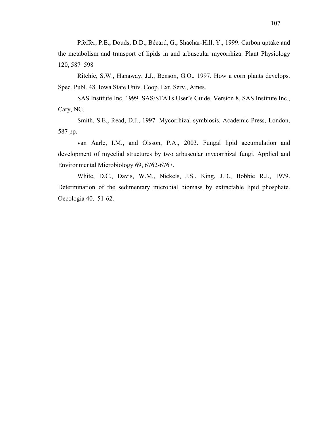Pfeffer, P.E., Douds, D.D., Bécard, G., Shachar-Hill, Y., 1999. Carbon uptake and the metabolism and transport of lipids in and arbuscular mycorrhiza. Plant Physiology 120, 587–598

Ritchie, S.W., Hanaway, J.J., Benson, G.O., 1997. How a corn plants develops. Spec. Publ. 48. Iowa State Univ. Coop. Ext. Serv., Ames.

SAS Institute Inc, 1999. SAS/STATs User's Guide, Version 8. SAS Institute Inc., Cary, NC.

Smith, S.E., Read, D.J., 1997. Mycorrhizal symbiosis. Academic Press, London, 587 pp.

van Aarle, I.M., and Olsson, P.A., 2003. Fungal lipid accumulation and development of mycelial structures by two arbuscular mycorrhizal fungi. Applied and Environmental Microbiology 69, 6762-6767.

White, D.C., Davis, W.M., Nickels, J.S., King, J.D., Bobbie R.J., 1979. Determination of the sedimentary microbial biomass by extractable lipid phosphate. Oecologia 40, 51-62.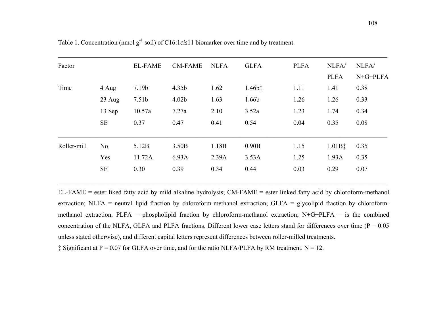| Factor      |                | <b>EL-FAME</b>    | <b>CM-FAME</b>    | <b>NLFA</b> | <b>GLFA</b>        | <b>PLFA</b> | NLFA/              | NLFA/      |
|-------------|----------------|-------------------|-------------------|-------------|--------------------|-------------|--------------------|------------|
|             |                |                   |                   |             |                    |             | <b>PLFA</b>        | $N+G+PLFA$ |
| Time        | 4 Aug          | 7.19 <sub>b</sub> | 4.35 <sub>b</sub> | 1.62        | $1.46b$ $\ddagger$ | 1.11        | 1.41               | 0.38       |
|             | $23$ Aug       | 7.51 <sub>b</sub> | 4.02 <sub>b</sub> | 1.63        | 1.66b              | 1.26        | 1.26               | 0.33       |
|             | 13 Sep         | 10.57a            | 7.27a             | 2.10        | 3.52a              | 1.23        | 1.74               | 0.34       |
|             | <b>SE</b>      | 0.37              | 0.47              | 0.41        | 0.54               | 0.04        | 0.35               | 0.08       |
| Roller-mill | N <sub>0</sub> | 5.12B             | 3.50B             | 1.18B       | 0.90B              | 1.15        | $1.01B$ $\ddagger$ | 0.35       |
|             | Yes            | 11.72A            | 6.93A             | 2.39A       | 3.53A              | 1.25        | 1.93A              | 0.35       |
|             | <b>SE</b>      | 0.30              | 0.39              | 0.34        | 0.44               | 0.03        | 0.29               | 0.07       |
|             |                |                   |                   |             |                    |             |                    |            |

Table 1. Concentration (nmol g<sup>-1</sup> soil) of C16:1*cis*11 biomarker over time and by treatment.

EL-FAME = ester liked fatty acid by mild alkaline hydrolysis; CM-FAME = ester linked fatty acid by chloroform-methanol extraction; NLFA = neutral lipid fraction by chloroform-methanol extraction; GLFA = glycolipid fraction by chloroformmethanol extraction, PLFA = phospholipid fraction by chloroform-methanol extraction; N+G+PLFA = is the combined concentration of the NLFA, GLFA and PLFA fractions. Different lower case letters stand for differences over time ( $P = 0.05$ ) unless stated otherwise), and different capital letters represent differences between roller-milled treatments.

\_\_\_\_\_\_\_\_\_\_\_\_\_\_\_\_\_\_\_\_\_\_\_\_\_\_\_\_\_\_\_\_\_\_\_\_\_\_\_\_\_\_\_\_\_\_\_\_\_\_\_\_\_\_\_\_\_\_\_\_\_\_\_\_\_\_\_\_\_\_\_\_\_\_\_\_\_\_\_\_\_\_\_\_\_\_\_\_\_\_\_\_\_\_\_\_\_\_\_\_\_\_

 $\ddagger$  Significant at P = 0.07 for GLFA over time, and for the ratio NLFA/PLFA by RM treatment. N = 12.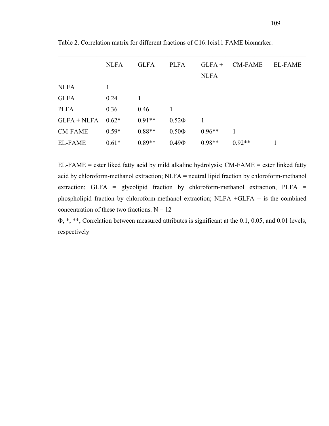|                | <b>NLFA</b> | <b>GLFA</b> | <b>PLFA</b> | $GLFA+$     | <b>CM-FAME</b> | <b>EL-FAME</b> |
|----------------|-------------|-------------|-------------|-------------|----------------|----------------|
|                |             |             |             | <b>NLFA</b> |                |                |
| <b>NLFA</b>    | 1           |             |             |             |                |                |
| <b>GLFA</b>    | 0.24        |             |             |             |                |                |
| <b>PLFA</b>    | 0.36        | 0.46        | 1           |             |                |                |
| $GLFA + NLFA$  | $0.62*$     | $0.91**$    | $0.52\Phi$  |             |                |                |
| <b>CM-FAME</b> | $0.59*$     | $0.88**$    | $0.50\Phi$  | $0.96**$    |                |                |
| <b>EL-FAME</b> | $0.61*$     | $0.89**$    | $0.49\Phi$  | $0.98**$    | $0.92**$       | 1              |
|                |             |             |             |             |                |                |

 $\mathcal{L}_\mathcal{L} = \{ \mathcal{L}_\mathcal{L} = \{ \mathcal{L}_\mathcal{L} = \{ \mathcal{L}_\mathcal{L} = \{ \mathcal{L}_\mathcal{L} = \{ \mathcal{L}_\mathcal{L} = \{ \mathcal{L}_\mathcal{L} = \{ \mathcal{L}_\mathcal{L} = \{ \mathcal{L}_\mathcal{L} = \{ \mathcal{L}_\mathcal{L} = \{ \mathcal{L}_\mathcal{L} = \{ \mathcal{L}_\mathcal{L} = \{ \mathcal{L}_\mathcal{L} = \{ \mathcal{L}_\mathcal{L} = \{ \mathcal{L}_\mathcal{$ 

Table 2. Correlation matrix for different fractions of C16:1cis11 FAME biomarker.

EL-FAME = ester liked fatty acid by mild alkaline hydrolysis; CM-FAME = ester linked fatty acid by chloroform-methanol extraction; NLFA = neutral lipid fraction by chloroform-methanol extraction; GLFA = glycolipid fraction by chloroform-methanol extraction, PLFA = phospholipid fraction by chloroform-methanol extraction; NLFA +GLFA = is the combined concentration of these two fractions.  $N = 12$ 

Φ, \*, \*\*, Correlation between measured attributes is significant at the 0.1, 0.05, and 0.01 levels, respectively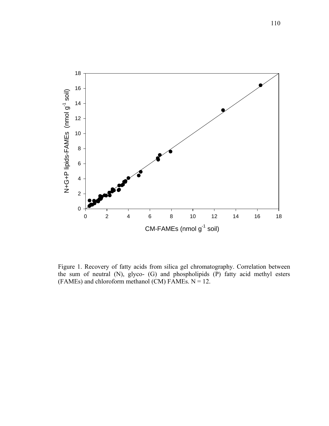

Figure 1. Recovery of fatty acids from silica gel chromatography. Correlation between the sum of neutral (N), glyco- (G) and phospholipids (P) fatty acid methyl esters (FAMEs) and chloroform methanol (CM) FAMEs.  $N = 12$ .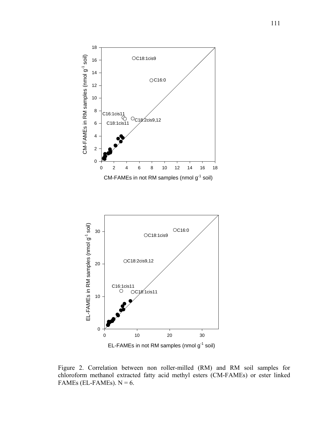

Figure 2. Correlation between non roller-milled (RM) and RM soil samples for chloroform methanol extracted fatty acid methyl esters (CM-FAMEs) or ester linked FAMEs (EL-FAMEs).  $N = 6$ .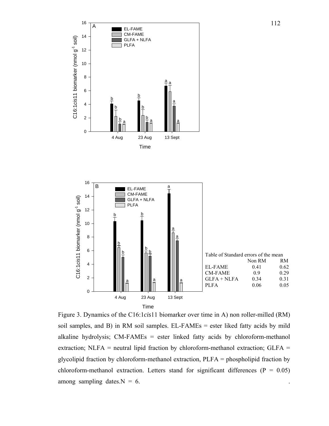

Figure 3. Dynamics of the C16:1*cis*11 biomarker over time in A) non roller-milled (RM) soil samples, and B) in RM soil samples. EL-FAMEs = ester liked fatty acids by mild alkaline hydrolysis; CM-FAMEs = ester linked fatty acids by chloroform-methanol extraction; NLFA = neutral lipid fraction by chloroform-methanol extraction; GLFA = glycolipid fraction by chloroform-methanol extraction, PLFA = phospholipid fraction by chloroform-methanol extraction. Letters stand for significant differences ( $P = 0.05$ ) among sampling dates.  $N = 6$ .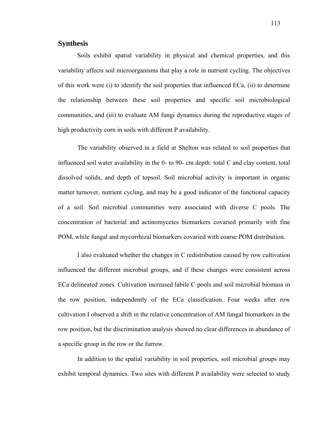# **Synthesis**

Soils exhibit spatial variability in physical and chemical properties, and this variability affects soil microorganisms that play a role in nutrient cycling. The objectives of this work were (i) to identify the soil properties that influenced ECa, (ii) to determine the relationship between these soil properties and specific soil microbiological communities, and (iii) to evaluate AM fungi dynamics during the reproductive stages of high productivity corn in soils with different P availability.

The variability observed in a field at Shelton was related to soil properties that influenced soil water availability in the 0- to 90- cm depth: total C and clay content, total dissolved solids, and depth of topsoil. Soil microbial activity is important in organic matter turnover, nutrient cycling, and may be a good indicator of the functional capacity of a soil. Soil microbial communities were associated with diverse C pools. The concentration of bacterial and actinomycetes biomarkers covaried primarily with fine POM, while fungal and mycorrhizal biomarkers covaried with coarse POM distribution.

I also evaluated whether the changes in C redistribution caused by row cultivation influenced the different microbial groups, and if these changes were consistent across ECa delineated zones. Cultivation increased labile C pools and soil microbial biomass in the row position, independently of the ECa classification. Four weeks after row cultivation I observed a shift in the relative concentration of AM fungal biomarkers in the row position, but the discrimination analysis showed no clear differences in abundance of a specific group in the row or the furrow.

In addition to the spatial variability in soil properties, soil microbial groups may exhibit temporal dynamics. Two sites with different P availability were selected to study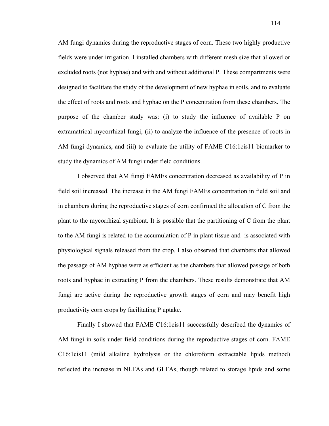AM fungi dynamics during the reproductive stages of corn. These two highly productive fields were under irrigation. I installed chambers with different mesh size that allowed or excluded roots (not hyphae) and with and without additional P. These compartments were designed to facilitate the study of the development of new hyphae in soils, and to evaluate the effect of roots and roots and hyphae on the P concentration from these chambers. The purpose of the chamber study was: (i) to study the influence of available P on extramatrical mycorrhizal fungi, (ii) to analyze the influence of the presence of roots in AM fungi dynamics, and (iii) to evaluate the utility of FAME C16:1cis11 biomarker to study the dynamics of AM fungi under field conditions.

I observed that AM fungi FAMEs concentration decreased as availability of P in field soil increased. The increase in the AM fungi FAMEs concentration in field soil and in chambers during the reproductive stages of corn confirmed the allocation of C from the plant to the mycorrhizal symbiont. It is possible that the partitioning of C from the plant to the AM fungi is related to the accumulation of P in plant tissue and is associated with physiological signals released from the crop. I also observed that chambers that allowed the passage of AM hyphae were as efficient as the chambers that allowed passage of both roots and hyphae in extracting P from the chambers. These results demonstrate that AM fungi are active during the reproductive growth stages of corn and may benefit high productivity corn crops by facilitating P uptake.

Finally I showed that FAME C16:1cis11 successfully described the dynamics of AM fungi in soils under field conditions during the reproductive stages of corn. FAME C16:1cis11 (mild alkaline hydrolysis or the chloroform extractable lipids method) reflected the increase in NLFAs and GLFAs, though related to storage lipids and some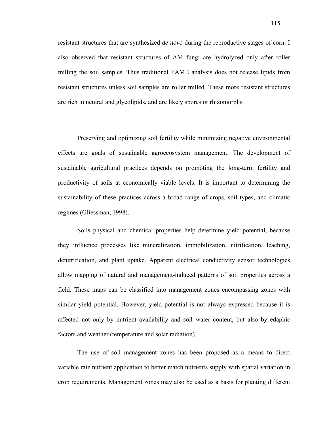resistant structures that are synthesized *de novo* during the reproductive stages of corn. I also observed that resistant structures of AM fungi are hydrolyzed only after roller milling the soil samples. Thus traditional FAME analysis does not release lipids from resistant structures unless soil samples are roller milled. These more resistant structures are rich in neutral and glycolipids, and are likely spores or rhizomorphs.

Preserving and optimizing soil fertility while minimizing negative environmental effects are goals of sustainable agroecosystem management. The development of sustainable agricultural practices depends on promoting the long-term fertility and productivity of soils at economically viable levels. It is important to determining the sustainability of these practices across a broad range of crops, soil types, and climatic regimes (Gliessman, 1998).

Soils physical and chemical properties help determine yield potential, because they influence processes like mineralization, immobilization, nitrification, leaching, denitrification, and plant uptake. Apparent electrical conductivity sensor technologies allow mapping of natural and management-induced patterns of soil properties across a field. These maps can be classified into management zones encompassing zones with similar yield potential. However, yield potential is not always expressed because it is affected not only by nutrient availability and soil–water content, but also by edaphic factors and weather (temperature and solar radiation).

The use of soil management zones has been proposed as a means to direct variable rate nutrient application to better match nutrients supply with spatial variation in crop requirements. Management zones may also be used as a basis for planting different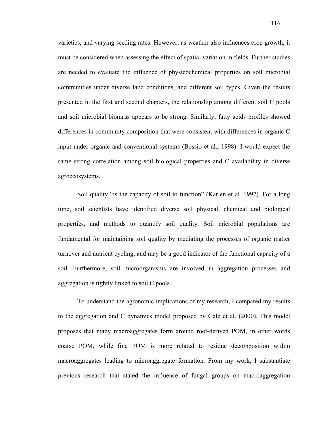varieties, and varying seeding rates. However, as weather also influences crop growth, it must be considered when assessing the effect of spatial variation in fields. Further studies are needed to evaluate the influence of physicochemical properties on soil microbial communities under diverse land conditions, and different soil types. Given the results presented in the first and second chapters, the relationship among different soil C pools and soil microbial biomass appears to be strong. Similarly, fatty acids profiles showed differences in community composition that were consistent with differences in organic C input under organic and conventional systems (Bossio et al., 1998). I would expect the same strong correlation among soil biological properties and C availability in diverse agroecosystems.

Soil quality "is the capacity of soil to function" (Karlen et al. 1997). For a long time, soil scientists have identified diverse soil physical, chemical and biological properties, and methods to quantify soil quality. Soil microbial populations are fundamental for maintaining soil quality by mediating the processes of organic matter turnover and nutrient cycling, and may be a good indicator of the functional capacity of a soil. Furthermore, soil microorganisms are involved in aggregation processes and aggregation is tightly linked to soil C pools.

To understand the agronomic implications of my research, I compared my results to the aggregation and C dynamics model proposed by Gale et al. (2000). This model proposes that many macroaggregates form around root-derived POM, in other words coarse POM, while fine POM is more related to residue decomposition within macroaggregates leading to microaggregate formation. From my work, I substantiate previous research that stated the influence of fungal groups on macroaggregation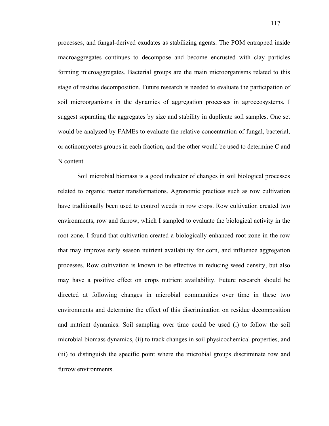processes, and fungal-derived exudates as stabilizing agents. The POM entrapped inside macroaggregates continues to decompose and become encrusted with clay particles forming microaggregates. Bacterial groups are the main microorganisms related to this stage of residue decomposition. Future research is needed to evaluate the participation of soil microorganisms in the dynamics of aggregation processes in agroecosystems. I suggest separating the aggregates by size and stability in duplicate soil samples. One set would be analyzed by FAMEs to evaluate the relative concentration of fungal, bacterial, or actinomycetes groups in each fraction, and the other would be used to determine C and N content.

Soil microbial biomass is a good indicator of changes in soil biological processes related to organic matter transformations. Agronomic practices such as row cultivation have traditionally been used to control weeds in row crops. Row cultivation created two environments, row and furrow, which I sampled to evaluate the biological activity in the root zone. I found that cultivation created a biologically enhanced root zone in the row that may improve early season nutrient availability for corn, and influence aggregation processes. Row cultivation is known to be effective in reducing weed density, but also may have a positive effect on crops nutrient availability. Future research should be directed at following changes in microbial communities over time in these two environments and determine the effect of this discrimination on residue decomposition and nutrient dynamics. Soil sampling over time could be used (i) to follow the soil microbial biomass dynamics, (ii) to track changes in soil physicochemical properties, and (iii) to distinguish the specific point where the microbial groups discriminate row and furrow environments.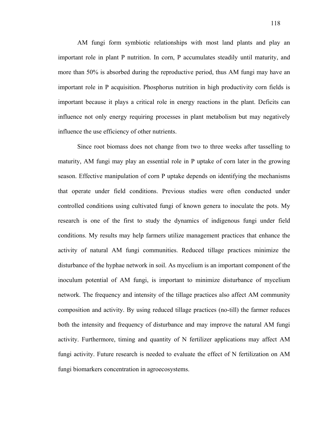AM fungi form symbiotic relationships with most land plants and play an important role in plant P nutrition. In corn, P accumulates steadily until maturity, and more than 50% is absorbed during the reproductive period, thus AM fungi may have an important role in P acquisition. Phosphorus nutrition in high productivity corn fields is important because it plays a critical role in energy reactions in the plant. Deficits can influence not only energy requiring processes in plant metabolism but may negatively influence the use efficiency of other nutrients.

Since root biomass does not change from two to three weeks after tasselling to maturity, AM fungi may play an essential role in P uptake of corn later in the growing season. Effective manipulation of corn P uptake depends on identifying the mechanisms that operate under field conditions. Previous studies were often conducted under controlled conditions using cultivated fungi of known genera to inoculate the pots. My research is one of the first to study the dynamics of indigenous fungi under field conditions. My results may help farmers utilize management practices that enhance the activity of natural AM fungi communities. Reduced tillage practices minimize the disturbance of the hyphae network in soil. As mycelium is an important component of the inoculum potential of AM fungi, is important to minimize disturbance of mycelium network. The frequency and intensity of the tillage practices also affect AM community composition and activity. By using reduced tillage practices (no-till) the farmer reduces both the intensity and frequency of disturbance and may improve the natural AM fungi activity. Furthermore, timing and quantity of N fertilizer applications may affect AM fungi activity. Future research is needed to evaluate the effect of N fertilization on AM fungi biomarkers concentration in agroecosystems.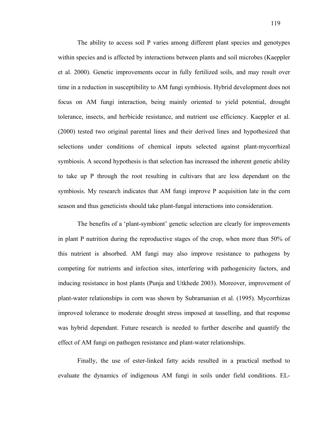The ability to access soil P varies among different plant species and genotypes within species and is affected by interactions between plants and soil microbes (Kaeppler et al. 2000). Genetic improvements occur in fully fertilized soils, and may result over time in a reduction in susceptibility to AM fungi symbiosis. Hybrid development does not focus on AM fungi interaction, being mainly oriented to yield potential, drought tolerance, insects, and herbicide resistance, and nutrient use efficiency. Kaeppler et al. (2000) tested two original parental lines and their derived lines and hypothesized that selections under conditions of chemical inputs selected against plant-mycorrhizal symbiosis. A second hypothesis is that selection has increased the inherent genetic ability to take up P through the root resulting in cultivars that are less dependant on the symbiosis. My research indicates that AM fungi improve P acquisition late in the corn season and thus geneticists should take plant-fungal interactions into consideration.

The benefits of a 'plant-symbiont' genetic selection are clearly for improvements in plant P nutrition during the reproductive stages of the crop, when more than 50% of this nutrient is absorbed. AM fungi may also improve resistance to pathogens by competing for nutrients and infection sites, interfering with pathogenicity factors, and inducing resistance in host plants (Punja and Utkhede 2003). Moreover, improvement of plant-water relationships in corn was shown by Subramanian et al. (1995). Mycorrhizas improved tolerance to moderate drought stress imposed at tasselling, and that response was hybrid dependant. Future research is needed to further describe and quantify the effect of AM fungi on pathogen resistance and plant-water relationships.

Finally, the use of ester-linked fatty acids resulted in a practical method to evaluate the dynamics of indigenous AM fungi in soils under field conditions. EL-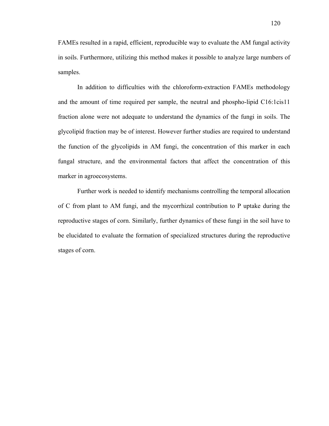FAMEs resulted in a rapid, efficient, reproducible way to evaluate the AM fungal activity in soils. Furthermore, utilizing this method makes it possible to analyze large numbers of samples.

In addition to difficulties with the chloroform-extraction FAMEs methodology and the amount of time required per sample, the neutral and phospho-lipid C16:1cis11 fraction alone were not adequate to understand the dynamics of the fungi in soils. The glycolipid fraction may be of interest. However further studies are required to understand the function of the glycolipids in AM fungi, the concentration of this marker in each fungal structure, and the environmental factors that affect the concentration of this marker in agroecosystems.

Further work is needed to identify mechanisms controlling the temporal allocation of C from plant to AM fungi, and the mycorrhizal contribution to P uptake during the reproductive stages of corn. Similarly, further dynamics of these fungi in the soil have to be elucidated to evaluate the formation of specialized structures during the reproductive stages of corn.